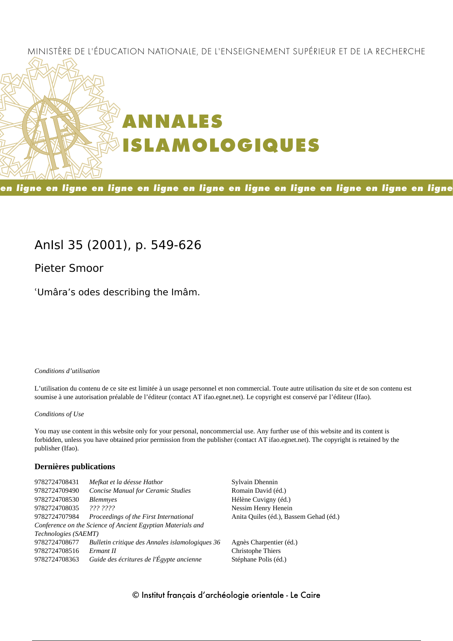## MINISTÈRE DE L'ÉDUCATION NATIONALE, DE L'ENSEIGNEMENT SUPÉRIEUR ET DE LA RECHERCHE



en ligne en ligne en ligne en ligne en ligne en ligne en ligne en ligne en ligne en ligne

## **AnIsl 35 (2001), p. 549-626**

**Pieter Smoor**

ʿUmâra's odes describing the Imâm.

#### *Conditions d'utilisation*

L'utilisation du contenu de ce site est limitée à un usage personnel et non commercial. Toute autre utilisation du site et de son contenu est soumise à une autorisation préalable de l'éditeur (contact AT ifao.egnet.net). Le copyright est conservé par l'éditeur (Ifao).

#### *Conditions of Use*

You may use content in this website only for your personal, noncommercial use. Any further use of this website and its content is forbidden, unless you have obtained prior permission from the publisher (contact AT ifao.egnet.net). The copyright is retained by the publisher (Ifao).

## **Dernières publications**

| 9782724708431        | Mefkat et la déesse Hathor                                  | Sylvain Dhennin                        |
|----------------------|-------------------------------------------------------------|----------------------------------------|
| 9782724709490        | <b>Concise Manual for Ceramic Studies</b>                   | Romain David (éd.)                     |
| 9782724708530        | <i>Blemmyes</i>                                             | Hélène Cuvigny (éd.)                   |
| 9782724708035        | 222.2222                                                    | Nessim Henry Henein                    |
| 9782724707984        | Proceedings of the First International                      | Anita Quiles (éd.), Bassem Gehad (éd.) |
|                      | Conference on the Science of Ancient Egyptian Materials and |                                        |
| Technologies (SAEMT) |                                                             |                                        |
| 9782724708677        | Bulletin critique des Annales islamologiques 36             | Agnès Charpentier (éd.)                |
| 9782724708516        | Ermant II                                                   | Christophe Thiers                      |
| 9782724708363        | Guide des écritures de l'Égypte ancienne                    | Stéphane Polis (éd.)                   |
|                      |                                                             |                                        |

## © Institut français d'archéologie orientale - Le Caire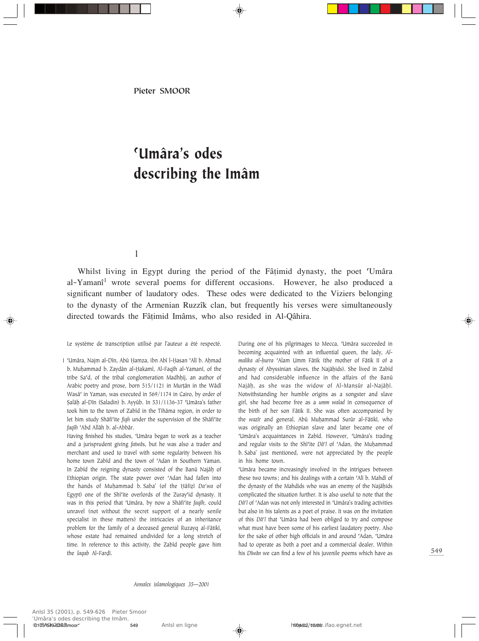Pieter SMOOR

# ©Umâra's odes describing the Imâm

1

Whilst living in Egypt during the period of the Fâțimid dynasty, the poet 'Umâra' al-Yamanî <sup>1</sup> wrote several poems for different occasions. However, he also produced a significant number of laudatory odes. These odes were dedicated to the Viziers belonging to the dynasty of the Armenian Ruzzîk clan, but frequently his verses were simultaneously directed towards the Fâtimid Imâms, who also resided in Al-Qâhira.

Le système de transcription utilisé par l'auteur a été respecté.

During one of his pilgrimages to Mecca, 'Umâra succeeded in becoming acquainted with an influential queen, the lady, *Almalika al-Ìurra* ©Alam Umm Fâtik (the mother of Fâtik II of a dynasty of Abyssinian slaves, the Najâḥids). She lived in Zabîd and had considerable influence in the affairs of the Banû Najâh, as she was the widow of Al-Mansûr al-Najâhî. Notwithstanding her humble origins as a songster and slave girl, she had become free as a *umm walad* in consequence of the birth of her son Fâtik II. She was often accompanied by the *wazîr* and general, Abû MuÌammad Surûr al-Fâtikî, who was originally an Ethiopian slave and later became one of ©Umâra's acquaintances in Zabîd. However, ©Umâra's trading and regular visits to the Shî<sup>c</sup>ite *Dâ<sup>c</sup>î* of 'Adan, the Muḥammad b. Saba' just mentioned, were not appreciated by the people in his home town.

'Umâra became increasingly involved in the intrigues between these two towns; and his dealings with a certain 'Alî b. Mahdî of the dynasty of the Mahdids who was an enemy of the Najâhids complicated the situation further. It is also useful to note that the *Dâ<sup>c</sup>î* of 'Adan was not only interested in 'Umâra's trading activities but also in his talents as a poet of praise. It was on the invitation of this *Dâ©î* that ©Umâra had been obliged to try and compose what must have been some of his earliest laudatory poetry. Also for the sake of other high officials in and around 'Adan, 'Umâra had to operate as both a poet and a commercial dealer. Within his *Dîwân* we can find a few of his juvenile poems which have as

<sup>1 &#</sup>x27;Umâra, Najm al-Dîn, Abû Ḥamza, ibn Abî l-Ḥasan 'Alî b. Aḥmad b. Muhammad b. Zaydân al-Ḥakamî, Al-Faqîh al-Yamanî, of the tribe Sa'd, of the tribal conglomeration Madhhij, an author of Arabic poetry and prose, born 515/1121 in Murtân in the Wâdî Wasâ<sup>c</sup> in Yaman, was executed in 569/1174 in Cairo, by order of ∑alâÌ al-Dîn (Saladin) b. Ayyûb. In 531/1136-37 ©Umâra's father took him to the town of Zabîd in the Tihâma region, in order to let him study Shâfi<sup>c</sup>ite *fiqh* under the supervision of the Shâfi<sup>c</sup>ite *faqîh* ©Abd Allâh b. al-Abbâr.

Having finished his studies, 'Umâra began to work as a teacher and a jurisprudent giving *fatwâ*s, but he was also a trader and merchant and used to travel with some regularity between his home town Zabîd and the town of 'Adan in Southern Yaman. In Zabîd the reigning dynasty consisted of the Banû Najâḥ of Ethiopian origin. The state power over 'Adan had fallen into the hands of Muhammad b. Saba' (of the Hâfizî Da'wa of Egypt) one of the Shî<sup>c</sup>ite overlords of the Zuray'id dynasty. It was in this period that ©Umâra, by now a Shâfi©ite *faqîh*, could unravel (not without the secret support of a nearly senile specialist in these matters) the intricacies of an inheritance problem for the family of a deceased general Ruzayq al-Fâtikî, whose estate had remained undivided for a long stretch of time. In reference to this activity, the Zabîd people gave him the *laqab* Al-Farḍî.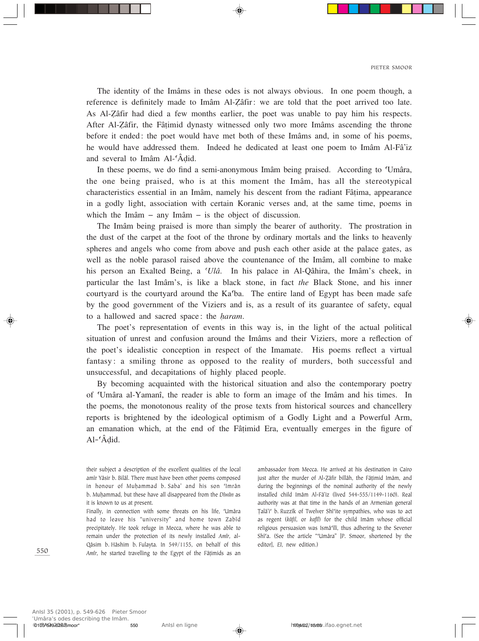The identity of the Imâms in these odes is not always obvious. In one poem though, a reference is definitely made to Imâm Al-Zâfir: we are told that the poet arrived too late. As Al-Zâfir had died a few months earlier, the poet was unable to pay him his respects. After Al-Åâfir, the Fâ†imid dynasty witnessed only two more Imâms ascending the throne before it ended: the poet would have met both of these Imâms and, in some of his poems, he would have addressed them. Indeed he dedicated at least one poem to Imâm Al-Fâ'iz and several to Imâm Al-©Â∂id.

In these poems, we do find a semi-anonymous Imâm being praised. According to 'Umâra, the one being praised, who is at this moment the Imâm, has all the stereotypical characteristics essential in an Imâm, namely his descent from the radiant Fâ†ima, appearance in a godly light, association with certain Koranic verses and, at the same time, poems in which the Imâm – any Imâm – is the object of discussion.

The Imâm being praised is more than simply the bearer of authority. The prostration in the dust of the carpet at the foot of the throne by ordinary mortals and the links to heavenly spheres and angels who come from above and push each other aside at the palace gates, as well as the noble parasol raised above the countenance of the Imâm, all combine to make his person an Exalted Being, a *©Ulâ*. In his palace in Al-Qâhira, the Imâm's cheek, in particular the last Imâm's, is like a black stone, in fact *the* Black Stone, and his inner courtyard is the courtyard around the Ka©ba. The entire land of Egypt has been made safe by the good government of the Viziers and is, as a result of its guarantee of safety, equal to a hallowed and sacred space: the *haram*.

The poet's representation of events in this way is, in the light of the actual political situation of unrest and confusion around the Imâms and their Viziers, more a reflection of the poet's idealistic conception in respect of the Imamate. His poems reflect a virtual fantasy: a smiling throne as opposed to the reality of murders, both successful and unsuccessful, and decapitations of highly placed people.

By becoming acquainted with the historical situation and also the contemporary poetry of ©Umâra al-Yamanî, the reader is able to form an image of the Imâm and his times. In the poems, the monotonous reality of the prose texts from historical sources and chancellery reports is brightened by the ideological optimism of a Godly Light and a Powerful Arm, an emanation which, at the end of the Fâ†imid Era, eventually emerges in the figure of Al-©Â∂id.

their subject a description of the excellent qualities of the local amîr Yâsir b. Bilâl. There must have been other poems composed in honour of Muhammad b. Saba' and his son 'Imrân b. MuÌammad, but these have all disappeared from the *Dîwân* as it is known to us at present.

Finally, in connection with some threats on his life, 'Umâra' had to leave his "university" and home town Zabîd precipitately. He took refuge in Mecca, where he was able to remain under the protection of its newly installed *Amîr*, al-Qâsim b. Hâshim b. Fulayta. In 549/1155, on behalf of this *Amîr*, he started travelling to the Egypt of the Fâțimids as an

ambassador from Mecca. He arrived at his destination in Cairo just after the murder of Al-Zâfir billâh, the Fâtimid Imâm, and during the beginnings of the nominal authority of the newly installed child Imâm Al-Fâ'iz (lived 544-555/1149-1160). Real authority was at that time in the hands of an Armenian general Talâ'i' b. Ruzzîk of Twelver Shî'ite sympathies, who was to act as regent (*kâfil*, or *kafîl*) for the child Imâm whose official religious persuasion was Ismâ©îlî, thus adhering to the Sevener Shî'a. (See the article "'Umâra" [P. Smoor, shortened by the editor], *EI*, new edition.)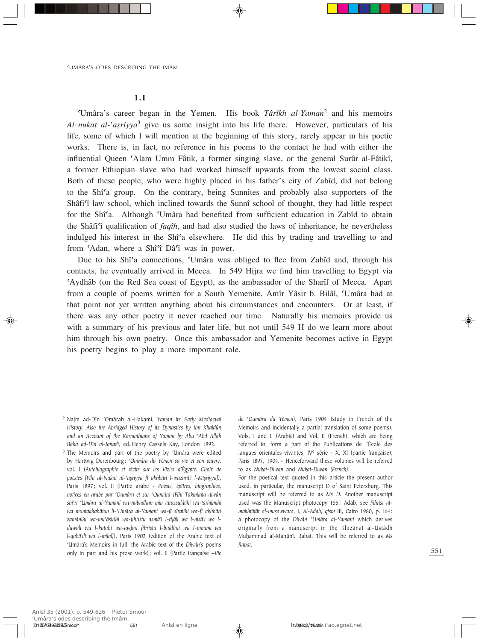#### 1.1

©Umâra's career began in the Yemen. His book *Târîkh al-Yaman*<sup>2</sup> and his memoirs  $Al$ -*nukat al-* $(a\sin y)a^3$  give us some insight into his life there. However, particulars of his life, some of which I will mention at the beginning of this story, rarely appear in his poetic works. There is, in fact, no reference in his poems to the contact he had with either the influential Queen 'Alam Umm Fâtik, a former singing slave, or the general Surûr al-Fâtikî, a former Ethiopian slave who had worked himself upwards from the lowest social class. Both of these people, who were highly placed in his father's city of Zabîd, did not belong to the Shî©a group. On the contrary, being Sunnites and probably also supporters of the Shâfi'î law school, which inclined towards the Sunnî school of thought, they had little respect for the Shî<sup>c</sup>a. Although 'Umâra had benefited from sufficient education in Zabîd to obtain the Shâfi©î qualification of *faqîh*, and had also studied the laws of inheritance, he nevertheless indulged his interest in the Shî<sup>c</sup>a elsewhere. He did this by trading and travelling to and from 'Adan, where a Shî'î Dâ'î was in power.

Due to his Shî<sup>c</sup>a connections, 'Umâra was obliged to flee from Zabîd and, through his contacts, he eventually arrived in Mecca. In 549 Hijra we find him travelling to Egypt via ©Aydhâb (on the Red Sea coast of Egypt), as the ambassador of the Sharîf of Mecca. Apart from a couple of poems written for a South Yemenite, Amîr Yâsir b. Bilâl, ©Umâra had at that point not yet written anything about his circumstances and encounters. Or at least, if there was any other poetry it never reached our time. Naturally his memoirs provide us with a summary of his previous and later life, but not until 549 H do we learn more about him through his own poetry. Once this ambassador and Yemenite becomes active in Egypt his poetry begins to play a more important role.

*de ©Oumâra du Yémen*), Paris 1904 (study in French of the Memoirs and incidentally a partial translation of some poems). Vols. I and II (Arabic) and Vol. II (French), which are being referred to, form a part of the Publications de l'École des langues orientales vivantes, IV<sup>e</sup> série - X, XI (partie française), Paris 1897, 1904. - Henceforward these volumes will be referred to as *Nukat-Diwan* and *Nukat-Diwan (French)*.

For the poetical text quoted in this article the present author used, in particular, the manuscript D of Saint Petersburg. This manuscript will be referred to as *Ms D*. Another manuscript used was the Manuscript photocopy 1551 Adab, see *Fihrist almakhtûtât al-muṣawwara*, I, *Al-Adab*, *qism* III, Cairo 1980, p. 164: a photocopy of the *Dîwân ©Umâra al-Yamanî* which derives originally from a manuscript in the Khizânat al-Ustâdh MuÌammad al-Manûnî, Rabat. This will be referred to as *Ms Rabat*.

<sup>2</sup> Najm ad-Dîn ©Omârah al-Îakamî, *Yaman its Early Mediaeval History*. *Also the Abridged History of its Dynasties by Ibn Khaldûn and an Account of the Karmathians of Yaman by Abu ©Abd Allah Baha ad-Dîn al-Janadî*, ed. Henry Cassels Kay, London 1892.

<sup>&</sup>lt;sup>3</sup> The Memoirs and part of the poetry by 'Umâra were edited by Hartwig Derenbourg: *©Oumâra du Yémen sa vie et son œuvre*, vol. I (*Autobiographie et récits sur les Vizirs d'Égypte. Choix de poésies [Fîhi al-Nukat al-©aÒriyya fî akhbâri l-wuzarâ'i l-MiÒriyya])*, Paris 1897; vol. II (Partie arabe - *Poésie, épîtres, biographies, notices en arabe par ©Oumâra et sur ©Oumâra [Fîhi Takmilatu dîwân shi©ri ©Umâra al-Yamanî wa-nubadhun min tarassulâtihi wa-tarâjimihi wa muntakhabâtun li-©Umâra al-Yamanî wa-fî sîratihi wa-fî akhbâri* zamânihi wa-mu'âșirîhi wa-fihristu asmâ'i l-rijâli wa l-nisâ'i wa l*duwali wa l-kutubi wa-ay∂an fihristu l-buldâni wa l-umami wa l-qabâ'ili wa l-milal]*), Paris 1902 (edition of the Arabic text of ©Umâra's Memoirs in full, the Arabic text of the *Dîwân*'s poems only in part and his prose work); vol. II (Partie française –*Vie*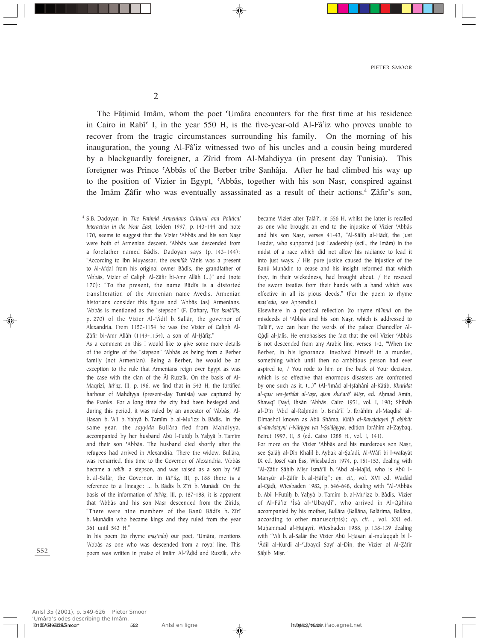2

The Fâ†imid Imâm, whom the poet ©Umâra encounters for the first time at his residence in Cairo in Rabî<sup> $\epsilon$ </sup> I, in the year 550 H, is the five-year-old Al-Fâ'iz who proves unable to recover from the tragic circumstances surrounding his family. On the morning of his inauguration, the young Al-Fâ'iz witnessed two of his uncles and a cousin being murdered by a blackguardly foreigner, a Zîrid from Al-Mahdiyya (in present day Tunisia). This foreigner was Prince ©Abbâs of the Berber tribe ∑anhâja. After he had climbed his way up to the position of Vizier in Egypt, 'Abbâs, together with his son Nasr, conspired against the Imâm Zâfir who was eventually assassinated as a result of their actions.<sup>4</sup> Zâfir's son,

<sup>4</sup> S.B. Dadoyan in *The Fatimid Armenians Cultural and Political Interaction in the Near East*, Leiden 1997, p. 143-144 and note 170, seems to suggest that the Vizier 'Abbâs and his son Nașr were both of Armenian descent. 'Abbâs was descended from a forefather named Bâdîs. Dadoyan says (p. 143-144): "According to Ibn Muyassar, the *mamlûk* Yânis was a present to Al-Afḍal from his original owner Bâdîs, the grandfather of 'Abbâs, Vizier of Caliph Al-Zâfir bi-Amr Allâh (...)" and (note 170): "To the present, the name Bâdîs is a distorted transliteration of the Armenian name Avedis. Armenian historians consider this figure and 'Abbâs (as) Armenians. ©Abbâs is mentioned as the "stepson" (F. Daftary, *The Ismâ©îlîs*, p. 270) of the Vizier Al-'Âdil b. Sallâr, the governor of Alexandria. From 1150-1154 he was the Vizier of Caliph Al-Zâfir bi-Amr Allâh (1149-1154), a son of Al-Ḥâfiẓ."

As a comment on this I would like to give some more details of the origins of the "stepson" 'Abbâs as being from a Berber family (not Armenian). Being a Berber, he would be an exception to the rule that Armenians reign over Egypt as was the case with the clan of the Âl Ruzzîk. On the basis of Al-Magrîzî, *Itti<sup>c</sup>az*, *III, p. 196, we find that in 543 H, the fortified* harbour of Mahdiyya (present-day Tunisia) was captured by the Franks. For a long time the city had been besieged and, during this period, it was ruled by an ancestor of 'Abbâs, Al-Hasan b. 'Alî b. Yaḥyâ b. Tamîm b. al-Mu'izz b. Bâdîs. In the same year, the *sayyida* Bullâra fled from Mahdiyya, accompanied by her husband Abû l-Futûḥ b. Yaḥyâ b. Tamîm and their son 'Abbâs. The husband died shortly after the refugees had arrived in Alexandria. There the widow, Bullâra, was remarried, this time to the Governor of Alexandria. 'Abbâs became a *rabîb*, a stepson, and was raised as a son by 'Alî b. al-Salâr, the Governor. In *Itti<sup>c</sup>âz*, III, p. 188 there is a reference to a lineage: ... b. Bâdîs b. Zîrî b. Munâdî. On the basis of the information of *Itti<sup>c</sup>âz*, III, p. 187-188, it is apparent that 'Abbâs and his son Nașr descended from the Zîrids, "There were nine members of the Banû Bâdîs b. Zîrî b. Munâdin who became kings and they ruled from the year 361 until 543 H."

In his poem (to rhyme maș'adu) our poet, 'Umâra, mentions 'Abbâs as one who was descended from a royal line. This poem was written in praise of Imâm Al-©Â∂id and Ruzzîk, who

became Vizier after Talâ'i', in 556 H, whilst the latter is recalled as one who brought an end to the injustice of Vizier 'Abbâs and his son Nașr, verses 41-43, "Al-Şâlih al-Hâdî, the Just Leader, who supported Just Leadership (scil., the Imâm) in the midst of a race which did not allow his radiance to lead it into just ways. / His pure justice caused the injustice of the Banû Munâdin to cease and his insight reformed that which they, in their wickedness, had brought about. / He rescued the sworn treaties from their hands with a hand which was effective in all its pious deeds." (For the poem to rhyme *mas'adu*, see Appendix.)

Elsewhere in a poetical reflection (to rhyme *râ'imu*) on the misdeeds of 'Abbâs and his son Nașr, which is addressed to Talâ'i', we can hear the words of the palace Chancellor Al-Qâḍî al-Jalîs. He emphasises the fact that the evil Vizier 'Abbâs is not descended from any Arabic line, verses 1-2, "When the Berber, in his ignorance, involved himself in a murder, something which until then no ambitious person had ever aspired to, / You rode to him on the back of Your decision, which is so effective that enormous disasters are confronted by one such as it. (...)" (Al-©Imâd al-IÒfahânî al-Kâtib, *Kharîdat al-qaÒr wa-jarîdat al-©aÒr, qism shu©arâ' MiÒr*, ed. AÌmad Amîn, Shawqî Dayf, Iḥsân 'Abbâs, Cairo 1951, vol. I, 190; Shihâb al-Dîn 'Abd al-Rahmân b. Ismâ'îl b. Ibrâhîm al-Maqdisî al-Dimashqî known as Abû Shâma, *Kitâb al-Raw∂atayni fî akhbâr al-dawlatayni l-Nûriyya wa l-∑alâÌiyya*, edition Ibrâhîm al-Zaybaq, Beirut 1997, II, 8 (ed. Cairo 1288 H., vol. I, 141).

For more on the Vizier 'Abbâs and his murderous son Nașr, see ∑alâÌ al-Dîn Khalîl b. Aybak al-∑afadî, Al-Wâfî bi l-wafayât IX ed. Josef van Ess, Wiesbaden 1974, p. 151-153, dealing with "Al-Zâfir Şâḥib Mişr Ismâ'îl b. 'Abd al-Majîd, who is Abû l-Manşûr al-Zâfir b. al-Ḥâfiz"; op. cit., vol. XVI ed. Wadâd al-Qâḍî, Wiesbaden 1982, p. 646-648, dealing with "Al-'Abbâs b. Abî l-Futûḥ b. Yaḥyâ b. Tamîm b. al-Mu'izz b. Bâdîs, Vizier of Al-Fâ'iz ©Îsâ al-©Ubaydî", who arrived in Al-Qâhira accompanied by his mother, Bullâra (Ballâna, Balârima, Ballâza, according to other manuscripts); *op. cit.* , vol. XXI ed. Muhammad al-Hujayrî, Wiesbaden 1988, p. 138-139 dealing with "'Alî b. al-Salâr the Vizier Abû l-Hasan al-mulaqqab bi l-'Âdil al-Kurdî al-'Ubaydî Sayf al-Dîn, the Vizier of Al-Zâfir Sâhib Misr."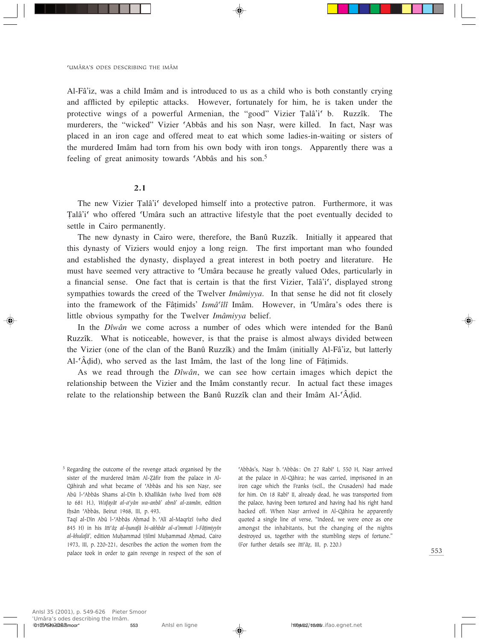Al-Fâ'iz, was a child Imâm and is introduced to us as a child who is both constantly crying and afflicted by epileptic attacks. However, fortunately for him, he is taken under the protective wings of a powerful Armenian, the "good" Vizier Talâ'i' b. Ruzzîk. The murderers, the "wicked" Vizier 'Abbâs and his son Nasr, were killed. In fact, Nasr was placed in an iron cage and offered meat to eat which some ladies-in-waiting or sisters of the murdered Imâm had torn from his own body with iron tongs. Apparently there was a feeling of great animosity towards 'Abbâs and his son.<sup>5</sup>

## 2.1

The new Vizier Talâ'i<sup>c</sup> developed himself into a protective patron. Furthermore, it was Talâ'i' who offered 'Umâra such an attractive lifestyle that the poet eventually decided to settle in Cairo permanently.

The new dynasty in Cairo were, therefore, the Banû Ruzzîk. Initially it appeared that this dynasty of Viziers would enjoy a long reign. The first important man who founded and established the dynasty, displayed a great interest in both poetry and literature. He must have seemed very attractive to ©Umâra because he greatly valued Odes, particularly in a financial sense. One fact that is certain is that the first Vizier, Talâ'i', displayed strong sympathies towards the creed of the Twelver *Imâmiyya*. In that sense he did not fit closely into the framework of the Fâ†imids' *Ismâ©îlî* Imâm. However, in ©Umâra's odes there is little obvious sympathy for the Twelver *Imâmiyya* belief.

In the *Dîwân* we come across a number of odes which were intended for the Banû Ruzzîk. What is noticeable, however, is that the praise is almost always divided between the Vizier (one of the clan of the Banû Ruzzîk) and the Imâm (initially Al-Fâ'iz, but latterly Al-©Â∂id), who served as the last Imâm, the last of the long line of Fâ†imids.

As we read through the *Dîwân*, we can see how certain images which depict the relationship between the Vizier and the Imâm constantly recur. In actual fact these images relate to the relationship between the Banû Ruzzîk clan and their Imâm Al-'Âḍid.

'Abbâs's, Nașr b. 'Abbâs: On 27 Rabî' I, 550 H, Nașr arrived at the palace in Al-Qâhira; he was carried, imprisoned in an iron cage which the Franks (scil., the Crusaders) had made for him. On 18 Rabî<sup>c</sup> II, already dead, he was transported from the palace, having been tortured and having had his right hand hacked off. When Nașr arrived in Al-Qâhira he apparently quoted a single line of verse, "Indeed, we were once as one amongst the inhabitants, but the changing of the nights destroyed us, together with the stumbling steps of fortune." (For further details see *Itti<sup>c</sup>âz*, III, p. 220.)

<sup>&</sup>lt;sup>5</sup> Regarding the outcome of the revenge attack organised by the sister of the murdered Imâm Al-Zâfir from the palace in Al-Qâhirah and what became of 'Abbâs and his son Nașr, see Abû l-'Abbâs Shams al-Dîn b. Khallikân (who lived from 608 to 681 H.), *Wafayât al-a'yân wa-anbâ' abnâ' al-zamân*, edition Ihsân 'Abbâs, Beirut 1968, III, p. 493.

Taqî al-Dîn Abû l-'Abbâs Aḥmad b. 'Alî al-Maqrîzî (who died 845 H) in his *Itti©â al-Ìunafâ bi-akhbâr al-a'immati l-Fâ†imiyyîn al-khulafâ'*, edition Muhammad Hilmî Muhammad Ahmad, Cairo 1973, III, p. 220-221, describes the action the women from the palace took in order to gain revenge in respect of the son of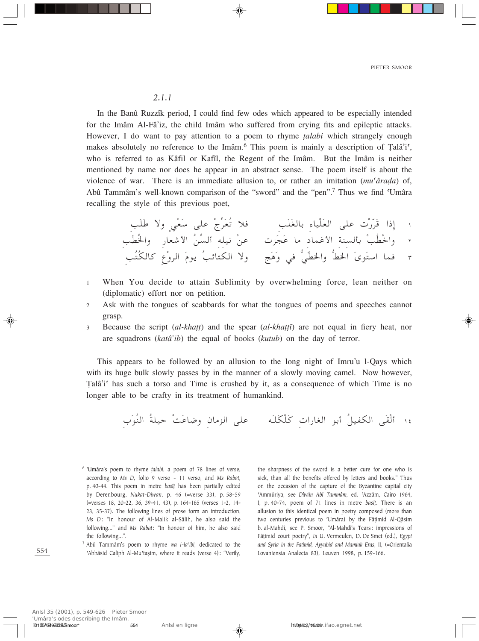#### $2.1.1$

In the Banû Ruzzîk period, I could find few odes which appeared to be especially intended for the Imâm Al-Fâ'iz, the child Imâm who suffered from crying fits and epileptic attacks. However, I do want to pay attention to a poem to rhyme *talabi* which strangely enough makes absolutely no reference to the Imâm.<sup>6</sup> This poem is mainly a description of Talâ'i', who is referred to as Kâfil or Kafîl, the Regent of the Imâm. But the Imâm is neither mentioned by name nor does he appear in an abstract sense. The poem itself is about the violence of war. There is an immediate allusion to, or rather an imitation  $(mu^c\hat{a}rada)$  of, Abû Tammâm's well-known comparison of the "sword" and the "pen".<sup>7</sup> Thus we find 'Umâra recalling the style of this previous poet,

- When You decide to attain Sublimity by overwhelming force, lean neither on  $\mathbf{1}$ (diplomatic) effort nor on petition.
- Ask with the tongues of scabbards for what the tongues of poems and speeches cannot  $\overline{2}$ grasp.
- Because the script *(al-khatt)* and the spear *(al-khattî)* are not equal in fiery heat, nor  $\mathcal{L}$ are squadrons (katâ'ib) the equal of books (kutub) on the day of terror.

This appears to be followed by an allusion to the long night of Imru'u 1-Qays which with its huge bulk slowly passes by in the manner of a slowly moving camel. Now however, Talâ'i' has such a torso and Time is crushed by it, as a consequence of which Time is no longer able to be crafty in its treatment of humankind.

- <sup>6</sup> 'Umâra's poem to rhyme talabi, a poem of 78 lines of verse, according to Ms D, folio 9 verso - 11 verso, and Ms Rabat, p. 40-44. This poem in metre basît has been partially edited by Derenbourg, Nukat-Diwan, p. 46 (=verse 33), p. 58-59 (=verses 18, 20-22, 36, 39-41, 43), p. 164-165 (verses 1-2, 14-23, 35-37). The following lines of prose form an introduction, Ms D: "In honour of Al-Malik al-Sâliḥ, he also said the following..." and Ms Rabat: "In honour of him, he also said the following...".
- <sup>7</sup> Abû Tammâm's poem to rhyme wa l-la'ibi, dedicated to the 'Abbâsid Caliph Al-Mu'taṣim, where it reads (verse 4): "Verily,

the sharpness of the sword is a better cure for one who is sick, than all the benefits offered by letters and books." Thus on the occasion of the capture of the Byzantine capital city 'Ammûriya, see Dîwân Abî Tammâm, ed. 'Azzâm, Cairo 1964, I, p. 40-74, poem of 71 lines in metre basît. There is an allusion to this identical poem in poetry composed (more than two centuries previous to 'Umâra) by the Fâțimid Al-Qâsim b. al-Mahdî, see P. Smoor, "Al-Mahdî's Tears: impressions of Fâțimid court poetry", in U. Vermeulen, D. De Smet (ed.), Egypt and Syria in the Fatimid, Ayyubid and Mamluk Eras, II, (=Orientalia Lovaniensia Analecta 83), Leuven 1998, p. 159-166.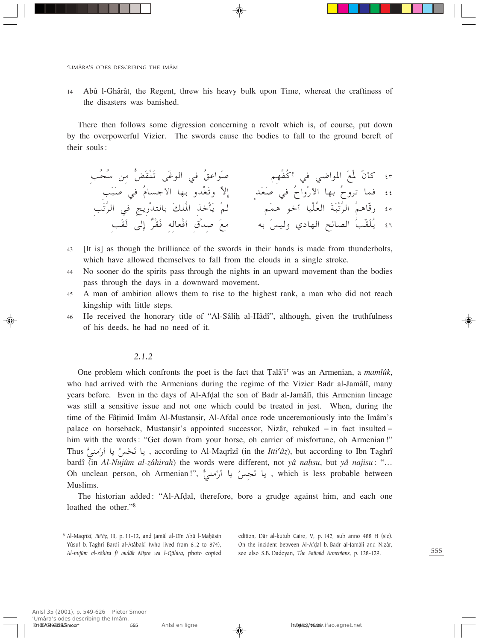Abû l-Ghârât, the Regent, threw his heavy bulk upon Time, whereat the craftiness of  $14$ the disasters was banished.

There then follows some digression concerning a revolt which is, of course, put down by the overpowerful Vizier. The swords cause the bodies to fall to the ground bereft of their souls:

- [It is] as though the brilliance of the swords in their hands is made from thunderbolts, 43 which have allowed themselves to fall from the clouds in a single stroke.
- No sooner do the spirits pass through the nights in an upward movement than the bodies 44 pass through the days in a downward movement.
- A man of ambition allows them to rise to the highest rank, a man who did not reach 45 kingship with little steps.
- He received the honorary title of "Al-Sâlih al-Hâdî", although, given the truthfulness 46 of his deeds, he had no need of it.

## $2.1.2$

One problem which confronts the poet is the fact that Talâ's' was an Armenian, a mamlûk, who had arrived with the Armenians during the regime of the Vizier Badr al-Jamâlî, many years before. Even in the days of Al-Afdal the son of Badr al-Jamâlî, this Armenian lineage was still a sensitive issue and not one which could be treated in jest. When, during the time of the Fâtimid Imâm Al-Mustansir, Al-Afdal once rode unceremoniously into the Imâm's palace on horseback, Mustansir's appointed successor, Nizâr, rebuked – in fact insulted – him with the words: "Get down from your horse, oh carrier of misfortune, oh Armenian!" Thus " يا نَحْس يا أَرْمَنِي , according to Al-Maqrîzî (in the *Itti<sup>c</sup>â*z), but according to Ibn Taghrî bardî (in Al-Nujûm al-zâhirah) the words were different, not yâ nahsu, but yâ najisu: "... Oh unclean person, oh Armenian!", يا نَجِسُ يا أَرْمنيٌ ," which is less probable between Muslims.

The historian added: "Al-Afdal, therefore, bore a grudge against him, and each one loathed the other."<sup>8</sup>

edition, Dâr al-kutub Cairo, V, p. 142, sub anno 488 H (sic). On the incident between Al-Afdal b. Badr al-Jamâlî and Nizâr, see also S.B. Dadoyan, The Fatimid Armenians, p. 128-129.

<sup>8</sup> Al-Maqrîzî, Itti'âz, III, p. 11-12, and Jamâl al-Dîn Abû l-Maḥâsin Yûsuf b. Taghrî Bardî al-Atâbakî (who lived from 812 to 874), Al-nujûm al-zâhira fî mulûk Mişra wa l-Qâhira, photo copied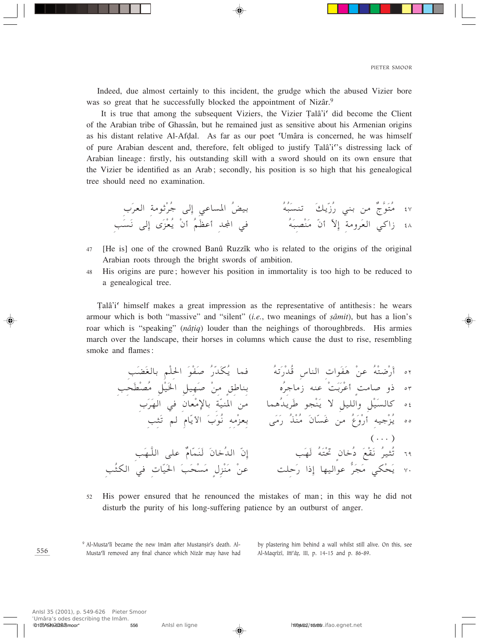Indeed, due almost certainly to this incident, the grudge which the abused Vizier bore was so great that he successfully blocked the appointment of Nizâr.<sup>9</sup>

It is true that among the subsequent Viziers, the Vizier Talâ's did become the Client of the Arabian tribe of Ghassân, but he remained just as sensitive about his Armenian origins as his distant relative Al-Afdal. As far as our poet 'Umâra is concerned, he was himself of pure Arabian descent and, therefore, felt obliged to justify Talâ'i''s distressing lack of Arabian lineage: firstly, his outstanding skill with a sword should on its own ensure that the Vizier be identified as an Arab; secondly, his position is so high that his genealogical tree should need no examination.

- 47 [He is] one of the crowned Banû Ruzzîk who is related to the origins of the original Arabian roots through the bright swords of ambition.
- His origins are pure; however his position in immortality is too high to be reduced to 48 a genealogical tree.

Talâ'i' himself makes a great impression as the representative of antithesis: he wears armour which is both "massive" and "silent" *(i.e.*, two meanings of *şâmit*), but has a lion's roar which is "speaking" (*nâțiq*) louder than the neighings of thoroughbreds. His armies march over the landscape, their horses in columns which cause the dust to rise, resembling smoke and flames:

His power ensured that he renounced the mistakes of man; in this way he did not 52 disturb the purity of his long-suffering patience by an outburst of anger.

556

<sup>9</sup> Al-Musta'lî became the new Imâm after Mustanșir's death. Al-Musta'lî removed any final chance which Nizâr may have had

by plastering him behind a wall whilst still alive. On this, see Al-Maqrîzî, Itti'âz, III, p. 14-15 and p. 86-89.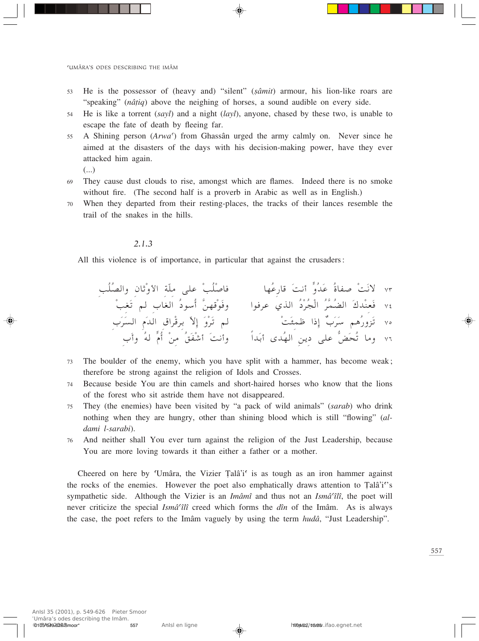- He is the possessor of (heavy and) "silent" (sâmit) armour, his lion-like roars are 53 "speaking" (*nâtiq*) above the neighing of horses, a sound audible on every side.
- He is like a torrent  $(sayl)$  and a night  $(layl)$ , anyone, chased by these two, is unable to 54 escape the fate of death by fleeing far.
- A Shining person (Arwa') from Ghassân urged the army calmly on. Never since he 55 aimed at the disasters of the days with his decision-making power, have they ever attacked him again.
	- $(\ldots)$
- They cause dust clouds to rise, amongst which are flames. Indeed there is no smoke 69 without fire. (The second half is a proverb in Arabic as well as in English.)
- When they departed from their resting-places, the tracks of their lances resemble the 70 trail of the snakes in the hills.

#### $2.1.3$

All this violence is of importance, in particular that against the crusaders:

- The boulder of the enemy, which you have split with a hammer, has become weak; 73 therefore be strong against the religion of Idols and Crosses.
- Because beside You are thin camels and short-haired horses who know that the lions 74 of the forest who sit astride them have not disappeared.
- They (the enemies) have been visited by "a pack of wild animals" (sarab) who drink 75 nothing when they are hungry, other than shining blood which is still "flowing" (aldami l-sarabi).
- And neither shall You ever turn against the religion of the Just Leadership, because 76 You are more loving towards it than either a father or a mother.

Cheered on here by 'Umâra, the Vizier Talâ'i' is as tough as an iron hammer against the rocks of the enemies. However the poet also emphatically draws attention to Talâ'i's sympathetic side. Although the Vizier is an *Imâmî* and thus not an *Ismâ'îlî*, the poet will never criticize the special Ismâ<sup>c</sup>îlî creed which forms the dîn of the Imâm. As is always the case, the poet refers to the Imâm vaguely by using the term *hudâ*, "Just Leadership".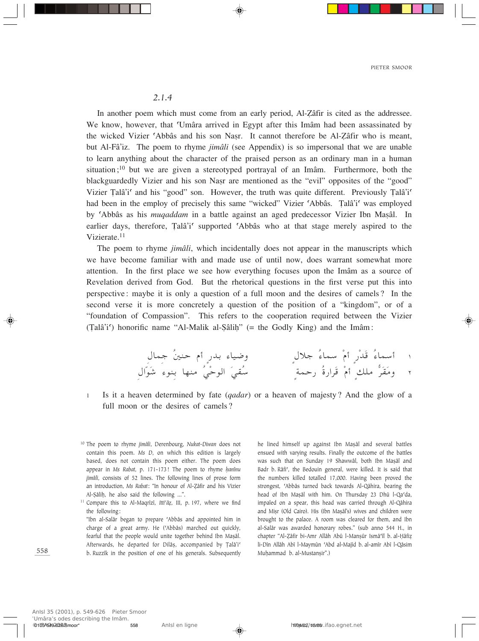#### *2.1.4*

In another poem which must come from an early period, Al-Zâfir is cited as the addressee. We know, however, that 'Umâra arrived in Egypt after this Imâm had been assassinated by the wicked Vizier 'Abbâs and his son Nasr. It cannot therefore be Al-Zâfir who is meant, but Al-Fâ'iz. The poem to rhyme *jimâli* (see Appendix) is so impersonal that we are unable to learn anything about the character of the praised person as an ordinary man in a human situation;<sup>10</sup> but we are given a stereotyped portrayal of an Imâm. Furthermore, both the blackguardedly Vizier and his son Nasr are mentioned as the "evil" opposites of the "good" Vizier Talâ'i' and his "good" son. However, the truth was quite different. Previously Talâ'i' had been in the employ of precisely this same "wicked" Vizier 'Abbâs. Talâ'i' was employed by 'Abbâs as his *muqaddam* in a battle against an aged predecessor Vizier Ibn Mașâl. In earlier days, therefore, Talâ'i' supported 'Abbâs who at that stage merely aspired to the Vizierate.<sup>11</sup>

The poem to rhyme *jimâli*, which incidentally does not appear in the manuscripts which we have become familiar with and made use of until now, does warrant somewhat more attention. In the first place we see how everything focuses upon the Imâm as a source of Revelation derived from God. But the rhetorical questions in the first verse put this into perspective: maybe it is only a question of a full moon and the desires of camels? In the second verse it is more concretely a question of the position of a "kingdom", or of a "foundation of Compassion". This refers to the cooperation required between the Vizier (™alâ'i©) honorific name "Al-Malik al-∑âliÌ" (= the Godly King) and the Imâm:

- ‰ULł Ô5MŠ Â√ Ì—bÐ ¡UO{Ë ̉öł Ô¡ULÝ ÚÂ√ Ì—ÚbÓ- Ô¡ULÝ√ ± ‰«ÒuÓý ¡uMÐ UNM ÔwÚŠu« ÓwIÔÝ ÌWLŠ— Ô…—«dÓ- ÚÂ√ ÌpK ^ dÓIÓ Ë ≤
- <sup>1</sup> Is it a heaven determined by fate (*qadar*) or a heaven of majesty? And the glow of a full moon or the desires of camels?
- <sup>10</sup> The poem to rhyme *jimâli*, Derenbourg, *Nukat-Diwan* does not contain this poem. *Ms D*, on which this edition is largely based, does not contain this poem either. The poem does appear in *Ms Rabat*, p. 171-173! The poem to rhyme *Ìanînu jimâli*, consists of 52 lines. The following lines of prose form an introduction, *Ms Rabat*: "In honour of Al-Zâfir and his Vizier Al-Şâliḥ, he also said the following ...".
- <sup>11</sup> Compare this to Al-Maqrîzî, *Itti<sup>c</sup>âz*, *III*, p. 197, where we find the following:

"Ibn al-Salâr began to prepare ©Abbâs and appointed him in charge of a great army. He ('Abbâs) marched out quickly, fearful that the people would unite together behind Ibn Mașâl. Afterwards, he departed for Dilâș, accompanied by Țalâ'i<sup>c</sup> b. Ruzzîk in the position of one of his generals. Subsequently

he lined himself up against Ibn Mașâl and several battles ensued with varying results. Finally the outcome of the battles was such that on Sunday 19 Shawwâl, both Ibn Mașâl and Badr b. Râfi', the Bedouin general, were killed. It is said that the numbers killed totalled 17,000. Having been proved the strongest, 'Abbâs turned back towards Al-Qâhira, bearing the head of Ibn Mașâl with him. On Thursday 23 Dhû l-Qa'da, impaled on a spear, this head was carried through Al-Qâhira and Misr (Old Cairo). His (Ibn Mașâl's) wives and children were brought to the palace. A room was cleared for them, and Ibn al-Salâr was awarded honorary robes." (sub anno 544 H., in chapter "Al-Zâfir bi-Amr Allâh Abû l-Manşûr Ismâ'îl b. al-Hâfiz li-Dîn Allâh Abî l-Maymûn 'Abd al-Majîd b. al-amîr Abî l-Qâsim Muhammad b. al-Mustansir".)

558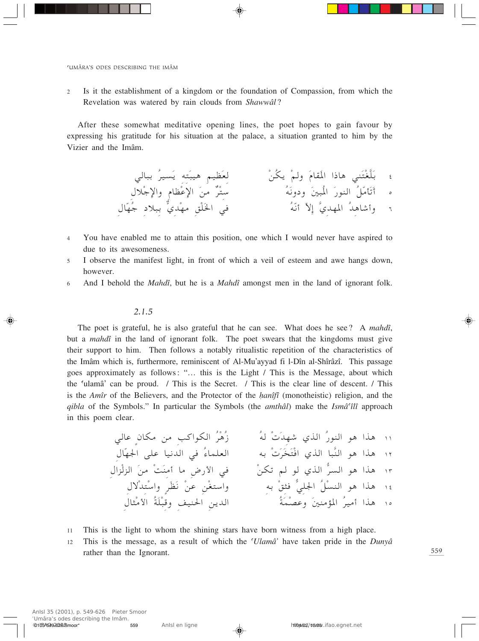2 Is it the establishment of a kingdom or the foundation of Compassion, from which the Revelation was watered by rain clouds from *Shawwâl*?

After these somewhat meditative opening lines, the poet hopes to gain favour by expressing his gratitude for his situation at the palace, a situation granted to him by the Vizier and the Imâm.



- 4 You have enabled me to attain this position, one which I would never have aspired to due to its awesomeness.
- <sup>5</sup> I observe the manifest light, in front of which a veil of esteem and awe hangs down, however.
- <sup>6</sup> And I behold the *Mahdî*, but he is a *Mahdî* amongst men in the land of ignorant folk.

#### *2.1.5*

The poet is grateful, he is also grateful that he can see. What does he see? A *mahdî*, but a *mahdî* in the land of ignorant folk. The poet swears that the kingdoms must give their support to him. Then follows a notably ritualistic repetition of the characteristics of the Imâm which is, furthermore, reminiscent of Al-Mu'ayyad fi l-Dîn al-Shîrâzî. This passage goes approximately as follows: "… this is the Light / This is the Message, about which the ©ulamâ' can be proud. / This is the Secret. / This is the clear line of descent. / This is the *Amîr* of the Believers, and the Protector of the *hanîfî* (monotheistic) religion, and the *qibla* of the Symbols." In particular the Symbols (the *amthâl*) make the *Ismâ©îlî* approach in this poem clear.

wUŽ ÌÊUJ s V«uJ« ÔdÚ¼Ô" Ôt Ú ÓbNý Íc« Ô—uM« u¼ «c¼ ±± ‰UÒN'« vKŽ UO½b« w Ô¡ULKF« tÐ Ú ÓdÓÓ²Ú« Íc« U³]M« u¼ «c¼ ±≤ ‰«eÚe« Ós ÚXÓM √ U ÷—\_« w ÚsJð r u Íc« ^ d« u¼ «c¼ ±≥ ‰ôÚb²ÚÝ«Ë ÌdÓEÓ½ ÚsŽ sÚG²Ý«Ë tÐ Úo¦ wK'« ÔqÚM« u¼ «c¼ ±¥ ‰U¦Ú \_« ÔWÓKÚ³-Ë nOM(« s¹b« ÔWÓLÚBŽË Ó5M R\*« ÔdO √ «c¼ ±µ

- 11 This is the light to whom the shining stars have born witness from a high place.
- <sup>12</sup> This is the message, as a result of which the *©Ulamâ'* have taken pride in the *Dunyâ* rather than the Ignorant.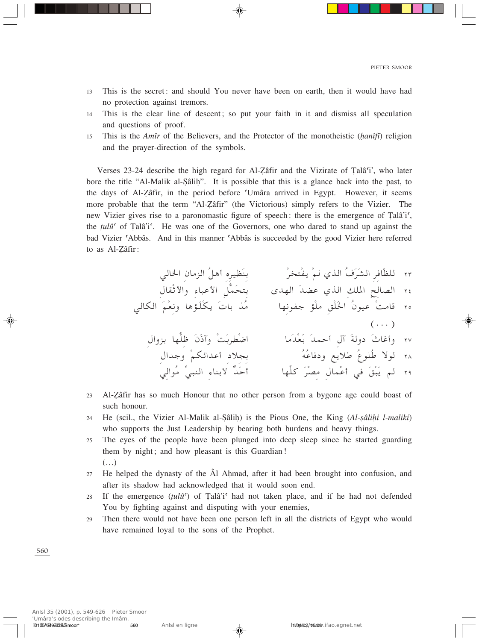- This is the secret: and should You never have been on earth, then it would have had 13 no protection against tremors.
- This is the clear line of descent; so put your faith in it and dismiss all speculation  $14$ and questions of proof.
- This is the Amîr of the Believers, and the Protector of the monotheistic (hanîfî) religion 15 and the prayer-direction of the symbols.

Verses 23-24 describe the high regard for Al-Zâfir and the Vizirate of Talâsi, who later bore the title "Al-Malik al-Sâlih". It is possible that this is a glance back into the past, to the days of Al-Zâfir, in the period before 'Umâra arrived in Egypt. However, it seems more probable that the term "Al-Zâfir" (the Victorious) simply refers to the Vizier. The new Vizier gives rise to a paronomastic figure of speech: there is the emergence of Talâ'i', the  $tul\hat{u}^{\prime}$  of Tala''. He was one of the Governors, one who dared to stand up against the bad Vizier 'Abbâs. And in this manner 'Abbâs is succeeded by the good Vizier here referred to as Al-Zâfir:

- ٢٣ للظّافرِ الشّرَفُ الذي لمْ يفْتخرْ<br>٢٤ الصالحِ الملكِ الذي عضدَ الهدى بِتحَمُّلَ الأعباءِ والأثْقالِ ٢٥ قامتْ عيونُ الخَلْقِ ملْوْ جفونِها مسلَّمَن باتَ يكْلَـوُّها ونعْمَ الكالى  $(\ldots)$ ٢٧ وَأَغَاثُ دولةَ آلِ أحمدَ بَعْدَما<br>٢٨ لولا طُلوعُ طلايع ودفاعُهُ<br>٢٩ لولا طُلوعُ طلايع ودفاعُهُ<br>٢٩ لم يَبْقَ في أعْمالِ مِصْرَ كلِّها ۖ أَحَدٌّ لَأبناءِ النبيِّ مُوالِيَ
- Al-Zâfir has so much Honour that no other person from a bygone age could boast of 23 such honour.
- He (scil., the Vizier Al-Malik al-Sâlih) is the Pious One, the King (Al-sâlihi l-maliki)  $24$ who supports the Just Leadership by bearing both burdens and heavy things.
- The eyes of the people have been plunged into deep sleep since he started guarding 25 them by night; and how pleasant is this Guardian!  $(\ldots)$
- He helped the dynasty of the  $\hat{A}$ l Ahmad, after it had been brought into confusion, and 27 after its shadow had acknowledged that it would soon end.
- If the emergence  $(tul\hat{u})$  of Talâ'i' had not taken place, and if he had not defended 28 You by fighting against and disputing with your enemies,
- Then there would not have been one person left in all the districts of Egypt who would 29 have remained loyal to the sons of the Prophet.

560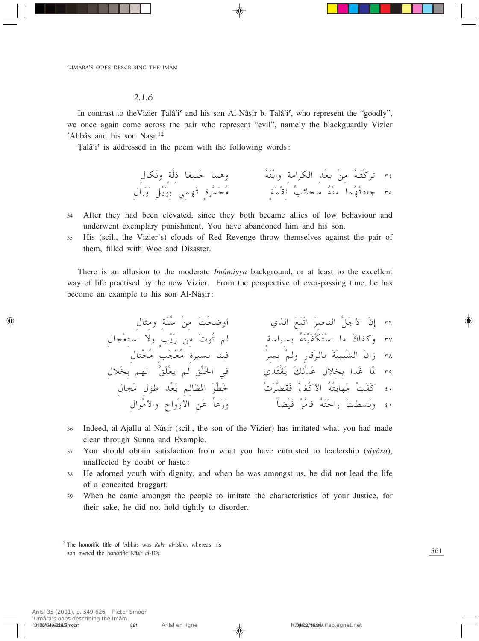#### *2.1.6*

In contrast to the Vizier Talâ'i<sup>c</sup> and his son Al-Nâșir b. Talâ'i<sup>c</sup>, who represent the "goodly", we once again come across the pair who represent "evil", namely the blackguardly Vizier 'Abbâs and his son Nașr.<sup>12</sup>

Talâ'i' is addressed in the poem with the following words:

‰UJÓ½Ë ÌW]– UHOKÓŠ UL¼Ë ÔtÓMÚЫË W «dJ« bÚFÐ Ús Ôt‡Ó²Údð ≥¥ ‰UÐÓËÓ qÚ¹ÓuÐ wLNÓð Ì…d]LÓ×Ô ÌWÓLÚI½ ÔVzU×Ý ÔtÚM ULÔNÚðœUł ≥µ

- 34 After they had been elevated, since they both became allies of low behaviour and underwent exemplary punishment, You have abandoned him and his son.
- 35 His (scil., the Vizier's) clouds of Red Revenge throw themselves against the pair of them, filled with Woe and Disaster.

There is an allusion to the moderate *Imâmiyya* background, or at least to the excellent way of life practised by the new Vizier. From the perspective of ever-passing time, he has become an example to his son Al-Nâșir:

‰U¦ Ë ÌWÒMÔÝ Ús ÓXÚ×{Ë√ Íc« ÓlÓ³Òð« Ód
UM« ]qÓł\_« ÒÊ≈ ≥∂ ‰U−ÚF²Ý« ôË ÌVÚ¹Ó— s Ó uÔð r ÌWÝUOÐ ÔtÓ²ÚOÓHÚJÓ²ÚÝ« U Ó"UHË ≥∑ ‰U²ÚÔ ÌVÓ−ÚFÔ …dOÐ UMO Úd¹ ÚrË —U-ÓuUÐ ÓWÓ³O³ÓA« ÓÊ«" ≥∏ ‰öÓÐ rN ÚoÓKÚF¹ r oÚKÓ)« w ÍbÓ²ÚIÓ¹ ÓpÚbÓŽ ‰öÐ «bÓž UÒ\* ≥π ‰U−Ó ‰uÞ bÚFÓÐ rUE\*« ÓuÚDÓš Ú Ód]BIÓ ]nÔ\_« ÔtÔ²ÐUNÓ ÚXÓHÓ ¥∞ ‰«uÚ \_«Ë Õ«ËÚ—\_« sÓŽ ÎUŽÓ—ÓË ÎUCÚOÓ ÚdÔ U ÔtÓ²ÓŠ«— ÓXDÓÐË ¥±

- 36 Indeed, al-Ajallu al-Nâșir (scil., the son of the Vizier) has imitated what you had made clear through Sunna and Example.
- <sup>37</sup> You should obtain satisfaction from what you have entrusted to leadership (*siyâsa*), unaffected by doubt or haste:
- 38 He adorned youth with dignity, and when he was amongst us, he did not lead the life of a conceited braggart.
- 39 When he came amongst the people to imitate the characteristics of your Justice, for their sake, he did not hold tightly to disorder.

<sup>&</sup>lt;sup>12</sup> The honorific title of 'Abbâs was *Rukn al-Islâm*, whereas his son owned the honorific *Nâsir al-Dîn*.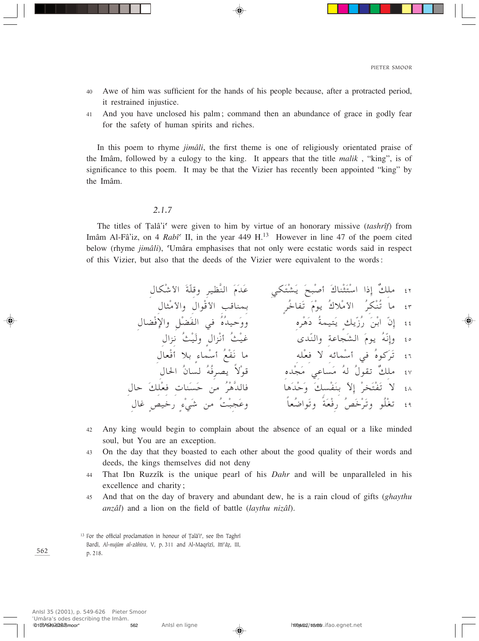- 40 Awe of him was sufficient for the hands of his people because, after a protracted period, it restrained injustice.
- 41 And you have unclosed his palm; command then an abundance of grace in godly fear for the safety of human spirits and riches.

In this poem to rhyme *jimâli*, the first theme is one of religiously orientated praise of the Imâm, followed by a eulogy to the king. It appears that the title *malik* , "king", is of significance to this poem. It may be that the Vizier has recently been appointed "king" by the Imâm.

## *2.1.7*

The titles of Talâ'i<sup>c</sup> were given to him by virtue of an honorary missive (tashrîf) from Imâm Al-Fâ'iz, on 4 *Rabî*<sup> $\epsilon$ </sup> II, in the year 449 H.<sup>13</sup> However in line 47 of the poem cited below (rhyme *jimâli*), ©Umâra emphasises that not only were ecstatic words said in respect of this Vizier, but also that the deeds of the Vizier were equivalent to the words:

‰UJÚý\_« ÓWÒK-Ë dOE]M« ÓÂÓbÓŽ wJÓ²ÚAÓ¹ Ó`³Ú
√ Ó"UMÚ¦Ó²ÚÝ« «–≈ ÏpK ¥≤ ‰U¦Ú \_«Ë ‰«uÚ-\_« V-UMLÐ ÌdÔšUHÓð ÓÂÚu¹ Ô"öÚ \_« ÔdJÚMÔð U ¥≥ ‰UCÚù«Ë qÚCÓH« w ÔÁÔbOŠÓËË ÁdÚ¼Óœ ÔWLO²Ó¹ Ìp¹Ò"Ô— ÓsÚЫ ÒÊ≈ ¥¥ ‰«e½ ÔYÚOÓË ̉«eÚ½√ ÔYÚOž ÈbÒM«Ë WŽU−ÓA« ÓÂu¹ ÔtÒ½≈Ë ¥µ ‰UFÚ√ öÐ Ì¡ULÚÝ√ ÔlÚHÓ½ U tKÚF ô tzULÚÝ√ w ÔÁuÓdÓð ¥∂ ‰U(« ÔÊU ÔtÔdB¹ ÎôÚu- ÁbÚ−Ó wŽUÓ Ôt Ô‰uIð ÏpK ¥∑ ‰UŠ ÓpKÚF UMÓÓŠ s ÔdÚ¼]bU U¼ÓbÚŠÓË ÓpÚHÓMÐ Òô≈ ÚdÓ²ÚHÓð ô ¥∏ ‰Už ÌhOš— Ì¡ÚwÓý s ÔXÚ³−ÓŽË ÎUFÔ{«uÓðË ÎWÓFÚ— ÔhÓšÚdÓðË uÔKÚGð ¥π

- <sup>42</sup> Any king would begin to complain about the absence of an equal or a like minded soul, but You are an exception.
- 43 On the day that they boasted to each other about the good quality of their words and deeds, the kings themselves did not deny
- <sup>44</sup> That Ibn Ruzzîk is the unique pearl of his *Dahr* and will be unparalleled in his excellence and charity;
- <sup>45</sup> And that on the day of bravery and abundant dew, he is a rain cloud of gifts (*ghaythu anzâl*) and a lion on the field of battle (*laythu nizâl*).

562

ʿUmâra's odes describing the Imâm.

p. 218.

<sup>&</sup>lt;sup>13</sup> For the official proclamation in honour of Talâ'i', see Ibn Taghrî

Bardî, Al-nujûm al-zâhira, V, p. 311 and Al-Maqrîzî, Itti<sup>c</sup>âz, III,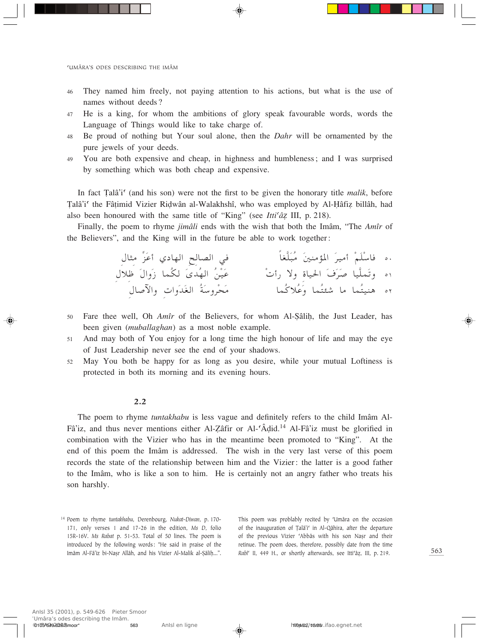- 46 They named him freely, not paying attention to his actions, but what is the use of names without deeds?
- 47 He is a king, for whom the ambitions of glory speak favourable words, words the Language of Things would like to take charge of.
- <sup>48</sup> Be proud of nothing but Your soul alone, then the *Dahr* will be ornamented by the pure jewels of your deeds.
- 49 You are both expensive and cheap, in highness and humbleness; and I was surprised by something which was both cheap and expensive.

In fact Talâ'i<sup>c</sup> (and his son) were not the first to be given the honorary title *malik*, before Talâ'i<sup>c</sup> the Fâțimid Vizier Ridwân al-Walakhshî, who was employed by Al-Hâfiz billâh, had also been honoured with the same title of "King" (see *Itti<sup>c</sup>âZ* III, p. 218).

Finally, the poem to rhyme *jimâli* ends with the wish that both the Imâm, "The *Amîr* of the Believers", and the King will in the future be able to work together:

| في الصالِحِ الهادي أعَزُّ مِثالِ | .٥ فاسْلَمْ أميرَ المؤمنينَ مُبَلَّغاً |  |
|----------------------------------|----------------------------------------|--|
| عَيْنُ الهُدىَ لكُما زَوالَ ظلال | ٥١ وتَملَّيا صَرَفَ الحياة ولا رأتْ    |  |
| مَحْروسَةُ الغَدَواتِ والآصال    | ٥٢ هنيتُما ما شئتُما وَعُلاكُما        |  |

- 50 Fare thee well, Oh *Amîr* of the Believers, for whom Al-Şâlih, the Just Leader, has been given (*muballaghan*) as a most noble example.
- <sup>51</sup> And may both of You enjoy for a long time the high honour of life and may the eye of Just Leadership never see the end of your shadows.
- <sup>52</sup> May You both be happy for as long as you desire, while your mutual Loftiness is protected in both its morning and its evening hours.

#### 2.2

The poem to rhyme *tuntakhabu* is less vague and definitely refers to the child Imâm Al-Fâ'iz, and thus never mentions either Al-Zâfir or Al-'Âḍid.<sup>14</sup> Al-Fâ'iz must be glorified in combination with the Vizier who has in the meantime been promoted to "King". At the end of this poem the Imâm is addressed. The wish in the very last verse of this poem records the state of the relationship between him and the Vizier: the latter is a good father to the Imâm, who is like a son to him. He is certainly not an angry father who treats his son harshly.

This poem was problably recited by 'Umâra on the occasion of the inauguration of Țalâ'i<sup>c</sup> in Al-Qâhira, after the departure of the previous Vizier 'Abbâs with his son Nașr and their retinue. The poem does, therefore, possibly date from the time *Rabî<sup><i>*</sup></sup> II, 449 H., or shortly afterwards, see Itti<sup>*'az*</sup>, III, p. 219.

<sup>14</sup> Poem to rhyme *tuntakhabu*, Derenbourg, *Nukat-Diwan*, p. 170- 171, only verses 1 and 17-26 in the edition, *Ms D*, folio 15R-16V. *Ms Rabat* p. 51-53. Total of 50 lines. The poem is introduced by the following words: "He said in praise of the Imâm Al-Fâ'iz bi-Nașr Allâh, and his Vizier Al-Malik al-Şâliḥ...".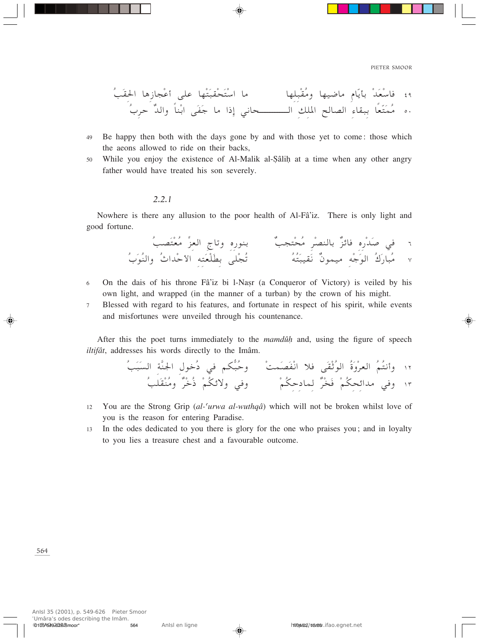- Be happy then both with the days gone by and with those yet to come: those which 49 the aeons allowed to ride on their backs,
- While you enjoy the existence of Al-Malik al-Sâlih at a time when any other angry  $50$ father would have treated his son severely.

#### $2.2.1$

Nowhere is there any allusion to the poor health of Al-Fâ'iz. There is only light and good fortune.

- On the dais of his throne Fâ'iz bi 1-Nasr (a Conqueror of Victory) is veiled by his 6 own light, and wrapped (in the manner of a turban) by the crown of his might.
- Blessed with regard to his features, and fortunate in respect of his spirit, while events  $\overline{7}$ and misfortunes were unveiled through his countenance.

After this the poet turns immediately to the *mandula* and, using the figure of speech iltifât, addresses his words directly to the Imâm.

- You are the Strong Grip (al-'urwa al-wuthqâ) which will not be broken whilst love of 12 you is the reason for entering Paradise.
- In the odes dedicated to you there is glory for the one who praises you; and in loyalty 13 to you lies a treasure chest and a favourable outcome.

564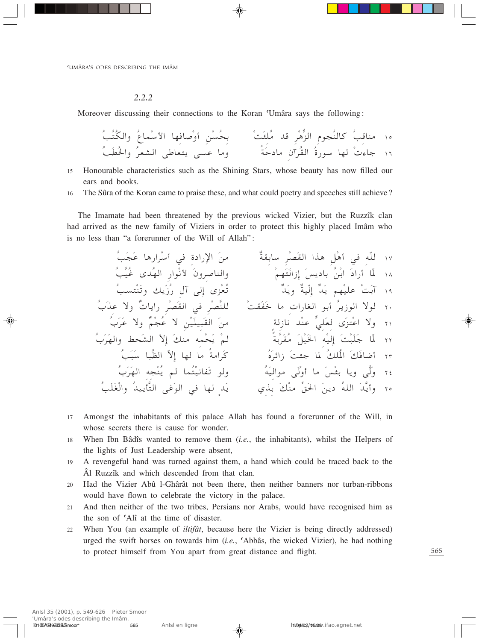#### $2.2.2$

Moreover discussing their connections to the Koran 'Umâra says the following:

- Honourable characteristics such as the Shining Stars, whose beauty has now filled our 15 ears and books.
- The Sûra of the Koran came to praise these, and what could poetry and speeches still achieve? 16

The Imamate had been threatened by the previous wicked Vizier, but the Ruzzîk clan had arrived as the new family of Viziers in order to protect this highly placed Imâm who is no less than "a forerunner of the Will of Allah":

- 17 Amongst the inhabitants of this palace Allah has found a forerunner of the Will, in whose secrets there is cause for wonder.
- When Ibn Bâdîs wanted to remove them *(i.e., the inhabitants)*, whilst the Helpers of 18 the lights of Just Leadership were absent,
- A revengeful hand was turned against them, a hand which could be traced back to the 19 Âl Ruzzîk and which descended from that clan.
- Had the Vizier Abû l-Ghârât not been there, then neither banners nor turban-ribbons 20 would have flown to celebrate the victory in the palace.
- And then neither of the two tribes, Persians nor Arabs, would have recognised him as  $2.1$ the son of 'Alî at the time of disaster.
- When You (an example of *iltifat*, because here the Vizier is being directly addressed)  $22$ urged the swift horses on towards him  $(i.e.,$  'Abbâs, the wicked Vizier), he had nothing to protect himself from You apart from great distance and flight.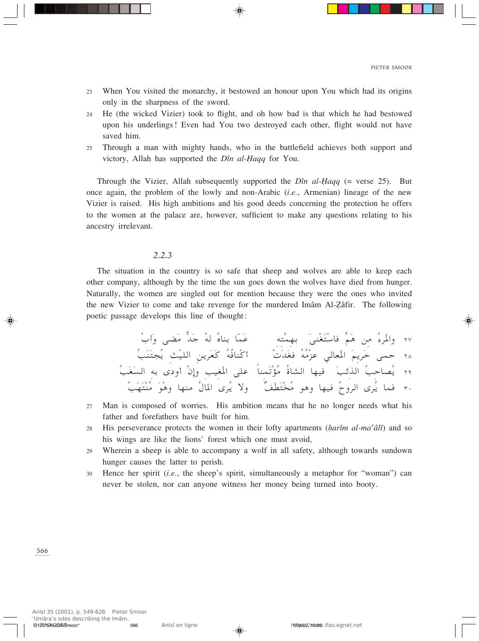- When You visited the monarchy, it bestowed an honour upon You which had its origins  $23$ only in the sharpness of the sword.
- He (the wicked Vizier) took to flight, and oh how bad is that which he had bestowed 24 upon his underlings! Even had You two destroyed each other, flight would not have saved him.
- Through a man with mighty hands, who in the battlefield achieves both support and 25 victory, Allah has supported the *Dîn al-Haqq* for You.

Through the Vizier, Allah subsequently supported the  $D\hat{n}$  al-Haqq (= verse 25). But once again, the problem of the lowly and non-Arabic *(i.e.*, Armenian) lineage of the new Vizier is raised. His high ambitions and his good deeds concerning the protection he offers to the women at the palace are, however, sufficient to make any questions relating to his ancestry irrelevant.

#### $2.2.3$

The situation in the country is so safe that sheep and wolves are able to keep each other company, although by the time the sun goes down the wolves have died from hunger. Naturally, the women are singled out for mention because they were the ones who invited the new Vizier to come and take revenge for the murdered Imâm Al-Zâfir. The following poetic passage develops this line of thought:

- Man is composed of worries. His ambition means that he no longer needs what his 27 father and forefathers have built for him.
- 28 His perseverance protects the women in their lofty apartments (harîm al-ma'âlî) and so his wings are like the lions' forest which one must avoid,
- Wherein a sheep is able to accompany a wolf in all safety, although towards sundown 29 hunger causes the latter to perish.
- Hence her spirit  $(i.e.,$  the sheep's spirit, simultaneously a metaphor for "woman") can 30 never be stolen, nor can anyone witness her money being turned into booty.

566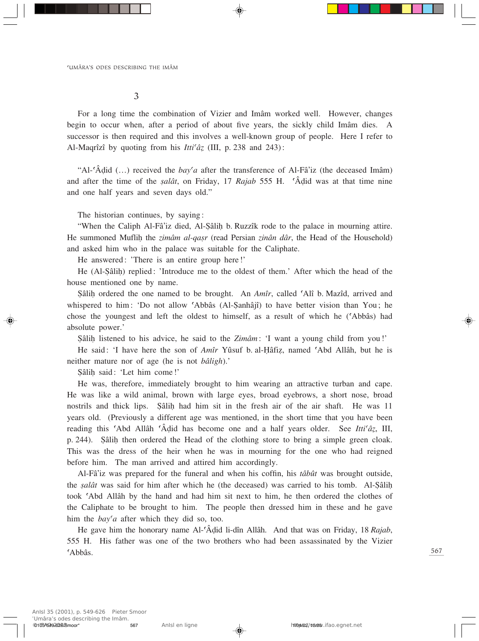3

For a long time the combination of Vizier and Imâm worked well. However, changes begin to occur when, after a period of about five years, the sickly child Imâm dies. A successor is then required and this involves a well-known group of people. Here I refer to Al-Maqrîzî by quoting from his *Itti<sup>c</sup>â*<sub>7</sub> (III, p. 238 and 243):

"Al-©Â∂id (…) received the *bay©a* after the transference of Al-Fâ'iz (the deceased Imâm) and after the time of the *salât*, on Friday, 17 *Rajab* 555 H. <sup>•</sup>Â $\ddot{A}$ did was at that time nine and one half years and seven days old."

The historian continues, by saying:

"When the Caliph Al-Fâ'iz died, Al-∑âliÌ b. Ruzzîk rode to the palace in mourning attire. He summoned Muflih the *zimâm al-qasr* (read Persian *zinân dâr*, the Head of the Household) and asked him who in the palace was suitable for the Caliphate.

He answered: 'There is an entire group here!'

He (Al-Sâlih) replied: 'Introduce me to the oldest of them.' After which the head of the house mentioned one by name.

Sâlih ordered the one named to be brought. An *Amîr*, called <sup>*CAlî*</sup> b. Mazîd, arrived and whispered to him: 'Do not allow ©Abbâs (Al-∑anhâjî) to have better vision than You; he chose the youngest and left the oldest to himself, as a result of which he (©Abbâs) had absolute power.'

∑âliÌ listened to his advice, he said to the *Zimâm*: 'I want a young child from you!'

He said: 'I have here the son of *Amîr* Yûsuf b. al-Hâfiz, named 'Abd Allâh, but he is neither mature nor of age (he is not *bâligh*).'

Sâlih said: 'Let him come!'

He was, therefore, immediately brought to him wearing an attractive turban and cape. He was like a wild animal, brown with large eyes, broad eyebrows, a short nose, broad nostrils and thick lips. Şâlih had him sit in the fresh air of the air shaft. He was 11 years old. (Previously a different age was mentioned, in the short time that you have been reading this 'Abd Allâh 'Âḍid has become one and a half years older. See *Itti<sup>c</sup>âz*, III, p. 244). Sâlih then ordered the Head of the clothing store to bring a simple green cloak. This was the dress of the heir when he was in mourning for the one who had reigned before him. The man arrived and attired him accordingly.

Al-Fâ'iz was prepared for the funeral and when his coffin, his *tâbût* was brought outside, the *salât* was said for him after which he (the deceased) was carried to his tomb. Al-Sâlih took ©Abd Allâh by the hand and had him sit next to him, he then ordered the clothes of the Caliphate to be brought to him. The people then dressed him in these and he gave him the *bay'a* after which they did so, too.

He gave him the honorary name Al-©Â∂id li-dîn Allâh. And that was on Friday, 18 *Rajab*, 555 H. His father was one of the two brothers who had been assassinated by the Vizier ©Abbâs.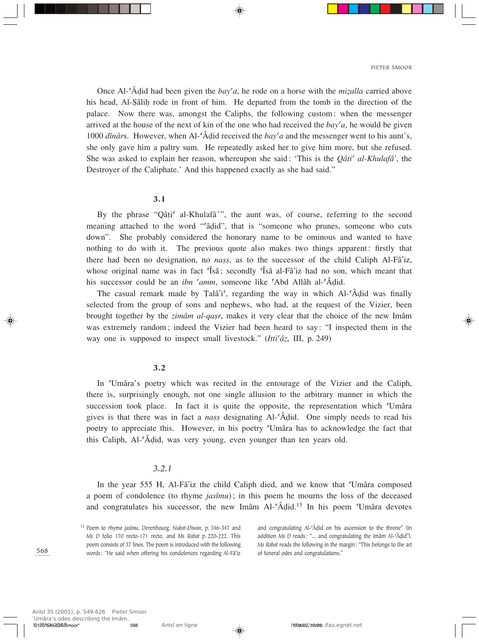Once Al-<sup>c</sup>Âdid had been given the *bay<sup>c</sup>a*, he rode on a horse with the *mizalla* carried above his head, Al-∑âliÌ rode in front of him. He departed from the tomb in the direction of the palace. Now there was, amongst the Caliphs, the following custom: when the messenger arrived at the house of the next of kin of the one who had received the  $bay^{\prime}a$ , he would be given 1000 *dînâr*s. However, when Al-©Â∂id received the *bay©a* and the messenger went to his aunt's, she only gave him a paltry sum. He repeatedly asked her to give him more, but she refused. She was asked to explain her reason, whereupon she said: 'This is the *Qâ†i© al-Khulafâ'*, the Destroyer of the Caliphate.' And this happened exactly as she had said."

#### 3.1

By the phrase "Qâți" al-Khulafâ'", the aunt was, of course, referring to the second meaning attached to the word "'âḍid", that is "someone who prunes, someone who cuts down". She probably considered the honorary name to be ominous and wanted to have nothing to do with it. The previous quote also makes two things apparent: firstly that there had been no designation, no *nass*, as to the successor of the child Caliph Al-Fâ'iz, whose original name was in fact  $\hat{\text{Is}}\hat{\text{a}}$ ; secondly  $\hat{\text{Is}}\hat{\text{a}}$  al-Fâ'iz had no son, which meant that his successor could be an *ibn ©amm*, someone like ©Abd Allâh al-©Â∂id.

The casual remark made by Talâ'i', regarding the way in which Al- $\hat{A}$ did was finally selected from the group of sons and nephews, who had, at the request of the Vizier, been brought together by the *zimâm al-qasr*, makes it very clear that the choice of the new Imâm was extremely random; indeed the Vizier had been heard to say: "I inspected them in the way one is supposed to inspect small livestock." (*Itti<sup>c</sup>â*z, III, p. 249)

#### 3.2

In ©Umâra's poetry which was recited in the entourage of the Vizier and the Caliph, there is, surprisingly enough, not one single allusion to the arbitrary manner in which the succession took place. In fact it is quite the opposite, the representation which Umâra gives is that there was in fact a *nass* designating Al-<sup>*CA*</sup>did. One simply needs to read his poetry to appreciate this. However, in his poetry ©Umâra has to acknowledge the fact that this Caliph, Al-©Â∂id, was very young, even younger than ten years old.

#### *3.2.1*

In the year 555 H, Al-Fâ'iz the child Caliph died, and we know that 'Umâra composed a poem of condolence (to rhyme *jasîmu*); in this poem he mourns the loss of the deceased and congratulates his successor, the new Imâm Al-©Â∂id. <sup>15</sup> In his poem ©Umâra devotes

<sup>15</sup> Poem to rhyme *jasîmu*, Derenbourg, *Nukat-Diwan*, p. 346-347 and *Ms D* folio 170 recto-171 recto, and *Ms Rabat* p. 220-222. This poem consists of 37 lines. The poem is introduced with the following words: "He said when offering his condolences regarding Al-Fâ'iz

and congratulating Al-'Âḍid on his ascension to the throne" (In addition *Ms D* reads: "... and congratulating the Imâm Al-'Âḍid"). *Ms Rabat* reads the following in the margin: "This belongs to the art of funeral odes and congratulations."

568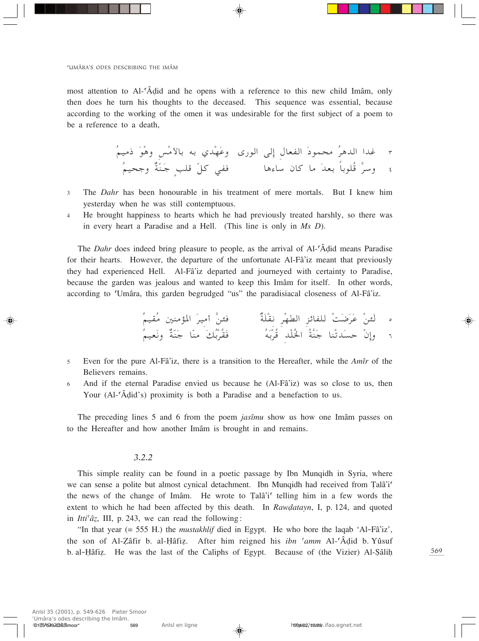most attention to Al-'Âdid and he opens with a reference to this new child Imâm, only then does he turn his thoughts to the deceased. This sequence was essential, because according to the working of the omen it was undesirable for the first subject of a poem to be a reference to a death.

- The *Dahr* has been honourable in his treatment of mere mortals. But I knew him  $\mathfrak{Z}$ yesterday when he was still contemptuous.
- He brought happiness to hearts which he had previously treated harshly, so there was  $\overline{4}$ in every heart a Paradise and a Hell. (This line is only in  $Ms$   $D$ ).

The *Dahr* does indeed bring pleasure to people, as the arrival of Al-'Âdid means Paradise for their hearts. However, the departure of the unfortunate Al-Fâ'iz meant that previously they had experienced Hell. Al-Fâ'iz departed and journeyed with certainty to Paradise, because the garden was jealous and wanted to keep this Imâm for itself. In other words, according to 'Umâra, this garden begrudged "us" the paradisiacal closeness of Al-Fâ'iz.

- Even for the pure Al-Fâ'iz, there is a transition to the Hereafter, while the Amîr of the 5 Believers remains.
- And if the eternal Paradise envied us because he (Al-Fâ'iz) was so close to us, then 6 Your (Al-'Adid's) proximity is both a Paradise and a benefaction to us.

The preceding lines 5 and 6 from the poem *jastmu* show us how one Imam passes on to the Hereafter and how another Imâm is brought in and remains.

## $3.2.2$

This simple reality can be found in a poetic passage by Ibn Mungidh in Syria, where we can sense a polite but almost cynical detachment. Ibn Munqidh had received from Talâ'i' the news of the change of Imâm. He wrote to Talâ's' telling him in a few words the extent to which he had been affected by this death. In Rawdatayn, I, p. 124, and quoted in *Itti'âz*, III, p. 243, we can read the following:

"In that year  $(= 555 \text{ H})$  the *mustakhlif* died in Egypt. He who bore the laqab 'Al-Fâ'iz', the son of Al-Zâfir b. al-Hâfiz. After him reigned his *ibn 'amm* Al-'Âdid b. Yûsuf b. al-Hâfiz. He was the last of the Caliphs of Egypt. Because of (the Vizier) Al-Sâlih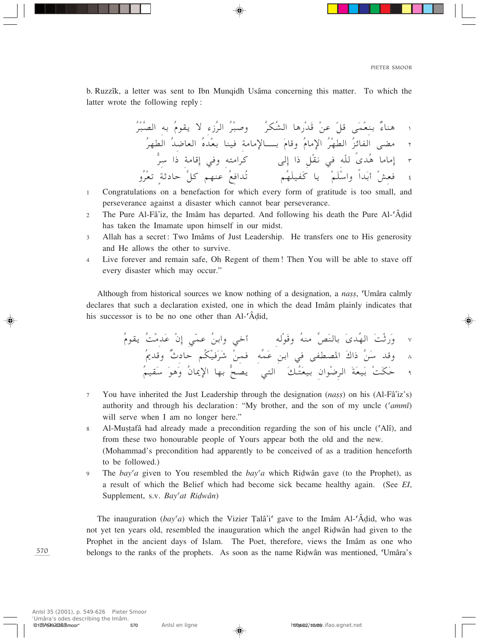b. Ruzzîk, a letter was sent to Ibn Mungidh Usâma concerning this matter. To which the latter wrote the following reply:

- Congratulations on a benefaction for which every form of gratitude is too small, and  $\mathbf{1}$ perseverance against a disaster which cannot bear perseverance.
- The Pure Al-Fâ'iz, the Imâm has departed. And following his death the Pure Al-'Âdid  $\overline{2}$ has taken the Imamate upon himself in our midst.
- Allah has a secret: Two Imâms of Just Leadership. He transfers one to His generosity  $\overline{3}$ and He allows the other to survive.
- Live forever and remain safe, Oh Regent of them! Then You will be able to stave off  $\overline{4}$ every disaster which may occur."

Although from historical sources we know nothing of a designation, a *nass*, Umâra calmly declares that such a declaration existed, one in which the dead Imam plainly indicates that his successor is to be no one other than Al-'Âdid,

- $\overline{7}$ You have inherited the Just Leadership through the designation (nass) on his (Al-Fâ'iz's) authority and through his declaration: "My brother, and the son of my uncle ('ammi') will serve when I am no longer here."
- Al-Mustafâ had already made a precondition regarding the son of his uncle ('Alî), and  $\overline{8}$ from these two honourable people of Yours appear both the old and the new. (Mohammad's precondition had apparently to be conceived of as a tradition henceforth to be followed.)
- The bay'a given to You resembled the bay'a which Ridwân gave (to the Prophet), as  $\overline{9}$ a result of which the Belief which had become sick became healthy again. (See EI, Supplement, s.v. Bay'at Ridwân)

The inauguration  $(bay^c a)$  which the Vizier Talâ'i' gave to the Imâm Al-'Âdid, who was not yet ten years old, resembled the inauguration which the angel Ridwân had given to the Prophet in the ancient days of Islam. The Poet, therefore, views the Imâm as one who belongs to the ranks of the prophets. As soon as the name Ridwân was mentioned, 'Umâra's

570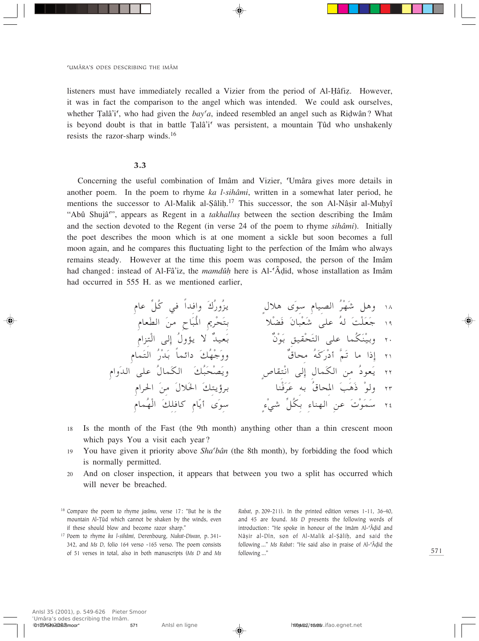listeners must have immediately recalled a Vizier from the period of Al-Hâfiz. However, it was in fact the comparison to the angel which was intended. We could ask ourselves, whether Tala<sup>'</sup>i', who had given the  $bay'a$ , indeed resembled an angel such as Ridwân? What is beyond doubt is that in battle Talâ'i' was persistent, a mountain Tûd who unshakenly resists the razor-sharp winds.<sup>16</sup>

## $3.3$

Concerning the useful combination of Imâm and Vizier, 'Umâra gives more details in another poem. In the poem to rhyme ka l-sihâmi, written in a somewhat later period, he mentions the successor to Al-Malik al-Sâlih.<sup>17</sup> This successor, the son Al-Nâșir al-Muhyî "Abû Shujâ", appears as Regent in a *takhallus* between the section describing the Imâm and the section devoted to the Regent (in verse 24 of the poem to rhyme sihâmi). Initially the poet describes the moon which is at one moment a sickle but soon becomes a full moon again, and he compares this fluctuating light to the perfection of the Imâm who always remains steady. However at the time this poem was composed, the person of the Imâm had changed: instead of Al-Fâ'iz, the *mamdûh* here is Al-'Âdid, whose installation as Imâm had occurred in 555 H. as we mentioned earlier,

- Is the month of the Fast (the 9th month) anything other than a thin crescent moon 18 which pays You a visit each year?
- You have given it priority above  $\textit{Sha'}\textit{bân}$  (the 8th month), by forbidding the food which 19 is normally permitted.
- And on closer inspection, it appears that between you two a split has occurred which 20 will never be breached.

<sup>17</sup> Poem to rhyme ka l-sihâmi, Derenbourg, Nukat-Diwan, p. 341-342, and Ms D, folio 164 verso -165 verso. The poem consists of 51 verses in total, also in both manuscripts (Ms D and Ms

Rabat, p. 209-211). In the printed edition verses 1-11, 36-40, and 45 are found. Ms D presents the following words of introduction: "He spoke in honour of the Imâm Al-'Âdid and Nâșir al-Dîn, son of Al-Malik al-Șâliḥ, and said the following..." Ms Rabat: "He said also in praise of Al-'Âdid the following...'

<sup>&</sup>lt;sup>16</sup> Compare the poem to rhyme jasîmu, verse 17: "But he is the mountain Al-Tûd which cannot be shaken by the winds, even if these should blow and become razor sharp."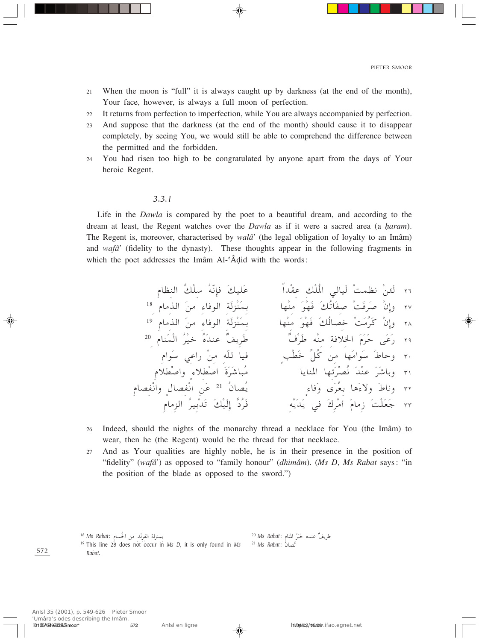- When the moon is "full" it is always caught up by darkness (at the end of the month),  $21$ Your face, however, is always a full moon of perfection.
- It returns from perfection to imperfection, while You are always accompanied by perfection. 22
- And suppose that the darkness (at the end of the month) should cause it to disappear 23 completely, by seeing You, we would still be able to comprehend the difference between the permitted and the forbidden.
- You had risen too high to be congratulated by anyone apart from the days of Your 24 heroic Regent.

#### $3.3.1$

م

Life in the *Dawla* is compared by the poet to a beautiful dream, and according to the dream at least, the Regent watches over the *Dawla* as if it were a sacred area (a *haram*). The Regent is, moreover, characterised by *walâ*' (the legal obligation of loyalty to an Imâm) and wafa' (fidelity to the dynasty). These thoughts appear in the following fragments in which the poet addresses the Imâm Al-'Âdid with the words:

- Indeed, should the nights of the monarchy thread a necklace for You (the Imâm) to 26 wear, then he (the Regent) would be the thread for that necklace.
- And as Your qualities are highly noble, he is in their presence in the position of 27 "fidelity" (wafâ') as opposed to "family honour" (dhimâm). (Ms D, Ms Rabat says: "in the position of the blade as opposed to the sword.")

| بمنزلة الفرنْد من الحُسام : <sup>18</sup> Ms Rabat                                                       | طريفٌ عنده خَبَرُ المنام :Ms Rabat <sup>20</sup> |
|----------------------------------------------------------------------------------------------------------|--------------------------------------------------|
| <sup>19</sup> This line 28 does not occur in Ms D, it is only found in Ms <sup>21</sup> Ms Rabat: تُصانُ |                                                  |
| Rabat.                                                                                                   |                                                  |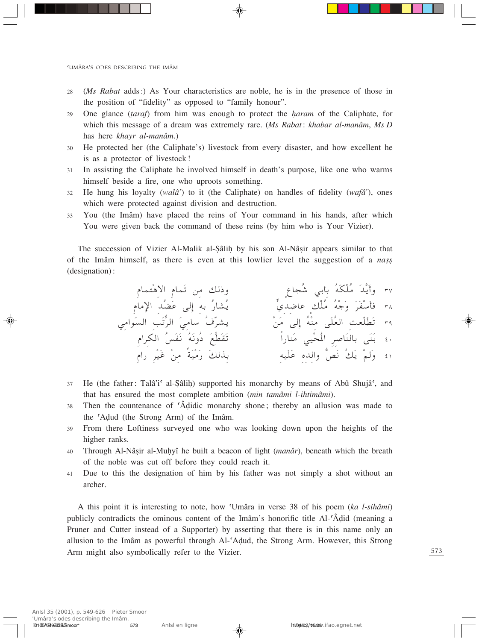- (*Ms Rabat* adds:) As Your characteristics are noble, he is in the presence of those in  $28$ the position of "fidelity" as opposed to "family honour".
- One glance *(taraf)* from him was enough to protect the *haram* of the Caliphate, for 29 which this message of a dream was extremely rare. (Ms Rabat: khabar al-manâm, Ms D has here khayr al-manâm.)
- He protected her (the Caliphate's) livestock from every disaster, and how excellent he 30 is as a protector of livestock!
- In assisting the Caliphate he involved himself in death's purpose, like one who warms 31 himself beside a fire, one who uproots something.
- He hung his loyalty (wala<sup>2</sup>) to it (the Caliphate) on handles of fidelity (wafa<sup>2</sup>), ones 32 which were protected against division and destruction.
- You (the Imâm) have placed the reins of Your command in his hands, after which 33 You were given back the command of these reins (by him who is Your Vizier).

The succession of Vizier Al-Malik al-Sâlih by his son Al-Nâsir appears similar to that of the Imâm himself, as there is even at this lowlier level the suggestion of a nass (designation):

- He (the father: Talâ'i' al-Sâlih) supported his monarchy by means of Abû Shujâ', and 37 that has ensured the most complete ambition (min tamâmi l-ihtimâmi).
- Then the countenance of 'Âdidic monarchy shone; thereby an allusion was made to 38 the 'Adud (the Strong Arm) of the Imâm.
- From there Loftiness surveyed one who was looking down upon the heights of the 39 higher ranks.
- Through Al-Nâșir al-Muhyî he built a beacon of light (manâr), beneath which the breath  $40$ of the noble was cut off before they could reach it.
- Due to this the designation of him by his father was not simply a shot without an  $41$ archer.

A this point it is interesting to note, how 'Umâra in verse 38 of his poem (ka l-sihâmi) publicly contradicts the ominous content of the Imâm's honorific title Al-'Âdid (meaning a Pruner and Cutter instead of a Supporter) by asserting that there is in this name only an allusion to the Imâm as powerful through Al-'Adud, the Strong Arm. However, this Strong Arm might also symbolically refer to the Vizier.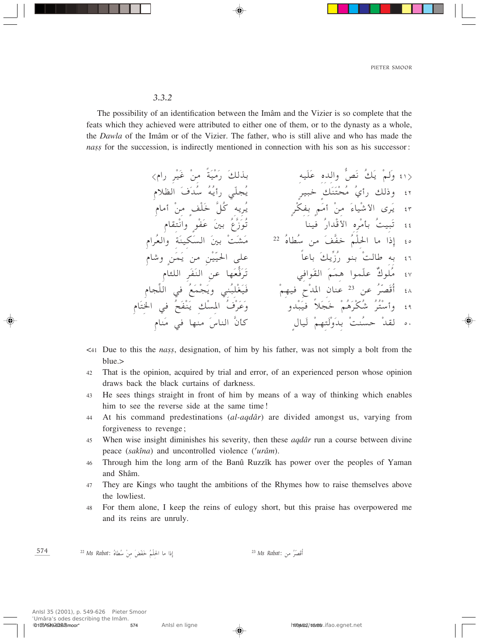PIETER SMOOR

#### $3.3.2$

The possibility of an identification between the Imâm and the Vizier is so complete that the feats which they achieved were attributed to either one of them, or to the dynasty as a whole, the *Dawla* of the Imâm or of the Vizier. The father, who is still alive and who has made the nass for the succession, is indirectly mentioned in connection with his son as his successor:

- $\leq$  1 Due to this the *nass*, designation, of him by his father, was not simply a bolt from the blue.>
- That is the opinion, acquired by trial and error, of an experienced person whose opinion  $42$ draws back the black curtains of darkness.
- He sees things straight in front of him by means of a way of thinking which enables 43 him to see the reverse side at the same time!
- At his command predestinations *(al-aqdar)* are divided amongst us, varying from 44 forgiveness to revenge;
- When wise insight diminishes his severity, then these *agdâr* run a course between divine 45 peace (sakîna) and uncontrolled violence ('urâm).
- Through him the long arm of the Banû Ruzzîk has power over the peoples of Yaman 46 and Shâm.
- They are Kings who taught the ambitions of the Rhymes how to raise themselves above 47 the lowliest.
- For them alone, I keep the reins of eulogy short, but this praise has overpowered me 48 and its reins are unruly.

574 <sup>23</sup> Ms Rabat: أَقَصَرُ من إذا ما الحلْمُ خَفّضَ منْ سُطاهُ :Ms Rabat <sup>22</sup>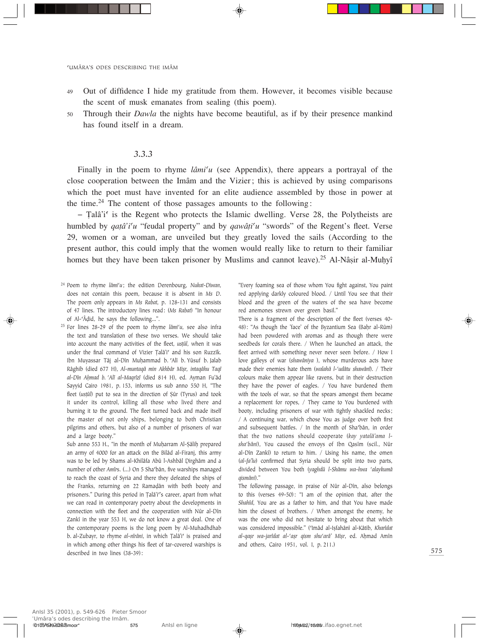- 49 Out of diffidence I hide my gratitude from them. However, it becomes visible because the scent of musk emanates from sealing (this poem).
- <sup>50</sup> Through their *Dawla* the nights have become beautiful, as if by their presence mankind has found itself in a dream.

## *3.3.3*

Finally in the poem to rhyme *lâmi<sup>c</sup>u* (see Appendix), there appears a portrayal of the close cooperation between the Imâm and the Vizier; this is achieved by using comparisons which the poet must have invented for an elite audience assembled by those in power at the time.<sup>24</sup> The content of those passages amounts to the following:

 $-$  Talâ'i<sup>c</sup> is the Regent who protects the Islamic dwelling. Verse 28, the Polytheists are humbled by *qatâ'i'u* "feudal property" and by *qawâți'u* "swords" of the Regent's fleet. Verse 29, women or a woman, are unveiled but they greatly loved the sails (According to the present author, this could imply that the women would really like to return to their familiar homes but they have been taken prisoner by Muslims and cannot leave).<sup>25</sup> Al-Nâșir al-Muḥyî

- <sup>24</sup> Poem to rhyme *lâmi©u*; the edition Derenbourg, *Nukat-Diwan*, does not contain this poem, because it is absent in *Ms D*. The poem only appears in *Ms Rabat*, p. 128-131 and consists of 47 lines. The introductory lines read: (*Ms Rabat*) "In honour of Al-©Â∂id, he says the following...".
- <sup>25</sup> For lines 28-29 of the poem to rhyme *lâmi<sup>c</sup>u*, see also infra the text and translation of these two verses. We should take into account the many activities of the fleet, *us†ûl*, when it was under the final command of Vizier Țalâ'i<sup>c</sup> and his son Ruzzîk. Ibn Muyassar Tâj al-Dîn Muḥammad b. 'Alî b. Yûsuf b. Jalab Râghib (died 677 H), Al-muntaqâ min Akhbâr Mișr, intaqâhu Taqî *al-Dîn AÌmad b. ©Alî al-Maqrîzî* (died 814 H), ed. Ayman Fu'âd Sayyid Cairo 1981, p. 153, informs us sub anno 550 H, "The fleet (*us†ûl*) put to sea in the direction of ∑ûr (Tyrus) and took it under its control, killing all those who lived there and burning it to the ground. The fleet turned back and made itself the master of not only ships, belonging to both Christian pilgrims and others, but also of a number of prisoners of war and a large booty."

Sub anno 553 H., "in the month of Muḥarram Al-Şâliḥ prepared an army of 4000 for an attack on the Bilâd al-Firanj, this army was to be led by Shams al-Khilâfa Abû l-Ashbâl Dirghâm and a number of other *Amîrs*. (...) On 5 Sha'bân, five warships managed to reach the coast of Syria and there they defeated the ships of the Franks, returning on 22 Ramaḍân with both booty and prisoners." During this period in Țalâ'i''s career, apart from what we can read in contemporary poetry about the developments in connection with the fleet and the cooperation with Nûr al-Dîn Zankî in the year 553 H, we do not know a great deal. One of the contemporary poems is the long poem by Al-Muhadhdhab b. al-Zubayr, to rhyme *al-nîrâni*, in which Țalâ'i<sup>c</sup> is praised and in which among other things his fleet of tar-covered warships is described in two lines (38-39):

"Every foaming sea of those whom You fight against, You paint red applying darkly coloured blood. / Until You see that their blood and the green of the waters of the sea have become red anemones strewn over green basil."

There is a fragment of the description of the fleet (verses 40- 48): "As though the 'face' of the Byzantium Sea (Baḥr al-Rûm) had been powdered with aromas and as though there were seedbeds for corals there. / When he launched an attack, the fleet arrived with something never never seen before. / How I love galleys of war (*shawâniya* ), whose murderous acts have made their enemies hate them (*walahâ l-©udâtu shawânî*). / Their colours make them appear like ravens, but in their destruction they have the power of eagles. / You have burdened them with the tools of war, so that the spears amongst them became a replacement for ropes, / They came to You burdened with booty, including prisoners of war with tightly shackled necks; / A continuing war, which chose You as judge over both first and subsequent battles. / In the month of Sha'bân, in order that the two nations should cooperate (*kay yatalâ'ama lsha©bâni*), You caused the envoys of Ibn Qasîm (scil., Nûr al-Dîn Zankî) to return to him. / Using his name, the omen (*al-fa'lu*) confirmed that Syria should be split into two parts, divided between You both (*yaghdû l-Shâmu wa-hwa ©alaykumâ qismâni*)."

The following passage, in praise of Nûr al-Dîn, also belongs to this (verses 49-50): "I am of the opinion that, after the *Shahîd*, You are as a father to him, and that You have made him the closest of brothers. / When amongst the enemy, he was the one who did not hesitate to bring about that which was considered impossible." ('Imâd al-Ișfahânî al-Kâtib, *Kharîdat al-qaÒr wa-jarîdat al-©aÒr qism shu©arâ' MiÒr*, ed. AÌmad Amîn and others, Cairo 1951, vol. I, p. 211.)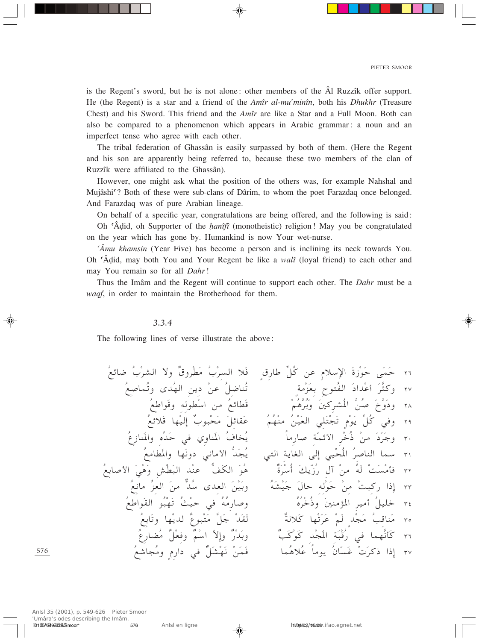is the Regent's sword, but he is not alone: other members of the  $\hat{A}$ l Ruzzîk offer support. He (the Regent) is a star and a friend of the *Amîr al-mu'minîn*, both his *Dhukhr* (Treasure Chest) and his Sword. This friend and the *Amîr* are like a Star and a Full Moon. Both can also be compared to a phenomenon which appears in Arabic grammar: a noun and an imperfect tense who agree with each other.

The tribal federation of Ghassân is easily surpassed by both of them. (Here the Regent and his son are apparently being referred to, because these two members of the clan of Ruzzîk were affiliated to the Ghassân).

However, one might ask what the position of the others was, for example Nahshal and Mujâshi<sup>c</sup>? Both of these were sub-clans of Dârim, to whom the poet Farazdaq once belonged. And Farazdaq was of pure Arabian lineage.

On behalf of a specific year, congratulations are being offered, and the following is said: Oh 'Âdid, oh Supporter of the *hanîfî* (monotheistic) religion! May you be congratulated on the year which has gone by. Humankind is now Your wet-nurse.

'Amu khamsin (Year Five) has become a person and is inclining its neck towards You. Oh 'Âdid, may both You and Your Regent be like a *walî* (loyal friend) to each other and may You remain so for all Dahr!

Thus the Imâm and the Regent will continue to support each other. The *Dahr* must be a waqf, in order to maintain the Brotherhood for them.

#### $3.3.4$

The following lines of verse illustrate the above:

576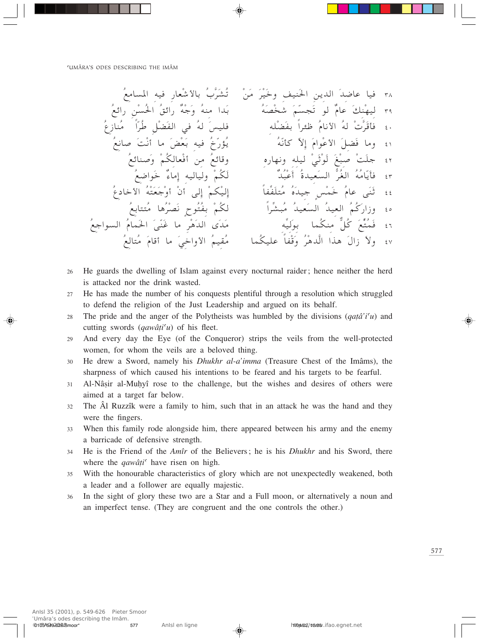- He guards the dwelling of Islam against every nocturnal raider; hence neither the herd 26 is attacked nor the drink wasted.
- He has made the number of his conquests plentiful through a resolution which struggled 27 to defend the religion of the Just Leadership and argued on its behalf.
- The pride and the anger of the Polytheists was humbled by the divisions  $(qat\hat{a}'i'u)$  and 28 cutting swords  $(qaw\hat{a}ti\hat{u})$  of his fleet.
- And every day the Eye (of the Conqueror) strips the veils from the well-protected 29 women, for whom the veils are a beloved thing.
- He drew a Sword, namely his *Dhukhr al-a'imma* (Treasure Chest of the Imâms), the 30 sharpness of which caused his intentions to be feared and his targets to be fearful.
- Al-Nâșir al-Muhyî rose to the challenge, but the wishes and desires of others were  $31$ aimed at a target far below.
- The Al Ruzzîk were a family to him, such that in an attack he was the hand and they 32 were the fingers.
- When this family rode alongside him, there appeared between his army and the enemy  $33$ a barricade of defensive strength.
- He is the Friend of the Amîr of the Believers; he is his *Dhukhr* and his Sword, there 34 where the *qawâti* have risen on high.
- With the honourable characteristics of glory which are not unexpectedly weakened, both 35 a leader and a follower are equally majestic.
- In the sight of glory these two are a Star and a Full moon, or alternatively a noun and 36 an imperfect tense. (They are congruent and the one controls the other.)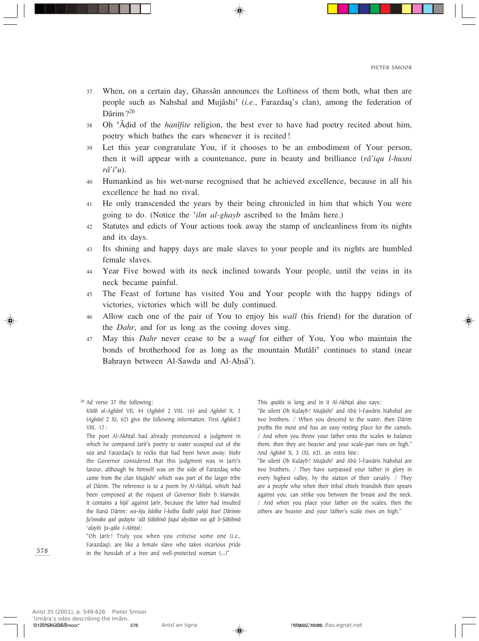- <sup>37</sup> When, on a certain day, Ghassân announces the Loftiness of them both, what then are people such as Nahshal and Mujâshi<sup>c</sup> (*i.e.*, Farazdaq's clan), among the federation of Dârim?<sup>26</sup>
- <sup>38</sup> Oh ©Â∂id of the *Ìanîfite* religion, the best ever to have had poetry recited about him, poetry which bathes the ears whenever it is recited!
- 39 Let this year congratulate You, if it chooses to be an embodiment of Your person, then it will appear with a countenance, pure in beauty and brilliance (*râ'iqu l-Ìusni râ'i©u*).
- 40 Humankind as his wet-nurse recognised that he achieved excellence, because in all his excellence he had no rival.
- 41 He only transcended the years by their being chronicled in him that which You were going to do. (Notice the 'ilm al-ghayb ascribed to the Imâm here.)
- 42 Statutes and edicts of Your actions took away the stamp of uncleanliness from its nights and its days.
- <sup>43</sup> Its shining and happy days are male slaves to your people and its nights are humbled female slaves.
- <sup>44</sup> Year Five bowed with its neck inclined towards Your people, until the veins in its neck became painful.
- <sup>45</sup> The Feast of fortune has visited You and Your people with the happy tidings of victories, victories which will be duly continued.
- <sup>46</sup> Allow each one of the pair of You to enjoy his *walî* (his friend) for the duration of the *Dahr*, and for as long as the cooing doves sing.
- <sup>47</sup> May this *Dahr* never cease to be a *waqf* for either of You, You who maintain the bonds of brotherhood for as long as the mountain Mutâli<sup>c</sup> continues to stand (near Bahrayn between Al-Sawda and Al-Aḥsâ').

<sup>26</sup> Ad verse 37 the following:

"Oh Jarîr! Truly you when you criticise some one (*i.e.*, Farazdaq), are like a female slave who takes vicarious pride in the howdah of a free and well-protected woman (…)"

This *qa*sîda is long and in it Al-Akhțal also says:

"Be silent Oh Kulayb! Mujâshi' and Abû l-Fawâris Nahshal are two brothers. / When you descend to the water, then Dârim profits the most and has an easy resting place for the camels. / And when you throw your father onto the scales to balance them, then they are heavier and your scale-pan rises on high." And *Aghânî* X, 3 (XI, 62), an extra line:

"Be silent Oh Kulayb! Mujâshi' and Abû l-Fawâris Nahshal are two brothers. / They have surpassed your father in glory in every highest valley, by the station of their cavalry. / They are a people who when their tribal chiefs brandish their spears against you, can strike you between the breast and the neck. / And when you place your father on the scales, then the others are heavier and your father's scale rises on high."

*Kitâb al-Aghânî* VII, 44 (*Aghânî* 2 VIII, 16) and *Aghânî* X, 3 (*Aghânî* 2 XI, 62) give the following information. First *Aghânî* 2 VIII, 17:

The poet Al-Akhțal had already pronounced a judgment in which he compared Jarîr's poetry to water scooped out of the sea and Farazdaq's to rocks that had been hewn away. Bishr the Governor considered that this judgment was in Jarîr's favour, although he himself was on the side of Farazdaq who came from the clan Mujâshi<sup>c</sup> which was part of the larger tribe of Dârim. The reference is to a poem by Al-Akh†al, which had been composed at the request of Governor Bishr b. Marwân. It contains a *hijâ'* against Jarîr, because the latter had insulted the Banû Dârim: *wa-hju hâdha l-kalba lladhî yahjû Banî Dârimin fa'innaka qad qa∂ayta ©alâ ∑âÌibinâ faqul abyâtan wa q∂i li-∑âÌibinâ ©alayhi fa-qâla l-Akh†al*: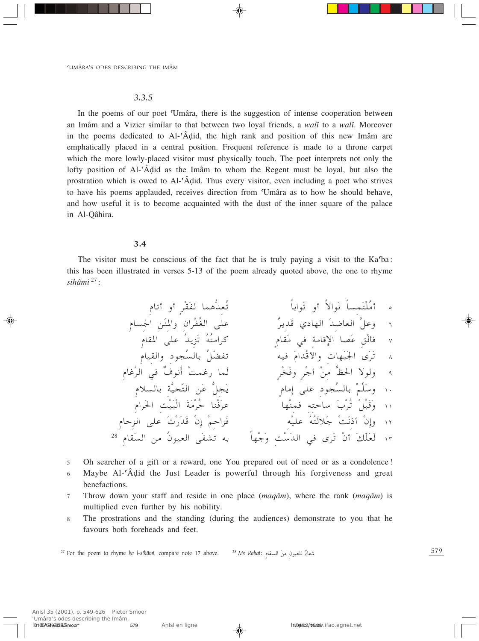#### $3.3.5$

In the poems of our poet 'Umâra, there is the suggestion of intense cooperation between an Imâm and a Vizier similar to that between two loyal friends, a walî to a walî. Moreover in the poems dedicated to Al-'Âdid, the high rank and position of this new Imâm are emphatically placed in a central position. Frequent reference is made to a throne carpet which the more lowly-placed visitor must physically touch. The poet interprets not only the lofty position of Al-'Âdid as the Imâm to whom the Regent must be loyal, but also the prostration which is owed to Al-'Âdid. Thus every visitor, even including a poet who strives to have his poems applauded, receives direction from 'Umâra as to how he should behave, and how useful it is to become acquainted with the dust of the inner square of the palace in Al-Qâhira.

#### $3.4$

The visitor must be conscious of the fact that he is truly paying a visit to the Ka'ba: this has been illustrated in verses 5-13 of the poem already quoted above, the one to rhyme sihâmi  $^{27}$ :

Oh searcher of a gift or a reward, one You prepared out of need or as a condolence!  $\sqrt{5}$ 

- Maybe Al-'Âdid the Just Leader is powerful through his forgiveness and great 6 benefactions.
- Throw down your staff and reside in one place  $(mag\hat{a}m)$ , where the rank  $(mag\hat{a}m)$  is  $\overline{7}$ multiplied even further by his nobility.
- The prostrations and the standing (during the audiences) demonstrate to you that he 8 favours both foreheads and feet.

<sup>27</sup> For the poem to rhyme ka l-sihâmi, compare note 17 above. شفاءٌ للعيون منَ السقام :Ms Rabat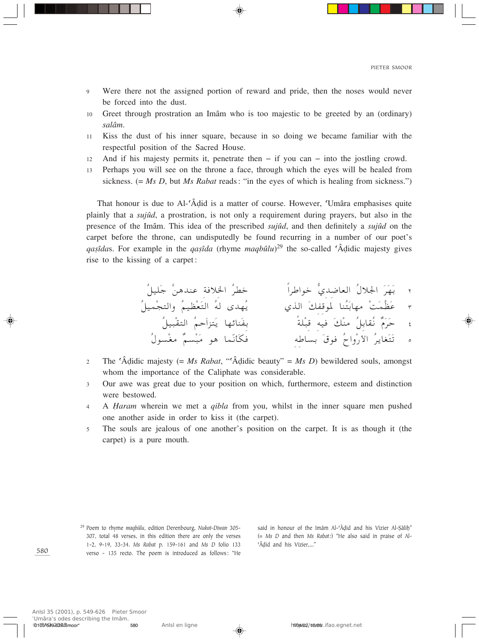- Were there not the assigned portion of reward and pride, then the noses would never  $\overline{Q}$ be forced into the dust.
- Greet through prostration an Imâm who is too majestic to be greeted by an (ordinary)  $10<sup>1</sup>$ salâm.
- Kiss the dust of his inner square, because in so doing we became familiar with the  $11$ respectful position of the Sacred House.
- And if his majesty permits it, penetrate then  $-$  if you can  $-$  into the jostling crowd. 12
- Perhaps you will see on the throne a face, through which the eyes will be healed from 13 sickness.  $(= Ms D, \text{ but } Ms \text{ Rabat reads}:$  "in the eyes of which is healing from sickness.")

That honour is due to Al-'Âdid is a matter of course. However, 'Umâra emphasises quite plainly that a *sujud*, a prostration, is not only a requirement during prayers, but also in the presence of the Imâm. This idea of the prescribed *sujud*, and then definitely a *sujud* on the carpet before the throne, can undisputedly be found recurring in a number of our poet's *gasîdas*. For example in the *gasîda* (rhyme *magbûlu*)<sup>29</sup> the so-called 'Âdidic majesty gives rise to the kissing of a carpet:

- The 'Âdidic majesty (= Ms Rabat, "'Âdidic beauty" = Ms D) bewildered souls, amongst  $\overline{2}$ whom the importance of the Caliphate was considerable.
- Our awe was great due to your position on which, furthermore, esteem and distinction  $\overline{3}$ were bestowed.
- A *Haram* wherein we met a *qibla* from you, whilst in the inner square men pushed  $\overline{4}$ one another aside in order to kiss it (the carpet).
- The souls are jealous of one another's position on the carpet. It is as though it (the  $\overline{5}$ carpet) is a pure mouth.

<sup>29</sup> Poem to rhyme maqbûlu, edition Derenbourg, Nukat-Diwan 305-307, total 48 verses, in this edition there are only the verses 1-2, 9-19, 33-34. Ms Rabat p. 159-161 and Ms D folio 133 verso - 135 recto. The poem is introduced as follows: "He

said in honour of the Imâm Al-'Âdid and his Vizier Al-Sâlih" (= Ms D and then Ms Rabat:) "He also said in praise of Al-'Âdid and his Vizier,..."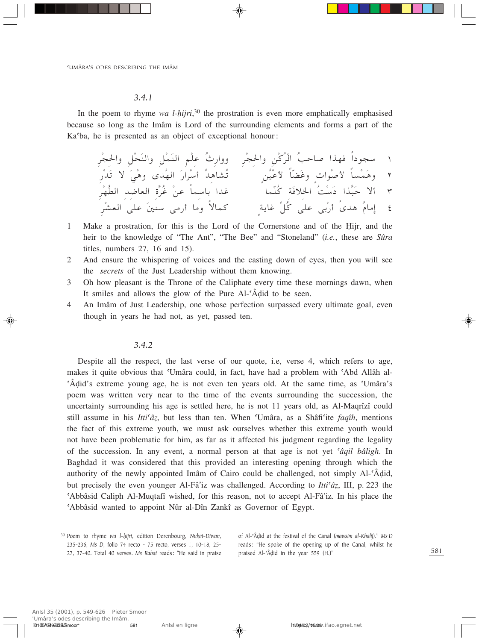#### *3.4.1*

In the poem to rhyme *wa l-hijri*,<sup>30</sup> the prostration is even more emphatically emphasised because so long as the Imâm is Lord of the surrounding elements and forms a part of the Ka©ba, he is presented as an object of exceptional honour:

۱ سجوداً فهذا صاحب الردن والحجرِ – ووارت علم النملِ والنحلِ والحجرِ<br>مُسَارِي الله عليه عليه من أن الله عليه من الله عليه من الله عليه الله عليه الله عليه الله عليه الله عليه الله + وهمسا لأصوات وعصا لأعين مستسلمة أسرار الهدى وهي لا يدر ا الا حبداً دست الحلاقة كلما با عدا باسماً عن عرة العاصد الطهر .<br>ويضم المستقاد الصحيح ٤ إمامُ هدىً أرْبى على كُلِّ غاية كمالاً وما أرمى سنينَ علىَ العشْر<sup>ِ</sup>

- 1 Make a prostration, for this is the Lord of the Cornerstone and of the Îijr, and the heir to the knowledge of "The Ant", "The Bee" and "Stoneland" (*i.e.*, these are *Sûra* titles, numbers 27, 16 and 15).
- 2 And ensure the whispering of voices and the casting down of eyes, then you will see the*secrets* of the Just Leadership without them knowing.
- 3 Oh how pleasant is the Throne of the Caliphate every time these mornings dawn, when It smiles and allows the glow of the Pure Al-'Âdid to be seen.
- 4 An Imâm of Just Leadership, one whose perfection surpassed every ultimate goal, even though in years he had not, as yet, passed ten.

#### *3.4.2*

Despite all the respect, the last verse of our quote, i.e, verse 4, which refers to age, makes it quite obvious that 'Umâra could, in fact, have had a problem with 'Abd Allâh al-©Â∂id's extreme young age, he is not even ten years old. At the same time, as ©Umâra's poem was written very near to the time of the events surrounding the succession, the uncertainty surrounding his age is settled here, he is not 11 years old, as Al-Maqrîzî could still assume in his *Itti©âÂ*, but less than ten. When ©Umâra, as a Shâfi©ite *faqîh*, mentions the fact of this extreme youth, we must ask ourselves whether this extreme youth would not have been problematic for him, as far as it affected his judgment regarding the legality of the succession. In any event, a normal person at that age is not yet *©âqil bâligh*. In Baghdad it was considered that this provided an interesting opening through which the authority of the newly appointed Imâm of Cairo could be challenged, not simply Al-©Â∂id, but precisely the even younger Al-Fâ'iz was challenged. According to *Itti<sup>c</sup>âz*, III, p. 223 the ©Abbâsid Caliph Al-Muqtafî wished, for this reason, not to accept Al-Fâ'iz. In his place the ©Abbâsid wanted to appoint Nûr al-Dîn Zankî as Governor of Egypt.

of Al-©Â∂id at the festival of the Canal (*mawsim al-Khalîj*)." *Ms D* reads: "He spoke of the opening up of the Canal, whilst he praised Al-'Âḍid in the year 559 (H.)"

<sup>30</sup> Poem to rhyme *wa l-Ìijri*, edition Derenbourg, *Nukat-Diwan*, 235-236, *Ms D*, folio 74 recto - 75 recto, verses 1, 10-18, 25- 27, 37-40. Total 40 verses. *Ms Rabat* reads: "He said in praise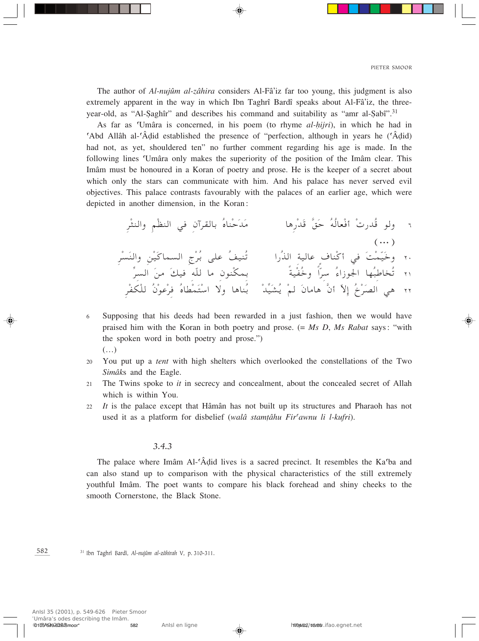$(\cdots)$ 

The author of Al-nujûm al-zâhira considers Al-Fâ'iz far too young, this judgment is also extremely apparent in the way in which Ibn Taghrî Bardî speaks about Al-Fâ'iz, the threeyear-old, as "Al-Saghîr" and describes his command and suitability as "amr al-Sabî".<sup>31</sup>

As far as 'Umâra is concerned, in his poem (to rhyme al-hijri), in which he had in Abd Allâh al-'Âdid established the presence of "perfection, although in years he ('Âdid)" had not, as yet, shouldered ten" no further comment regarding his age is made. In the following lines 'Umâra only makes the superiority of the position of the Imâm clear. This Imâm must be honoured in a Koran of poetry and prose. He is the keeper of a secret about which only the stars can communicate with him. And his palace has never served evil objectives. This palace contrasts favourably with the palaces of an earlier age, which were depicted in another dimension, in the Koran:

ولو قُدرتْ أفْعالُهُ حَقَّ قَدْرِها مسكَّمْناهُ بالقرآنِ في النظْمِ والنثْرِ

- Supposing that his deeds had been rewarded in a just fashion, then we would have 6 praised him with the Koran in both poetry and prose.  $(= Ms D, Ms Rabat says: "with)$ the spoken word in both poetry and prose.")  $(\ldots)$
- You put up a *tent* with high shelters which overlooked the constellations of the Two  $20^{\circ}$ Simâks and the Eagle.
- The Twins spoke to *it* in secrecy and concealment, about the concealed secret of Allah  $2.1$ which is within You.
- It is the palace except that Hâmân has not built up its structures and Pharaoh has not  $22$ used it as a platform for disbelief (walâ stamțâhu Fir'awnu li l-kufri).

#### $3.4.3$

The palace where Imâm Al-'Âdid lives is a sacred precinct. It resembles the Ka'ba and can also stand up to comparison with the physical characteristics of the still extremely youthful Imâm. The poet wants to compare his black forehead and shiny cheeks to the smooth Cornerstone, the Black Stone.

582 <sup>31</sup> Ibn Taghrî Bardî, Al-nujûm al-zâhirah V, p. 310-311.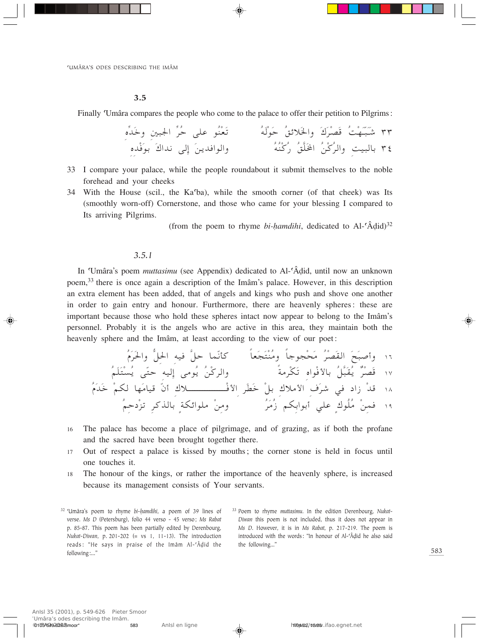#### $3.5$

Finally 'Umâra compares the people who come to the palace to offer their petition to Pilgrims:

- 33 I compare your palace, while the people roundabout it submit themselves to the noble forehead and your cheeks
- 34 With the House (scil., the Ka<sup>6</sup>ba), while the smooth corner (of that cheek) was Its (smoothly worn-off) Cornerstone, and those who came for your blessing I compared to Its arriving Pilgrims.

(from the poem to rhyme bi-hamdihi, dedicated to Al- $\hat{A}$ did)<sup>32</sup>

#### $3.5.1$

In 'Umâra's poem *muttasimu* (see Appendix) dedicated to Al-'Âdid, until now an unknown poem,<sup>33</sup> there is once again a description of the Imâm's palace. However, in this description an extra element has been added, that of angels and kings who push and shove one another in order to gain entry and honour. Furthermore, there are heavenly spheres: these are important because those who hold these spheres intact now appear to belong to the Imâm's personnel. Probably it is the angels who are active in this area, they maintain both the heavenly sphere and the Imâm, at least according to the view of our poet:

- The palace has become a place of pilgrimage, and of grazing, as if both the profane 16 and the sacred have been brought together there.
- Out of respect a palace is kissed by mouths; the corner stone is held in focus until 17 one touches it.
- The honour of the kings, or rather the importance of the heavenly sphere, is increased 18 because its management consists of Your servants.

<sup>32</sup> 'Umâra's poem to rhyme bi-hamdihi, a poem of 39 lines of verse. Ms D (Petersburg), folio 44 verso - 45 verso; Ms Rabat p. 85-87. This poem has been partially edited by Derenbourg, Nukat-Diwan, p. 201-202 (= vs 1, 11-13). The introduction reads: "He says in praise of the Imâm Al-'Âdid the following:..."

<sup>33</sup> Poem to rhyme muttasimu. In the edition Derenbourg, Nukat-Diwan this poem is not included, thus it does not appear in Ms D. However, it is in Ms Rabat, p. 217-219. The poem is introduced with the words: "In honour of Al-'Âdid he also said the following..."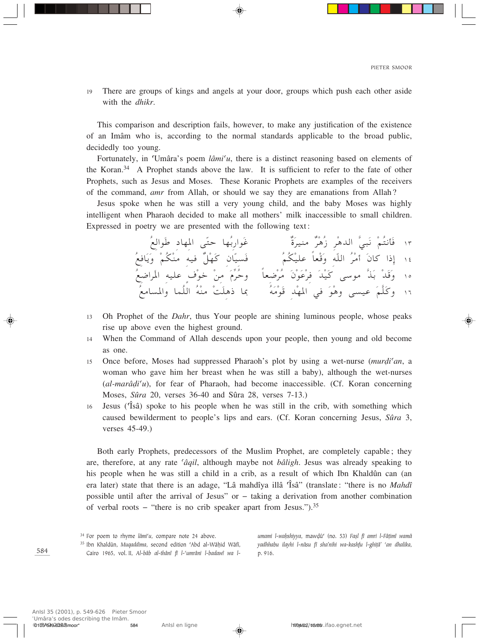There are groups of kings and angels at your door, groups which push each other aside 19 with the *dhikr*.

This comparison and description fails, however, to make any justification of the existence of an Imâm who is, according to the normal standards applicable to the broad public, decidedly too young.

Fortunately, in 'Umâra's poem  $\lim_{u \to 0}$  there is a distinct reasoning based on elements of the Koran.<sup>34</sup> A Prophet stands above the law. It is sufficient to refer to the fate of other Prophets, such as Jesus and Moses. These Koranic Prophets are examples of the receivers of the command, *amr* from Allah, or should we say they are emanations from Allah?

Jesus spoke when he was still a very young child, and the baby Moses was highly intelligent when Pharaoh decided to make all mothers' milk inaccessible to small children. Expressed in poetry we are presented with the following text:

١٣ فَأَنتُمْ نَبِيُّ اللهِ هُرٌّ مَنيرَةٌ من غَوارِبُها حتّى المهاد طَوالعُ<br>١٤ إِذا كانَ أمْرُ اللّهِ وَقْعاً عليْكُمُ<br>١٥ وَقَدْ بَذَّ موسى كَيْدَ فِرْعَوْنَ مُرْضعاً ۖ وحُرِّمَ مِنْ خوْفَ عليه المراضعُ<br>١٦ وكَلَّمَ عيسى و

- Oh Prophet of the *Dahr*, thus Your people are shining luminous people, whose peaks 13 rise up above even the highest ground.
- When the Command of Allah descends upon your people, then young and old become 14 as one.
- Once before, Moses had suppressed Pharaoh's plot by using a wet-nurse (murdi'an, a 15 woman who gave him her breast when he was still a baby), although the wet-nurses  $(al-marâdi'u)$ , for fear of Pharaoh, had become inaccessible. (Cf. Koran concerning Moses, Sûra 20, verses 36-40 and Sûra 28, verses 7-13.)
- Jesus (Tsâ) spoke to his people when he was still in the crib, with something which 16 caused bewilderment to people's lips and ears. (Cf. Koran concerning Jesus, Sûra 3, verses 45-49.)

Both early Prophets, predecessors of the Muslim Prophet, are completely capable; they are, therefore, at any rate *'âqil*, although maybe not *bâligh*. Jesus was already speaking to his people when he was still a child in a crib, as a result of which Ibn Khaldûn can (an era later) state that there is an adage, "Lâ mahdîya illâ 'Îsâ" (translate: "there is no *Mahdî* possible until after the arrival of Jesus" or  $-$  taking a derivation from another combination of verbal roots – "there is no crib speaker apart from Jesus.").<sup>35</sup>

<sup>35</sup> Ibn Khaldûn, Muqaddima, second edition 'Abd al-Wâḥid Wâfî, Cairo 1965, vol. II, Al-bâb al-thânî fî l-'umrâni l-badawî wa lumami l-wahshiyya, mawdû<sup>c</sup> (no. 53) Fasl fî amri l-Fâțimî wamâ yadhhabu ilayhi l-nâsu fî sha'nihi wa-kashfu l-ghitâ' 'an dhalika, p. 916.

<sup>&</sup>lt;sup>34</sup> For poem to rhyme lâmi'u, compare note 24 above.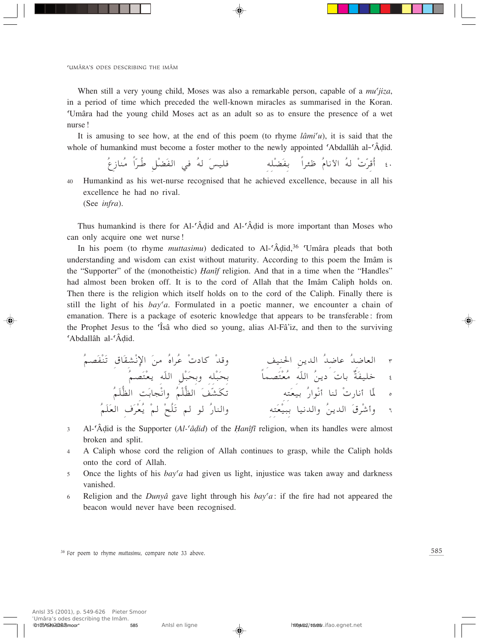'UMÂRA'S ODES DESCRIBING THE IMÂM

When still a very young child, Moses was also a remarkable person, capable of a *mu'jiza*, in a period of time which preceded the well-known miracles as summarised in the Koran. Umâra had the young child Moses act as an adult so as to ensure the presence of a wet nurse!

It is amusing to see how, at the end of this poem (to rhyme  $\ell \hat{a}mi'u$ ), it is said that the whole of humankind must become a foster mother to the newly appointed 'Abdallâh al-'Âdid.

. ٤ أُقرّتْ لهُ الأنامُ ظئراً بفَضْله فليسَ لهُ في الفَضْلِ طُرّاً مُنازِعُ Humankind as his wet-nurse recognised that he achieved excellence, because in all his excellence he had no rival.

(See *infra*).

40

Thus humankind is there for Al-'Âdid and Al-'Âdid is more important than Moses who can only acquire one wet nurse!

In his poem (to rhyme *muttasimu*) dedicated to Al-'Âdid,<sup>36</sup> 'Umâra pleads that both understanding and wisdom can exist without maturity. According to this poem the Imâm is the "Supporter" of the (monotheistic) *Hanîf* religion. And that in a time when the "Handles" had almost been broken off. It is to the cord of Allah that the Imam Caliph holds on. Then there is the religion which itself holds on to the cord of the Caliph. Finally there is still the light of his  $bay'a$ . Formulated in a poetic manner, we encounter a chain of emanation. There is a package of esoteric knowledge that appears to be transferable: from the Prophet Jesus to the 'Isa<sup>n</sup> who died so young, alias Al-Fa<sup>2</sup>iz, and then to the surviving 'Abdallâh al-'Âdid.

- Al-'Âdid is the Supporter ( $Al$ -'âdid) of the Hanîfî religion, when its handles were almost  $\overline{\mathbf{3}}$ broken and split.
- A Caliph whose cord the religion of Allah continues to grasp, while the Caliph holds  $\overline{\mathbf{A}}$ onto the cord of Allah.
- Once the lights of his  $bay^{\prime}a$  had given us light, injustice was taken away and darkness 5 vanished.
- Religion and the Dunyâ gave light through his  $bay^c a$ : if the fire had not appeared the 6 beacon would never have been recognised.

<sup>&</sup>lt;sup>36</sup> For poem to rhyme muttasimu, compare note 33 above.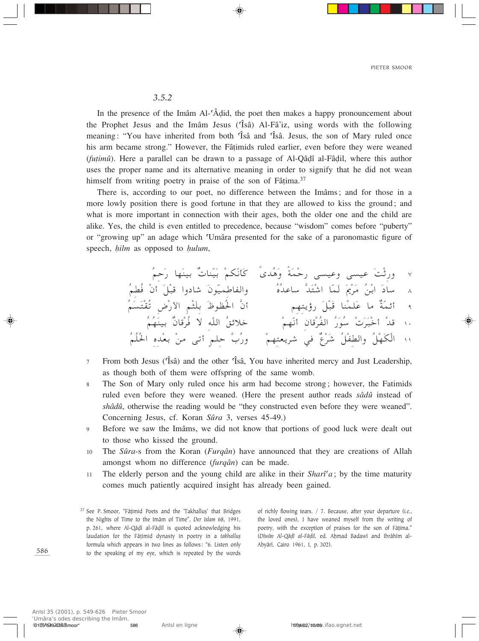## $3.5.2$

In the presence of the Imâm Al-'Âdid, the poet then makes a happy pronouncement about the Prophet Jesus and the Imâm Jesus ('Isâ) Al-Fâ'iz, using words with the following meaning: "You have inherited from both 'Isâ and 'Isâ. Jesus, the son of Mary ruled once his arm became strong." However, the Fâtimids ruled earlier, even before they were weaned (fuțimu). Here a parallel can be drawn to a passage of Al-Qâdî al-Fâdil, where this author uses the proper name and its alternative meaning in order to signify that he did not wean himself from writing poetry in praise of the son of Fâțima.<sup>37</sup>

There is, according to our poet, no difference between the Imâms; and for those in a more lowly position there is good fortune in that they are allowed to kiss the ground; and what is more important in connection with their ages, both the older one and the child are alike. Yes, the child is even entitled to precedence, because "wisdom" comes before "puberty" or "growing up" an adage which 'Umâra presented for the sake of a paronomastic figure of speech, hilm as opposed to hulum,

- From both Jesus (Tsâ) and the other Tsâ, You have inherited mercy and Just Leadership,  $\overline{7}$ as though both of them were offspring of the same womb.
- The Son of Mary only ruled once his arm had become strong; however, the Fatimids 8 ruled even before they were weaned. (Here the present author reads sâdû instead of shâdû, otherwise the reading would be "they constructed even before they were weaned". Concerning Jesus, cf. Koran Sûra 3, verses 45-49.)
- Before we saw the Imâms, we did not know that portions of good luck were dealt out  $\overline{Q}$ to those who kissed the ground.
- 10 The *Sûra-s* from the Koran (*Furgân*) have announced that they are creations of Allah amongst whom no difference (furgân) can be made.
- The elderly person and the young child are alike in their  $\textit{Shar}^{\dagger}a$ ; by the time maturity  $11$ comes much patiently acquired insight has already been gained.

of richly flowing tears. / 7. Because, after your departure (i.e., the loved ones), I have weaned myself from the writing of poetry, with the exception of praises for the son of Fâtima." (Dîwân Al-Qâdî al-Fâdil, ed. Aḥmad Badawî and Ibrâhîm al-Abyârî, Cairo 1961, I, p. 302).

<sup>&</sup>lt;sup>37</sup> See P. Smoor, "Fâțimid Poets and the 'Takhallus' that Bridges the Nights of Time to the Imâm of Time", Der Islam 68, 1991, p. 261, where Al-Qâdî al-Fâdil is quoted acknowledging his laudation for the Fâțimid dynasty in poetry in a takhalluș formula which appears in two lines as follows: "6. Listen only to the speaking of my eye, which is repeated by the words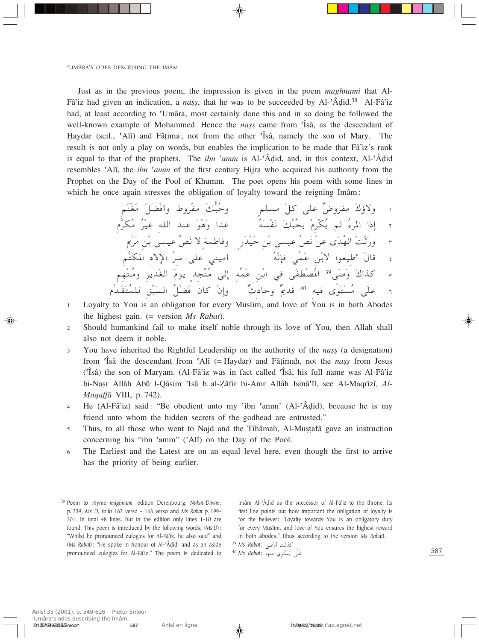Just as in the previous poem, the impression is given in the poem maghnami that Al-Fâ'iz had given an indication, a *nass*, that he was to be succeeded by Al- $\hat{A}$ did.<sup>38</sup> Al-Fâ'iz had, at least according to 'Umâra, most certainly done this and in so doing he followed the well-known example of Mohammed. Hence the *nass* came from *f* sâ, as the descendant of Haydar (scil., 'Ali') and Fâtima; not from the other 'Isa, namely the son of Mary. The result is not only a play on words, but enables the implication to be made that Fâ'iz's rank is equal to that of the prophets. The *ibn 'amm* is Al-' $\hat{A}$ did, and, in this context, Al-' $\hat{A}$ did resembles 'Alî, the *ibn 'amm* of the first century Hijra who acquired his authority from the Prophet on the Day of the Pool of Khumm. The poet opens his poem with some lines in which he once again stresses the obligation of loyalty toward the reigning Imâm:

- Loyalty to You is an obligation for every Muslim, and love of You is in both Abodes  $\mathbf{1}$ the highest gain.  $(=$  version Ms Rabat).
- Should humankind fail to make itself noble through its love of You, then Allah shall  $\mathfrak{D}$ also not deem it noble.
- You have inherited the Rightful Leadership on the authority of the *nass* (a designation)  $\overline{3}$ from 'Isâ the descendant from 'Alî (= Haydar) and Fâtimah, not the *nass* from Jesus (Tsâ) the son of Maryam. (Al-Fâ'iz was in fact called Tsâ, his full name was Al-Fâ'iz bi-Nasr Allâh Abû l-Qâsim 'Isâ b. al-Zâfir bi-Amr Allâh Ismâ'îl, see Al-Maqrîzî, Al-*Muqaffâ* VIII, p. 742).
- He (Al-Fâ'iz) said: "Be obedient unto my 'ibn 'amm' (Al-'Âḍid), because he is my  $\overline{4}$ friend unto whom the hidden secrets of the godhead are entrusted."
- Thus, to all those who went to Najd and the Tihâmah, Al-Mustafâ gave an instruction  $\overline{\phantom{0}}$ concerning his "ibn 'amm" ('Alî) on the Day of the Pool.
- The Earliest and the Latest are on an equal level here, even though the first to arrive 6 has the priority of being earlier.

Imâm Al-'Âdid as the successor of Al-Fâ'iz to the throne. Its first line points out how important the obligation of loyalty is for the believer: "Loyalty towards You is an obligatory duty for every Muslim, and love of You ensures the highest reward in both abodes." (thus according to the version Ms Rabat).

39 Ms Rabat: كذلك أوْصى 39 عُلَى يَسْتَوي منها :Ms Rabat <sup>40</sup>

<sup>&</sup>lt;sup>38</sup> Poem to rhyme maghnami, edition Derenbourg, Nukat-Diwan, p. 339, Ms D, folio 162 verso - 163 verso and Ms Rabat p. 199-201. In total 48 lines, but in the edition only lines 1-10 are found. This poem is introduced by the following words, (Ms D): "Whilst he pronounced eulogies for Al-Fâ'iz, he also said" and (Ms Rabat): "He spoke in honour of Al-'Âdid, and as an aside pronounced eulogies for Al-Fâ'iz." The poem is dedicated to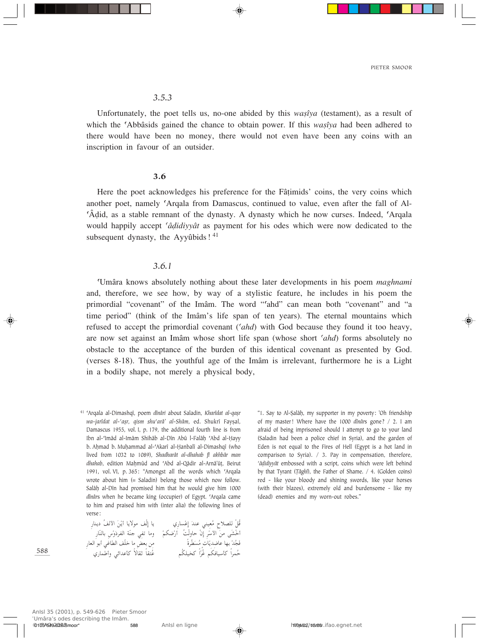## *3.5.3*

Unfortunately, the poet tells us, no-one abided by this *wasîya* (testament), as a result of which the 'Abbâsids gained the chance to obtain power. If this *wasîya* had been adhered to there would have been no money, there would not even have been any coins with an inscription in favour of an outsider.

#### 3.6

Here the poet acknowledges his preference for the Fâ†imids' coins, the very coins which another poet, namely 'Arqala from Damascus, continued to value, even after the fall of Al-©Â∂id, as a stable remnant of the dynasty. A dynasty which he now curses. Indeed, ©Arqala would happily accept *©â∂idiyyât* as payment for his odes which were now dedicated to the subsequent dynasty, the Ayyûbids! $41$ 

## *3.6.1*

©Umâra knows absolutely nothing about these later developments in his poem *maghnami* and, therefore, we see how, by way of a stylistic feature, he includes in his poem the primordial "covenant" of the Imâm. The word "'ahd" can mean both "covenant" and "a time period" (think of the Imâm's life span of ten years). The eternal mountains which refused to accept the primordial covenant (*©ahd*) with God because they found it too heavy, are now set against an Imâm whose short life span (whose short *©ahd*) forms absolutely no obstacle to the acceptance of the burden of this identical covenant as presented by God. (verses 8-18). Thus, the youthful age of the Imâm is irrelevant, furthermore he is a Light in a bodily shape, not merely a physical body,

F Ô Õ öBK qÚ -Ô bMŽ wMO Ó Ž≈ Ú ¹√ U¹ôu nÚ≈ U¹ Í— U sÓ Ú — UM¹œ nÔ \_« Ý\_« sÓ vAÓ šÚ √ dÚ —√ XÔ ÚËUŠ ÊÚ ≈ Ë rÚ J{Ú œdH« WMÒł wH ð U "ËÚ Ó —UMÒ UÐ {UŽ UNÐ bÚ −Ô Ó ¹b Ò Ì U DÓ Ô — UF« uÐ√ wžUD« nKÒš U i FÐ s Î …dÒ dLŠÔ džÔ rJUOÝQ «Î Ò Ž rJÔ KO Ϋ Ô Í—ULÞ√Ë wz«bŽQ ôÎ UIŁ UÎI²

"1. Say to Al-∑alâÌ, my supporter in my poverty: 'Oh friendship of my master! Where have the 1000 *dînâr*s gone? / 2. I am afraid of being imprisoned should I attempt to go to your land (Saladin had been a police chief in Syria), and the garden of Eden is not equal to the Fires of Hell (Egypt is a hot land in comparison to Syria). / 3. Pay in compensation, therefore, *©â∂idiyyât* embossed with a script, coins which were left behind by that Tyrant (*™âghî*), the Father of Shame. / 4. (Golden coins) red - like your bloody and shining swords, like your horses (with their blazes), extremely old and burdensome - like my (dead) enemies and my worn-out robes."

588

<sup>&</sup>lt;sup>41</sup> 'Arqala al-Dimashqî, poem *dînâri* about Saladin, *Kharîdat al-qasr wa-jarîdat al-'aṣr, qism shu'arâ' al-Shâm, ed. Shukrî Fayṣal,* Damascus 1955, vol. I, p. 179, the additional fourth line is from Ibn al-Imâd al-Imâm Shihâb al-Dîn Abû l-Falâḥ 'Abd al-Hayy b. Ahmad b. Muhammad al-'Akarî al-Ḥanbalî al-Dimashqî (who lived from 1032 to 1089), *Shadharât al-dhahab fî akhbâr man dhahab*, edition MaÌmûd and ©Abd al-Qâdir al-Arnâ'û†, Beirut 1991, vol. VI, p. 365: "Amongst all the words which 'Arqala wrote about him (= Saladin) belong those which now follow. Salâh al-Dîn had promised him that he would give him 1000 *dînârs* when he became king (occupier) of Egypt. 'Arqala came to him and praised him with (inter alia) the following lines of verse: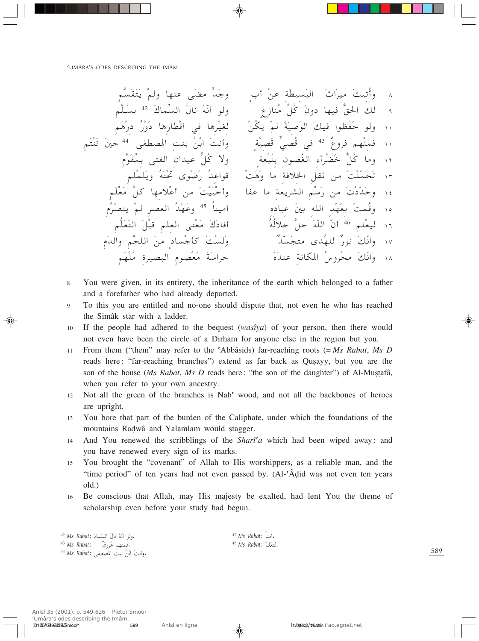- 8 You were given, in its entirety, the inheritance of the earth which belonged to a father and a forefather who had already departed.
- To this you are entitled and no-one should dispute that, not even he who has reached  $\mathbf Q$ the Simâk star with a ladder.
- If the people had adhered to the bequest  $(was\hat{y}ya)$  of your person, then there would  $10<sup>1</sup>$ not even have been the circle of a Dirham for anyone else in the region but you.
- From them ("them" may refer to the 'Abbâsids) far-reaching roots  $(= Ms \; Rabat, Ms \; D)$  $11$ reads here: "far-reaching branches") extend as far back as Qusayy, but you are the son of the house (Ms Rabat, Ms D reads here: "the son of the daughter") of Al-Mustafâ, when you refer to your own ancestry.
- Not all the green of the branches is Nab' wood, and not all the backbones of heroes 12 are upright.
- You bore that part of the burden of the Caliphate, under which the foundations of the 13 mountains Radwâ and Yalamlam would stagger.
- And You renewed the scribblings of the *Shart'a* which had been wiped away: and 14 you have renewed every sign of its marks.
- You brought the "covenant" of Allah to His worshippers, as a reliable man, and the 15 "time period" of ten years had not even passed by. (Al-'Âdid was not even ten years old.)
- Be conscious that Allah, may His majesty be exalted, had lent You the theme of 16 scholarship even before your study had begun.

|  | 42 Ms Rabat: أَنَّهُ نالَ السَماءَ, 42 Ms           |
|--|-----------------------------------------------------|
|  | فَمِنهم عُروقٌ      Ms Rabat:                       |
|  | وأنتَ ابْنُ بيتَ المصطفى :Ms Rabat <sup>44</sup> Ms |

<sup>45</sup> Ms Rabat: أمناً. <sup>46</sup> Ms Rabat: التعْلم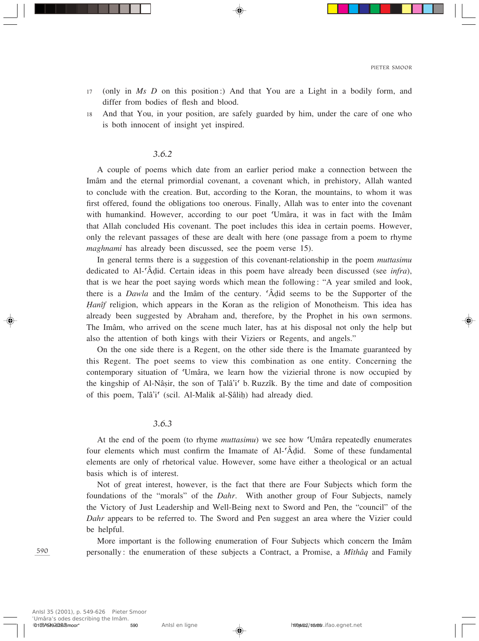- <sup>17</sup> (only in *Ms D* on this position:) And that You are a Light in a bodily form, and differ from bodies of flesh and blood.
- 18 And that You, in your position, are safely guarded by him, under the care of one who is both innocent of insight yet inspired.

#### *3.6.2*

A couple of poems which date from an earlier period make a connection between the Imâm and the eternal primordial covenant, a covenant which, in prehistory, Allah wanted to conclude with the creation. But, according to the Koran, the mountains, to whom it was first offered, found the obligations too onerous. Finally, Allah was to enter into the covenant with humankind. However, according to our poet 'Umâra, it was in fact with the Imâm that Allah concluded His covenant. The poet includes this idea in certain poems. However, only the relevant passages of these are dealt with here (one passage from a poem to rhyme *maghnami* has already been discussed, see the poem verse 15).

In general terms there is a suggestion of this covenant-relationship in the poem *muttasimu* dedicated to Al-©Â∂id. Certain ideas in this poem have already been discussed (see *infra*), that is we hear the poet saying words which mean the following: "A year smiled and look, there is a *Dawla* and the Imâm of the century. ©Â∂id seems to be the Supporter of the *Hanîf* religion, which appears in the Koran as the religion of Monotheism. This idea has already been suggested by Abraham and, therefore, by the Prophet in his own sermons. The Imâm, who arrived on the scene much later, has at his disposal not only the help but also the attention of both kings with their Viziers or Regents, and angels."

On the one side there is a Regent, on the other side there is the Imamate guaranteed by this Regent. The poet seems to view this combination as one entity. Concerning the contemporary situation of ©Umâra, we learn how the vizierial throne is now occupied by the kingship of Al-Nâṣir, the son of Țalâ'i<sup>c</sup> b. Ruzzîk. By the time and date of composition of this poem, Țalâ'i<sup>c</sup> (scil. Al-Malik al-Șâliḥ) had already died.

## *3.6.3*

At the end of the poem (to rhyme *muttasimu*) we see how ©Umâra repeatedly enumerates four elements which must confirm the Imamate of Al-<sup>c</sup>Â $\ddot{d}$ did. Some of these fundamental elements are only of rhetorical value. However, some have either a theological or an actual basis which is of interest.

Not of great interest, however, is the fact that there are Four Subjects which form the foundations of the "morals" of the *Dahr*. With another group of Four Subjects, namely the Victory of Just Leadership and Well-Being next to Sword and Pen, the "council" of the *Dahr* appears to be referred to. The Sword and Pen suggest an area where the Vizier could be helpful.

More important is the following enumeration of Four Subjects which concern the Imâm personally: the enumeration of these subjects a Contract, a Promise, a *Mîthâq* and Family

590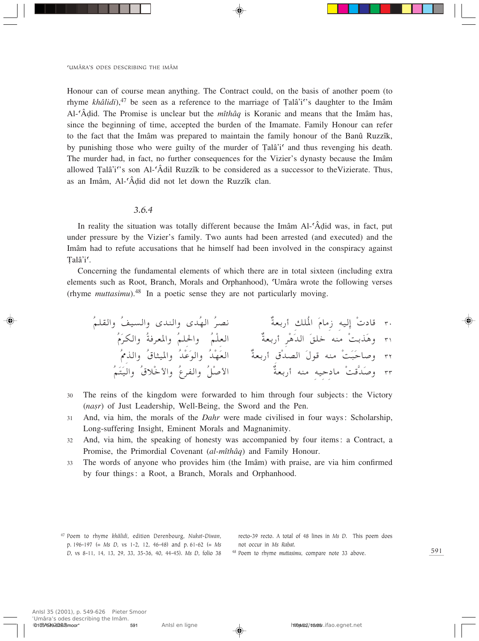Honour can of course mean anything. The Contract could, on the basis of another poem (to rhyme *khâlidi*),<sup>47</sup> be seen as a reference to the marriage of Talâ'i<sup>o</sup>'s daughter to the Imâm Al-©Â∂id. The Promise is unclear but the *mîthâq* is Koranic and means that the Imâm has, since the beginning of time, accepted the burden of the Imamate. Family Honour can refer to the fact that the Imâm was prepared to maintain the family honour of the Banû Ruzzîk, by punishing those who were guilty of the murder of Talâ'i<sup>c</sup> and thus revenging his death. The murder had, in fact, no further consequences for the Vizier's dynasty because the Imâm allowed Talâ'i<sup>o</sup>'s son Al- $\hat{A}$ dil Ruzzîk to be considered as a successor to the Vizierate. Thus, as an Imâm, Al-©Â∂id did not let down the Ruzzîk clan.

## *3.6.4*

In reality the situation was totally different because the Imâm Al-©Â∂id was, in fact, put under pressure by the Vizier's family. Two aunts had been arrested (and executed) and the Imâm had to refute accusations that he himself had been involved in the conspiracy against Talâ'i'.

Concerning the fundamental elements of which there are in total sixteen (including extra elements such as Root, Branch, Morals and Orphanhood), ©Umâra wrote the following verses (rhyme *muttasimu*).48 In a poetic sense they are not particularly moving.

ÔrKI«Ë ÔnO«Ë ÈbM«Ë ÈbÔN« ÔdB½ ÏWFЗ√ pKÔ\*« ÓÂU " tO≈ Ú œU- ≥∞ ÔÂÓdJ«Ë ÔWdF\*«Ë ÔrK(«Ë ÔrÚKF« ÏWFЗ√ dÚ¼Ób« ÓoKš tM ÚXÐcÓ¼Ë ≥± Ô3c«Ë Ô'U¦O\*«Ë ÔbÚŽÓu«Ë ÔbÚNÓF« ÏWFЗ√ 'ÚbB« Ó‰u tM ÚXÓ³ÓŠU
Ë ≥≤ ÔrÓ²ÓO«Ë Ô'öÚš\_«Ë ÔŸdH«Ë ÔqÚ
\_« ÏWFЗ√ tM tOŠœU ÚX-]bÓ
Ë ≥≥

- <sup>30</sup> The reins of the kingdom were forwarded to him through four subjects: the Victory (*nasr*) of Just Leadership, Well-Being, the Sword and the Pen.
- <sup>31</sup> And, via him, the morals of the *Dahr* were made civilised in four ways: Scholarship, Long-suffering Insight, Eminent Morals and Magnanimity.
- <sup>32</sup> And, via him, the speaking of honesty was accompanied by four items: a Contract, a Promise, the Primordial Covenant (*al-mîthâq*) and Family Honour.
- <sup>33</sup> The words of anyone who provides him (the Imâm) with praise, are via him confirmed by four things: a Root, a Branch, Morals and Orphanhood.

<sup>47</sup> Poem to rhyme *khâlidi*, edition Derenbourg, *Nukat-Diwan*, p. 196-197 (= *Ms D*, vs 1-2, 12, 46-48) and p. 61-62 (= *Ms D*, vs 8-11, 14, 13, 29, 33, 35-36, 40, 44-45). *Ms D*, folio 38

recto-39 recto. A total of 48 lines in *Ms D*. This poem does not occur in *Ms Rabat*.

<sup>48</sup> Poem to rhyme *muttasimu*, compare note 33 above.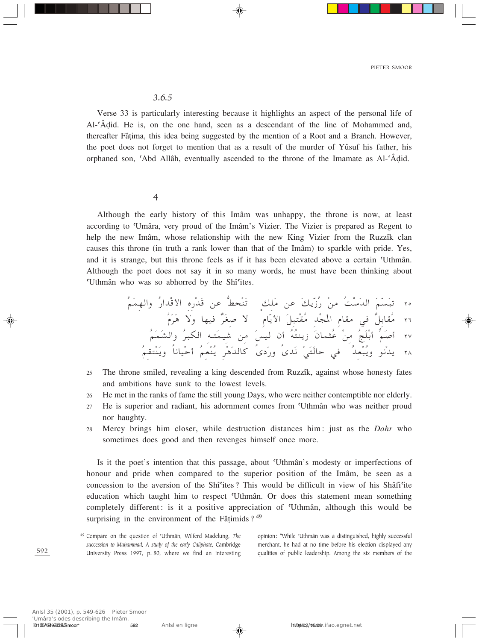## 3.6.5

Verse 33 is particularly interesting because it highlights an aspect of the personal life of Al-'Âdid. He is, on the one hand, seen as a descendant of the line of Mohammed and, thereafter Fâtima, this idea being suggested by the mention of a Root and a Branch. However, the poet does not forget to mention that as a result of the murder of Yûsuf his father, his orphaned son, 'Abd Allâh, eventually ascended to the throne of the Imamate as Al-'Âdid.

#### $\overline{4}$

Although the early history of this Imam was unhappy, the throne is now, at least according to 'Umâra, very proud of the Imâm's Vizier. The Vizier is prepared as Regent to help the new Imâm, whose relationship with the new King Vizier from the Ruzzîk clan causes this throne (in truth a rank lower than that of the Imâm) to sparkle with pride. Yes, and it is strange, but this throne feels as if it has been elevated above a certain 'Uthmân. Although the poet does not say it in so many words, he must have been thinking about 'Uthmân who was so abhorred by the Shî'ites.

- The throne smiled, revealing a king descended from Ruzzîk, against whose honesty fates 25 and ambitions have sunk to the lowest levels.
- He met in the ranks of fame the still young Days, who were neither contemptible nor elderly. 26
- He is superior and radiant, his adornment comes from 'Uthmân who was neither proud  $27\,$ nor haughty.
- Mercy brings him closer, while destruction distances him: just as the *Dahr* who 28 sometimes does good and then revenges himself once more.

Is it the poet's intention that this passage, about 'Uthmân's modesty or imperfections of honour and pride when compared to the superior position of the Imâm, be seen as a concession to the aversion of the Shî'ites? This would be difficult in view of his Shâfi'ite education which taught him to respect 'Uthmân. Or does this statement mean something completely different: is it a positive appreciation of 'Uthmân, although this would be surprising in the environment of the Fâțimids?  $49$ 

opinion: "While 'Uthmân was a distinguished, highly successful merchant, he had at no time before his election displayed any qualities of public leadership. Among the six members of the

<sup>&</sup>lt;sup>49</sup> Compare on the question of 'Uthmân, Wilferd Madelung, The succession to Muhammad, A study of the early Caliphate, Cambridge University Press 1997, p. 80, where we find an interesting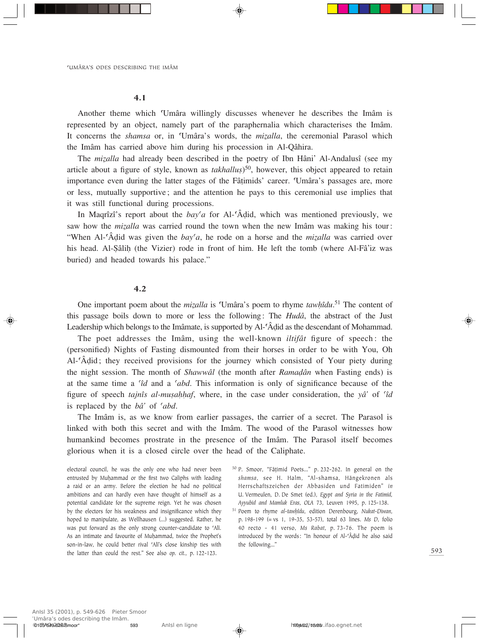4.1

Another theme which ©Umâra willingly discusses whenever he describes the Imâm is represented by an object, namely part of the paraphernalia which characterises the Imâm. It concerns the *shamsa* or, in 'Umâra's words, the *mizalla*, the ceremonial Parasol which the Imâm has carried above him during his procession in Al-Qâhira.

The *mizalla* had already been described in the poetry of Ibn Hâni' Al-Andalusî (see my article about a figure of style, known as  $takhallus)$ <sup>50</sup>, however, this object appeared to retain importance even during the latter stages of the Fâțimids' career. Umâra's passages are, more or less, mutually supportive; and the attention he pays to this ceremonial use implies that it was still functional during processions.

In Maqrîzî's report about the *bay©a* for Al-©Â∂id, which was mentioned previously, we saw how the *mizalla* was carried round the town when the new Imâm was making his tour: "When Al-<sup>c</sup>Â $\hat{d}$ did was given the *bay<sup>c</sup>a*, he rode on a horse and the *mizalla* was carried over his head. Al-Şâlih (the Vizier) rode in front of him. He left the tomb (where Al-Fâ'iz was buried) and headed towards his palace."

## 4.2

One important poem about the *mizalla* is 'Umâra's poem to rhyme *tawhîdu*.<sup>51</sup> The content of this passage boils down to more or less the following: The *Hudâ*, the abstract of the Just Leadership which belongs to the Imâmate, is supported by Al-<sup>c</sup>Â $\ddot{A}$ did as the descendant of Mohammad.

The poet addresses the Imâm, using the well-known *iltifât* figure of speech: the (personified) Nights of Fasting dismounted from their horses in order to be with You, Oh Al-©Â∂id; they received provisions for the journey which consisted of Your piety during the night session. The month of *Shawwâl* (the month after *Rama∂ân* when Fasting ends) is at the same time a *©îd* and a *©abd*. This information is only of significance because of the figure of speech *tajnîs al-musahhaf*, where, in the case under consideration, the *yâ'* of *<sup><i>c</sup>id*</sup> is replaced by the *bâ'* of *©abd*.

The Imâm is, as we know from earlier passages, the carrier of a secret. The Parasol is linked with both this secret and with the Imâm. The wood of the Parasol witnesses how humankind becomes prostrate in the presence of the Imâm. The Parasol itself becomes glorious when it is a closed circle over the head of the Caliphate.

electoral council, he was the only one who had never been entrusted by Muhammad or the first two Caliphs with leading a raid or an army. Before the election he had no political ambitions and can hardly even have thought of himself as a potential candidate for the supreme reign. Yet he was chosen by the electors for his weakness and insignificance which they hoped to manipulate, as Wellhausen (…) suggested. Rather, he was put forward as the only strong counter-candidate to 'Alî. As an intimate and favourite of Muḥammad, twice the Prophet's son-in-law, he could better rival 'Alî's close kinship ties with the latter than could the rest." See also *op. cit.*, p. 122-123.

- <sup>50</sup> P. Smoor, "Fâ†imid Poets…" p. 232-262. In general on the *shamsa*, see H. Halm, "Al-shamsa, Hängekronen als Herrschaftszeichen der Abbasiden und Fatimiden" *in* U. Vermeulen, D. De Smet (ed.), *Egypt and Syria in the Fatimid, Ayyubid and Mamluk Eras*, *OLA* 73, Leuven 1995, p. 125-138.
- <sup>51</sup> Poem to rhyme *al-tawÌîdu*, edition Derenbourg, *Nukat-Diwan*, p. 198-199 (= vs 1, 19-35, 53-57), total 63 lines. *Ms D*, folio 40 recto - 41 verso, *Ms Rabat*, p. 73-76. The poem is introduced by the words: "In honour of Al-©Â∂id he also said the following…"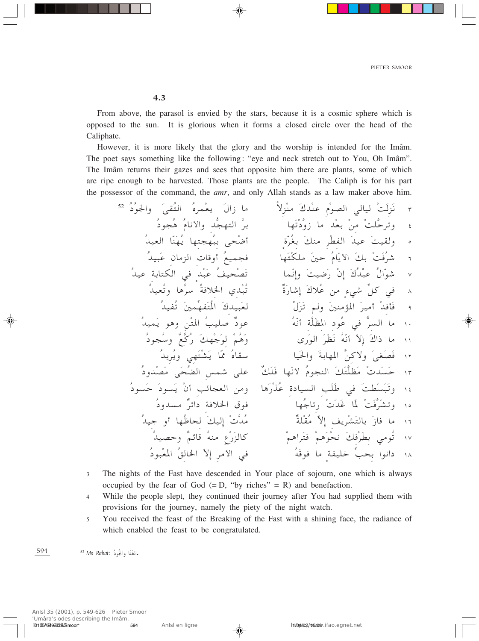From above, the parasol is envied by the stars, because it is a cosmic sphere which is opposed to the sun. It is glorious when it forms a closed circle over the head of the Caliphate.

However, it is more likely that the glory and the worship is intended for the Imâm. The poet says something like the following: "eye and neck stretch out to You, Oh Imâm". The Imâm returns their gazes and sees that opposite him there are plants, some of which are ripe enough to be harvested. Those plants are the people. The Caliph is for his part the possessor of the command, the amr, and only Allah stands as a law maker above him.

- The nights of the Fast have descended in Your place of sojourn, one which is always  $\overline{3}$ occupied by the fear of God  $(=D, "by$  riches" = R) and benefaction.
- While the people slept, they continued their journey after You had supplied them with  $\overline{4}$ provisions for the journey, namely the piety of the night watch.
- You received the feast of the Breaking of the Fast with a shining face, the radiance of 5 which enabled the feast to be congratulated.

594 <sup>52</sup> Ms Rabat: أَلْغَنَا وَالْجُودُّ.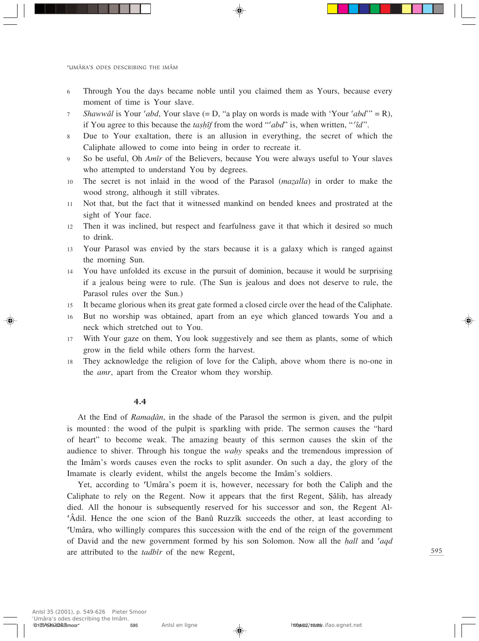- 6 Through You the days became noble until you claimed them as Yours, because every moment of time is Your slave.
- <sup>7</sup> *Shawwâl* is Your *©abd*, Your slave (= D, "a play on words is made with 'Your *©abd*'" = R), if You agree to this because the *tashif* from the word " $\partial d$ " is, when written, " $\partial d$ ".
- 8 Due to Your exaltation, there is an allusion in everything, the secret of which the Caliphate allowed to come into being in order to recreate it.
- <sup>9</sup> So be useful, Oh *Amîr* of the Believers, because You were always useful to Your slaves who attempted to understand You by degrees.
- 10 The secret is not inlaid in the wood of the Parasol (*mazalla*) in order to make the wood strong, although it still vibrates.
- 11 Not that, but the fact that it witnessed mankind on bended knees and prostrated at the sight of Your face.
- 12 Then it was inclined, but respect and fearfulness gave it that which it desired so much to drink.
- <sup>13</sup> Your Parasol was envied by the stars because it is a galaxy which is ranged against the morning Sun.
- <sup>14</sup> You have unfolded its excuse in the pursuit of dominion, because it would be surprising if a jealous being were to rule. (The Sun is jealous and does not deserve to rule, the Parasol rules over the Sun.)
- <sup>15</sup> It became glorious when its great gate formed a closed circle over the head of the Caliphate.
- <sup>16</sup> But no worship was obtained, apart from an eye which glanced towards You and a neck which stretched out to You.
- <sup>17</sup> With Your gaze on them, You look suggestively and see them as plants, some of which grow in the field while others form the harvest.
- <sup>18</sup> They acknowledge the religion of love for the Caliph, above whom there is no-one in the *amr*, apart from the Creator whom they worship.

#### 4.4

At the End of *Rama∂ân*, in the shade of the Parasol the sermon is given, and the pulpit is mounted: the wood of the pulpit is sparkling with pride. The sermon causes the "hard of heart" to become weak. The amazing beauty of this sermon causes the skin of the audience to shiver. Through his tongue the *wahy* speaks and the tremendous impression of the Imâm's words causes even the rocks to split asunder. On such a day, the glory of the Imamate is clearly evident, whilst the angels become the Imâm's soldiers.

Yet, according to ©Umâra's poem it is, however, necessary for both the Caliph and the Caliphate to rely on the Regent. Now it appears that the first Regent, Şâlih, has already died. All the honour is subsequently reserved for his successor and son, the Regent Al- ©Âdil. Hence the one scion of the Banû Ruzzîk succeeds the other, at least according to ©Umâra, who willingly compares this succession with the end of the reign of the government of David and the new government formed by his son Solomon. Now all the *Ìall* and *©aqd* are attributed to the *tadbîr* of the new Regent,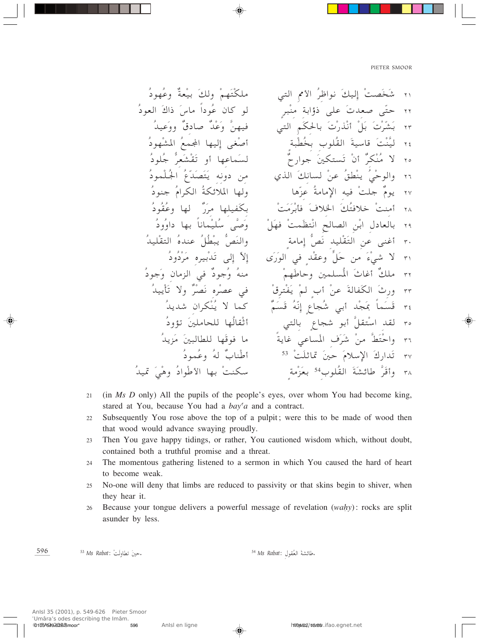- 21 (in Ms D only) All the pupils of the people's eyes, over whom You had become king, stared at You, because You had a *bay'a* and a contract.
- Subsequently You rose above the top of a pulpit; were this to be made of wood then 22 that wood would advance swaying proudly.
- Then You gave happy tidings, or rather, You cautioned wisdom which, without doubt, 23 contained both a truthful promise and a threat.
- The momentous gathering listened to a sermon in which You caused the hard of heart 24 to become weak.
- No-one will deny that limbs are reduced to passivity or that skins begin to shiver, when 25 they hear it.
- Because your tongue delivers a powerful message of revelation (wahy): rocks are split 26 asunder by less.

596 - حينَ تطاولَتْ : Ms Rabat <sup>53</sup> 54 Ms Rabat: مطائشةَ العُقول.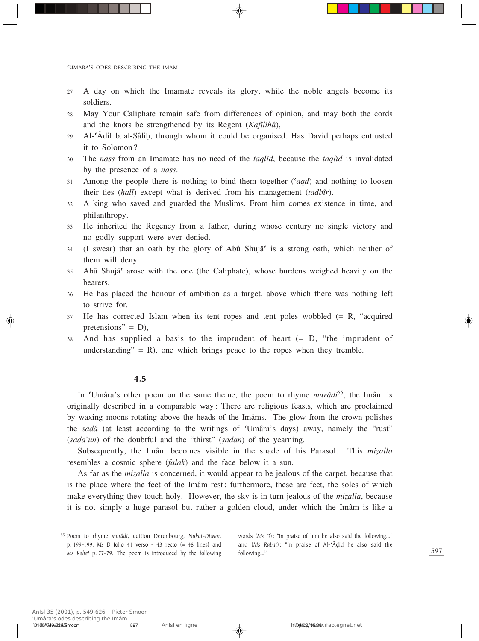- 27 A day on which the Imamate reveals its glory, while the noble angels become its soldiers.
- 28 May Your Caliphate remain safe from differences of opinion, and may both the cords and the knots be strengthened by its Regent (*Kafîlihâ*),
- <sup>29</sup> Al-©Âdil b. al-∑âliÌ, through whom it could be organised. Has David perhaps entrusted it to Solomon?
- <sup>30</sup> The *naÒÒ* from an Imamate has no need of the *taqlîd*, because the *taqlîd* is invalidated by the presence of a *nass*.
- <sup>31</sup> Among the people there is nothing to bind them together (*©aqd*) and nothing to loosen their ties (*Ìall*) except what is derived from his management (*tadbîr*).
- 32 A king who saved and guarded the Muslims. From him comes existence in time, and philanthropy.
- 33 He inherited the Regency from a father, during whose century no single victory and no godly support were ever denied.
- $34$  (I swear) that an oath by the glory of Abû Shujâ<sup> $\epsilon$ </sup> is a strong oath, which neither of them will deny.
- <sup>35</sup> Abû Shujâ© arose with the one (the Caliphate), whose burdens weighed heavily on the bearers.
- <sup>36</sup> He has placed the honour of ambition as a target, above which there was nothing left to strive for.
- <sup>37</sup> He has corrected Islam when its tent ropes and tent poles wobbled (= R, "acquired pretensions" =  $D$ ),
- <sup>38</sup> And has supplied a basis to the imprudent of heart (= D, "the imprudent of understanding" = R), one which brings peace to the ropes when they tremble.

## 4.5

In ©Umâra's other poem on the same theme, the poem to rhyme *murâdi*55, the Imâm is originally described in a comparable way: There are religious feasts, which are proclaimed by waxing moons rotating above the heads of the Imâms. The glow from the crown polishes the *sadâ* (at least according to the writings of 'Umâra's days) away, namely the "rust" (*sada'un*) of the doubtful and the "thirst" (*sadan*) of the yearning.

Subsequently, the Imâm becomes visible in the shade of his Parasol. This *mizalla* resembles a cosmic sphere (*falak*) and the face below it a sun.

As far as the *mizalla* is concerned, it would appear to be jealous of the carpet, because that is the place where the feet of the Imâm rest; furthermore, these are feet, the soles of which make everything they touch holy. However, the sky is in turn jealous of the *mizalla*, because it is not simply a huge parasol but rather a golden cloud, under which the Imâm is like a

words (*Ms D*): "In praise of him he also said the following…" and (*Ms Rabat*): "In praise of Al-©Â∂id he also said the following…"

<sup>55</sup> Poem to rhyme *murâdi*, edition Derenbourg, *Nukat-Diwan*, p. 199-199, *Ms D* folio 41 verso - 43 recto (= 48 lines) and *Ms Rabat* p. 77-79. The poem is introduced by the following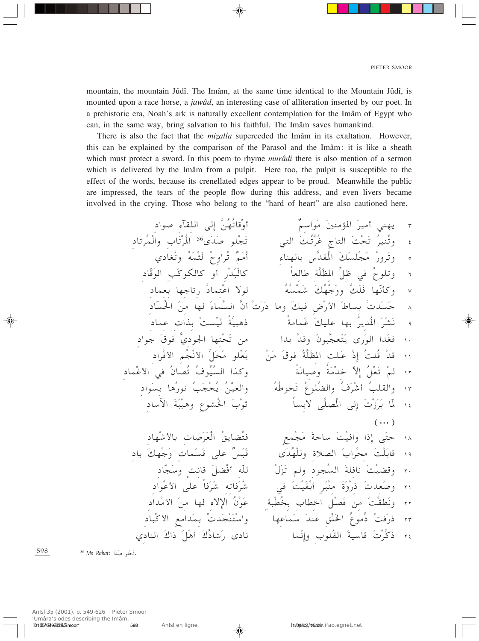mountain, the mountain Jûdî. The Imâm, at the same time identical to the Mountain Jûdî, is mounted upon a race horse, a jawâd, an interesting case of alliteration inserted by our poet. In a prehistoric era, Noah's ark is naturally excellent contemplation for the Imâm of Egypt who can, in the same way, bring salvation to his faithful. The Imâm saves humankind.

There is also the fact that the *mizalla* superceded the Imâm in its exaltation. However, this can be explained by the comparison of the Parasol and the Imâm: it is like a sheath which must protect a sword. In this poem to rhyme murâdi there is also mention of a sermon which is delivered by the Imâm from a pulpit. Here too, the pulpit is susceptible to the effect of the words, because its crenellated edges appear to be proud. Meanwhile the public are impressed, the tears of the people flow during this address, and even livers became involved in the crying. Those who belong to the "hard of heart" are also cautioned here.

598 56 Ms Rabat: تَجْلُو صَدَا.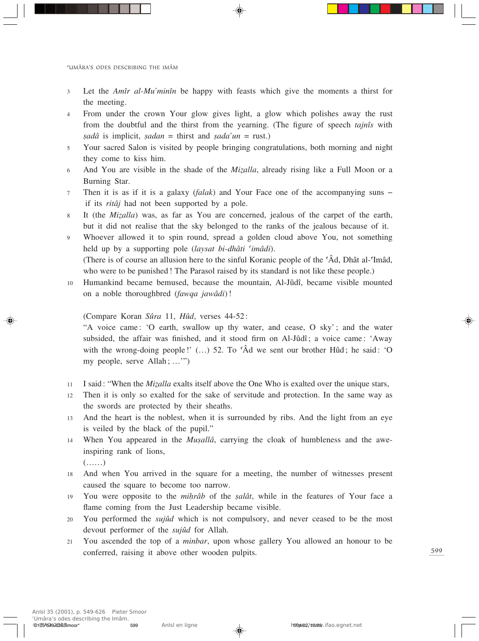- <sup>3</sup> Let the *Amîr al-Mu'minîn* be happy with feasts which give the moments a thirst for the meeting.
- 4 From under the crown Your glow gives light, a glow which polishes away the rust from the doubtful and the thirst from the yearning. (The figure of speech *tajnîs* with *sadâ* is implicit, *sadan* = thirst and *sada'un* = rust.)
- 5 Your sacred Salon is visited by people bringing congratulations, both morning and night they come to kiss him.
- 6 And You are visible in the shade of the *Mizalla*, already rising like a Full Moon or a Burning Star.
- <sup>7</sup> Then it is as if it is a galaxy (*falak*) and Your Face one of the accompanying suns if its *ritâj* had not been supported by a pole.
- 8 It (the *Mizalla*) was, as far as You are concerned, jealous of the carpet of the earth, but it did not realise that the sky belonged to the ranks of the jealous because of it.
- 9 Whoever allowed it to spin round, spread a golden cloud above You, not something held up by a supporting pole (*laysat bi-dhâti ©imâdi*). (There is of course an allusion here to the sinful Koranic people of the  $\hat{A}d$ , Dhât al-Tmâd, who were to be punished! The Parasol raised by its standard is not like these people.)
- <sup>10</sup> Humankind became bemused, because the mountain, Al-Jûdî, became visible mounted on a noble thoroughbred (*fawqa jawâdi*)!

(Compare Koran *Sûra* 11, *Hûd*, verses 44-52:

"A voice came: 'O earth, swallow up thy water, and cease, O sky'; and the water subsided, the affair was finished, and it stood firm on Al-Jûdî; a voice came: 'Away with the wrong-doing people!'  $(...)$  52. To ' $\hat{A}d$  we sent our brother Hûd; he said: 'O my people, serve Allah; …'")

- 11 I said: "When the *Mizalla* exalts itself above the One Who is exalted over the unique stars,
- <sup>12</sup> Then it is only so exalted for the sake of servitude and protection. In the same way as the swords are protected by their sheaths.
- <sup>13</sup> And the heart is the noblest, when it is surrounded by ribs. And the light from an eye is veiled by the black of the pupil."
- 14 When You appeared in the *Musallâ*, carrying the cloak of humbleness and the aweinspiring rank of lions,

(……)

- 18 And when You arrived in the square for a meeting, the number of witnesses present caused the square to become too narrow.
- 19 You were opposite to the *mihrâb* of the *salât*, while in the features of Your face a flame coming from the Just Leadership became visible.
- <sup>20</sup> You performed the *sujûd* which is not compulsory, and never ceased to be the most devout performer of the *sujûd* for Allah.
- <sup>21</sup> You ascended the top of a *minbar*, upon whose gallery You allowed an honour to be conferred, raising it above other wooden pulpits.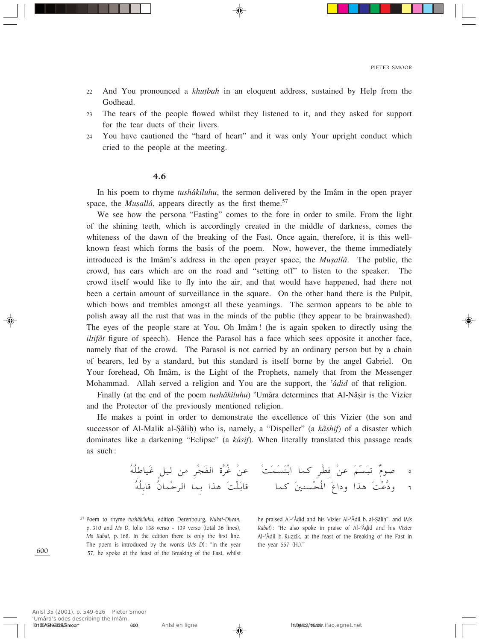- <sup>22</sup> And You pronounced a *khu†bah* in an eloquent address, sustained by Help from the Godhead.
- 23 The tears of the people flowed whilst they listened to it, and they asked for support for the tear ducts of their livers.
- 24 You have cautioned the "hard of heart" and it was only Your upright conduct which cried to the people at the meeting.

#### 4.6

In his poem to rhyme *tushâkiluhu*, the sermon delivered by the Imâm in the open prayer space, the *Musallâ*, appears directly as the first theme.<sup>57</sup>

We see how the persona "Fasting" comes to the fore in order to smile. From the light of the shining teeth, which is accordingly created in the middle of darkness, comes the whiteness of the dawn of the breaking of the Fast. Once again, therefore, it is this wellknown feast which forms the basis of the poem. Now, however, the theme immediately introduced is the Imâm's address in the open prayer space, the *Musallâ*. The public, the crowd, has ears which are on the road and "setting off" to listen to the speaker. The crowd itself would like to fly into the air, and that would have happened, had there not been a certain amount of surveillance in the square. On the other hand there is the Pulpit, which bows and trembles amongst all these yearnings. The sermon appears to be able to polish away all the rust that was in the minds of the public (they appear to be brainwashed). The eyes of the people stare at You, Oh Imâm! (he is again spoken to directly using the *iltifât* figure of speech). Hence the Parasol has a face which sees opposite it another face, namely that of the crowd. The Parasol is not carried by an ordinary person but by a chain of bearers, led by a standard, but this standard is itself borne by the angel Gabriel. On Your forehead, Oh Imâm, is the Light of the Prophets, namely that from the Messenger Mohammad. Allah served a religion and You are the support, the *<sup><i>adid*</sup> of that religion.

Finally (at the end of the poem *tushâkiluhu*) 'Umâra determines that Al-Nâșir is the Vizier and the Protector of the previously mentioned religion.

He makes a point in order to demonstrate the excellence of this Vizier (the son and successor of Al-Malik al-Şâlih) who is, namely, a "Dispeller" (a *kâshif*) of a disaster which dominates like a darkening "Eclipse" (a *kâsif*). When literally translated this passage reads as such:

ÔtÔKÞUOÓž ÌqO s dÚ−ÓH« …]dÔž ÚsŽ ÚXÓLÓÓ²ÚЫ UL ÌdÚD ÚsŽ ÓrÒÓ³ð ÏÂu <sup>µ</sup> ÔtÔKÐU- ÔÊULÚŠd« ULÐ «c¼ ÓXÚKÓÐU-UL Ó5MÚ×Ô\*« ÓŸ«œË «c¼ ÓXÚŽ]œË <sup>∂</sup>

<sup>57</sup> Poem to rhyme *tushâkiluhu*, edition Derenbourg, *Nukat-Diwan*, p. 310 and *Ms D*, folio 138 verso - 139 verso (total 36 lines), *Ms Rabat*, p. 168. In the edition there is only the first line. The poem is introduced by the words (*Ms D*): "In the year '57, he spoke at the feast of the Breaking of the Fast, whilst

he praised Al-<sup>c</sup>Âḍid and his Vizier Al-<sup>c</sup>Âdil b. al-Ṣâliḥ", and (Ms *Rabat*): "He also spoke in praise of Al-©Â∂id and his Vizier Al-©Âdil b. Ruzzîk, at the feast of the Breaking of the Fast in the year 557 (H.)."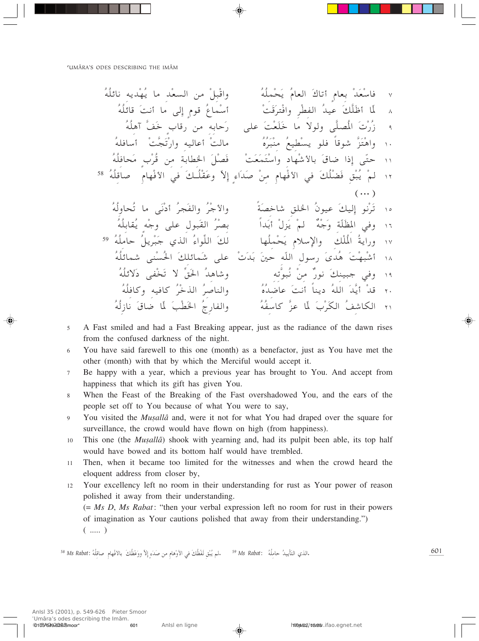- A Fast smiled and had a Fast Breaking appear, just as the radiance of the dawn rises 5 from the confused darkness of the night.
- You have said farewell to this one (month) as a benefactor, just as You have met the 6 other (month) with that by which the Merciful would accept it.
- Be happy with a year, which a previous year has brought to You. And accept from  $\tau$ happiness that which its gift has given You.
- When the Feast of the Breaking of the Fast overshadowed You, and the ears of the  $\overline{8}$ people set off to You because of what You were to say,
- $\overline{9}$ You visited the *Musallâ* and, were it not for what You had draped over the square for surveillance, the crowd would have flown on high (from happiness).
- This one (the *Musallâ*) shook with yearning and, had its pulpit been able, its top half 10 would have bowed and its bottom half would have trembled.
- Then, when it became too limited for the witnesses and when the crowd heard the  $11$ eloquent address from closer by,
- Your excellency left no room in their understanding for rust as Your power of reason 12 polished it away from their understanding.

 $(= Ms D, Ms Rabat$ : "then your verbal expression left no room for rust in their powers of imagination as Your cautions polished that away from their understanding.")  $($  ..... )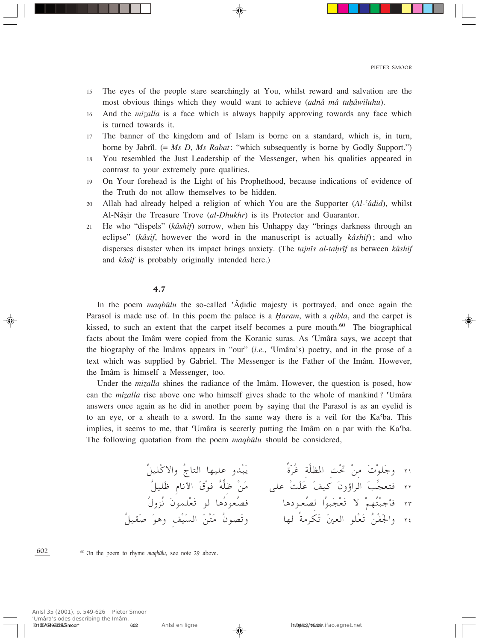- 15 The eyes of the people stare searchingly at You, whilst reward and salvation are the most obvious things which they would want to achieve *(adnâ mâ tuhâwiluhu*).
- 16 And the *mizalla* is a face which is always happily approving towards any face which is turned towards it.
- 17 The banner of the kingdom and of Islam is borne on a standard, which is, in turn, borne by Jabrîl. (= *Ms D*, *Ms Rabat*: "which subsequently is borne by Godly Support.")
- 18 You resembled the Just Leadership of the Messenger, when his qualities appeared in contrast to your extremely pure qualities.
- 19 On Your forehead is the Light of his Prophethood, because indications of evidence of the Truth do not allow themselves to be hidden.
- 20 Allah had already helped a religion of which You are the Supporter (*Al-<sup>c</sup>âdid*), whilst Al-Nâșir the Treasure Trove (al-Dhukhr) is its Protector and Guarantor.
- <sup>21</sup> He who "dispels" (*kâshif*) sorrow, when his Unhappy day "brings darkness through an eclipse" (*kâsif*, however the word in the manuscript is actually *kâshif*); and who disperses disaster when its impact brings anxiety. (The *tajnîs al-tahrîf* as between *kâshif* and *kâsif* is probably originally intended here.)

## 4.7

In the poem *maqbûlu* the so-called ©Â∂idic majesty is portrayed, and once again the Parasol is made use of. In this poem the palace is a *Îaram*, with a *qibla*, and the carpet is kissed, to such an extent that the carpet itself becomes a pure mouth.<sup>60</sup> The biographical facts about the Imâm were copied from the Koranic suras. As ©Umâra says, we accept that the biography of the Imâms appears in "our" (*i.e.*, ©Umâra's) poetry, and in the prose of a text which was supplied by Gabriel. The Messenger is the Father of the Imâm. However, the Imâm is himself a Messenger, too.

Under the *mizalla* shines the radiance of the Imâm. However, the question is posed, how can the *mizalla* rise above one who himself gives shade to the whole of mankind? Umâra answers once again as he did in another poem by saying that the Parasol is as an eyelid is to an eye, or a sheath to a sword. In the same way there is a veil for the Ka©ba. This implies, it seems to me, that 'Umâra is secretly putting the Imâm on a par with the Ka'ba. The following quotation from the poem *maqbûlu* should be considered,

ÔqOKÚô«Ë ÔÃU²« UNOKŽ ËbÚ³Ó¹ Î…ÒdÔž W]KE\*« XÚ% Ús Ó ÚuKÓłË ≤± ÔqOKÓþ ÂU½\_« Ó'Úu Ôt ^ Kþ ÚsÓ vKŽ ÚXÓKÓŽ ÓnO ÓÊ˃«d« ÓV]−F² ≤≤ Ô‰ËeÔ½ ÓÊuLKÚFÓð u U¼ÔœuFÔB U¼œu‡FÔB «Ôu³Ó−ÚFÓð ô ÚrNÔ²Ú³łQ ≤≥ ÔqOIÓ Óu¼Ë nÚOÓ« ÓsÚ²Ó ÔÊuBÓðË UN ÎW dJÓð Ó5F« uKÚFÓð ÔsÚHÓ'«Ë ≤¥

<sup>60</sup> On the poem to rhyme *maqbûlu*, see note 29 above.

ʿUmâra's odes describing the Imâm.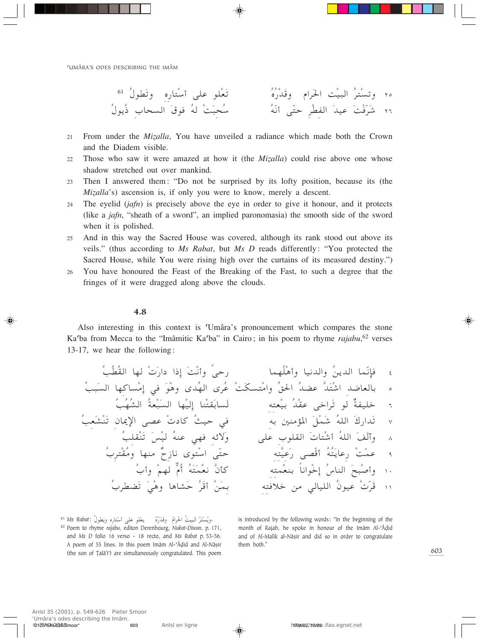- From under the *Mizalla*, You have unveiled a radiance which made both the Crown  $2.1$ and the Diadem visible.
- Those who saw it were amazed at how it (the *Mizalla*) could rise above one whose 22 shadow stretched out over mankind.
- Then I answered them: "Do not be surprised by its lofty position, because its (the 23 Mizalla's) ascension is, if only you were to know, merely a descent.
- The eyelid  $(jafn)$  is precisely above the eye in order to give it honour, and it protects 24 (like a *jafn*, "sheath of a sword", an implied paronomasia) the smooth side of the sword when it is polished.
- And in this way the Sacred House was covered, although its rank stood out above its  $25$ veils." (thus according to Ms Rabat, but Ms D reads differently: "You protected the Sacred House, while You were rising high over the curtains of its measured destiny.")
- You have honoured the Feast of the Breaking of the Fast, to such a degree that the 26 fringes of it were dragged along above the clouds.

## $4.8$

Also interesting in this context is 'Umâra's pronouncement which compares the stone Ka'ba from Mecca to the "Imâmitic Ka'ba" in Cairo; in his poem to rhyme rajabu,<sup>62</sup> verses 13-17, we hear the following:

.ويُسْتَرُ البيتُ الحَرامُ وقَدْرُهُ لَ يعْلو على أسْتاره ويَطولُ :Ms Rabat <sup>61</sup>

is introduced by the following words: "In the beginning of the month of Rajab, he spoke in honour of the Imâm Al-'Âdid and of Al-Malik al-Nâșir and did so in order to congratulate them both."

<sup>&</sup>lt;sup>62</sup> Poem to rhyme rajabu, editon Derenbourg, Nukat-Diwan, p. 171, and Ms D folio 16 verso - 18 recto, and Ms Rabat p. 53-56. A poem of 55 lines. In this poem Imâm Al-'Âdid and Al-Nâșir (the son of Talâ'i') are simultaneously congratulated. This poem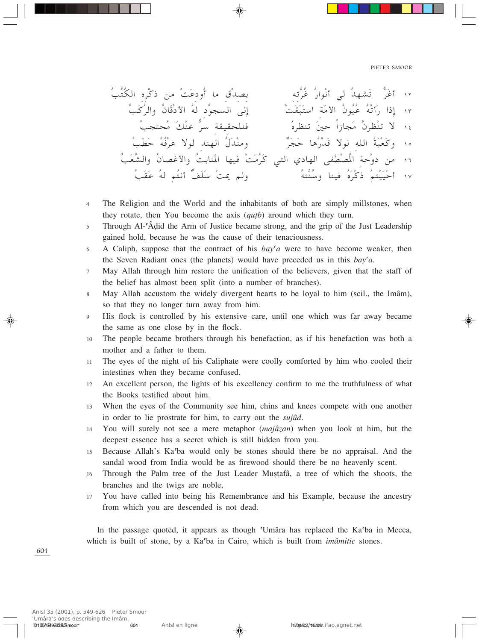- The Religion and the World and the inhabitants of both are simply millstones, when  $\overline{A}$ they rotate, then You become the axis (*qutb*) around which they turn.
- Through Al-'Âdid the Arm of Justice became strong, and the grip of the Just Leadership  $\overline{5}$ gained hold, because he was the cause of their tenaciousness.
- A Caliph, suppose that the contract of his  $bay'a$  were to have become weaker, then 6 the Seven Radiant ones (the planets) would have preceded us in this  $bay' a$ .
- May Allah through him restore the unification of the believers, given that the staff of  $\tau$ the belief has almost been split (into a number of branches).
- May Allah accustom the widely divergent hearts to be loyal to him (scil., the Imâm),  $\mathbf{8}$ so that they no longer turn away from him.
- His flock is controlled by his extensive care, until one which was far away became 9 the same as one close by in the flock.
- The people became brothers through his benefaction, as if his benefaction was both a 10 mother and a father to them.
- The eyes of the night of his Caliphate were coolly comforted by him who cooled their  $11$ intestines when they became confused.
- An excellent person, the lights of his excellency confirm to me the truthfulness of what  $12$ the Books testified about him.
- When the eyes of the Community see him, chins and knees compete with one another 13 in order to lie prostrate for him, to carry out the *sujud*.
- You will surely not see a mere metaphor *(majâzan)* when you look at him, but the  $14$ deepest essence has a secret which is still hidden from you.
- 15 Because Allah's Ka'ba would only be stones should there be no appraisal. And the sandal wood from India would be as firewood should there be no heavenly scent.
- Through the Palm tree of the Just Leader Mustafâ, a tree of which the shoots, the 16 branches and the twigs are noble,
- You have called into being his Remembrance and his Example, because the ancestry 17 from which you are descended is not dead.

In the passage quoted, it appears as though 'Umâra has replaced the Ka'ba in Mecca, which is built of stone, by a Ka'ba in Cairo, which is built from *imâmitic* stones.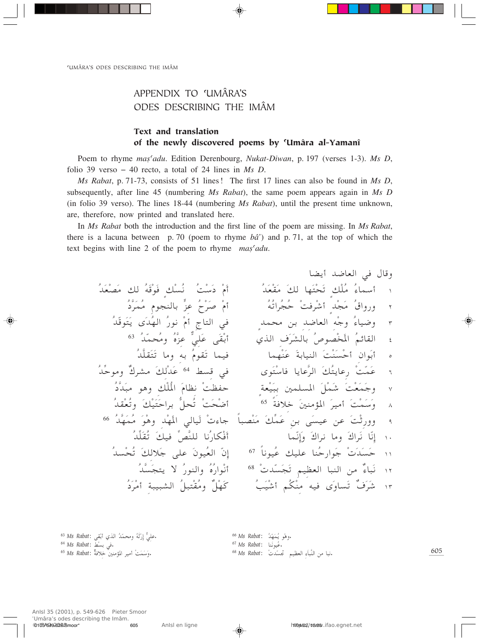# APPENDIX TO 'UMÂRA'S ODES DESCRIBING THE IMÂM

## Text and translation of the newly discovered poems by ©Umâra al-Yamanî

Poem to rhyme *mas<sup>c</sup>adu*. Edition Derenbourg, *Nukat-Diwan*, p. 197 (verses 1-3). *Ms D*, folio 39 verso – 40 recto, a total of 24 lines in *Ms D*.

*Ms Rabat*, p. 71-73, consists of 51 lines! The first 17 lines can also be found in *Ms D*, subsequently, after line 45 (numbering *Ms Rabat*), the same poem appears again in *Ms D* (in folio 39 verso). The lines 18-44 (numbering *Ms Rabat*), until the present time unknown, are, therefore, now printed and translated here.

In *Ms Rabat* both the introduction and the first line of the poem are missing. In *Ms Rabat*, there is a lacuna between p. 70 (poem to rhyme *bâ'*) and p. 71, at the top of which the text begins with line 2 of the poem to rhyme *mas<sup>c</sup>adu*.

UC¹√ b{UF« w ‰U-Ë ÔbÓFÚBÓ p ÔtÓ-ÚuÓ ÌpÚÔ½ ÔXÚÝÓœ ÚÂÓ√ ÔbÓFÚIÓ Óp UNÓ²Ú×Óð ÌpÚKÔ Ô¡ULÝ√ ± Ôœ]dÓLÔ Âu−MUÐ > eŽ ÔÕÚdÓ ÚÂ√ ÔtÔð«dÔ−ÔŠ ÚXdÚý√ ÌbÚ−Ó Ô'«Ë—Ë ≤ ÔbÒuÓ²Ó¹ ÈÓbÔN« Ô—u½ ÚÂ√ ÃU²« w ÌbL× sÐ b{UF« tÚłË Ô¡UO{Ë ≥ ÔbÒL×Ô Ë ÔÁ]eŽ wKÓŽ vÓIÚÐ√ Íc« ·ÓdÓAUÐ Ô'uBÚÓ\*« ÔrzUI« ¥ <sup>63</sup> Ôb]KIÓ²Óð U Ë tÐ ÔÂuIÓð ULO ULNÚMÓŽ ÓWÐUOM« ÓXÚMÓÚŠ√ Ê«uÓÐ√ µ j w ÈuÓ²ÚÝU U¹UŽ]d« ÓpÔ²¹UŽ— ÚXÒLÓŽ <sup>∂</sup> <sup>64</sup> Ôb=Šu Ë τdA ÓpÚbÓŽ Ԝ]bӳ u¼Ë pÚKÔ\*« ÓÂUE½ ÚXEHŠ ÌWFÚOÓ³Ð 5LK\*« ÓqÚLÓý ÓXÚFÓLÓłË ∑ ÎWöš Ó5M R\*« ÓdO √ ÓXÚLÓÝÓË <sup>∏</sup> <sup>65</sup> ÔbIÚFÔðË ÓpÚOÓ²ÓŠ«dÐ ^ q×Ôð ÚXÓ×Ú{√ Ôb]NÓLÔ ÓuÚ¼Ë bÚNÓ\*« wUOÓ Ú ¡Uł ÎU³BÚMÓ Óp=LÓŽ sÐ vÓOŽ sŽ ÓXÚŁ—ËË <sup>π</sup> <sup>66</sup> Ôb=KÓIÔð ÓpO =h]MK U½Ô—UJÚÓ√ ULÒ½≈ÓË Ó"«d½ U Ë Ó"«dÓ½ UÒ½≈ ±∞ ÎU½uOÔŽ pOKŽ UMÔŠ—«uÓł Ú ÓbÓÓŠ ±± <sup>67</sup> ÔbÚ×Ôð ÓpöÓł vKŽ ÓÊuOÔF« ÒÊ≈ Ú bÒÓ−Óð rOEF« U³M« s Ï¡U³Ó½ ±≤ <sup>68</sup> Ôb]Ó−²¹ ô Ô—uM«Ë ÔÁÔ—«uÚ½√ ÔœÓdÚ √ W³O³A« Ôq³²ÚIÔ Ë ÏqÚNÓ ÔVÓOÚý√ rÔJÚM tO ÈÓËUÓð Ï·ÓdÓý ±≥

<sup>63</sup> *Ms Rabat*: Ð√ Íc« vIÚ bÔ LÒ × Ë tÔ ŁÓ—Ú <sup>≈</sup> wy KŽ. <sup>64</sup> *Ms Rabat*: Ð w jÚ . <sup>65</sup> *Ms Rabat*: WÏöš 5M R\*« dO √ <sup>Ú</sup> .وَسَمَتْ <sup>66</sup> Ms Rabat: وَهُو يُمَهَّدُ.<br><sup>67</sup> Ms Rabat: مُيونَنا.<br>فبا من النَّباء العظيم تجسَّدتْ. <sup>68</sup> Ms Rabat: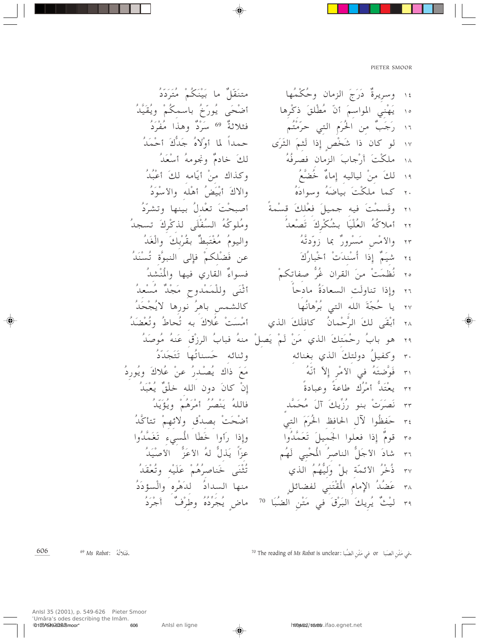70 The reading of Ms Rabat is unclear: فِي مَتْنِ الصَبَا آ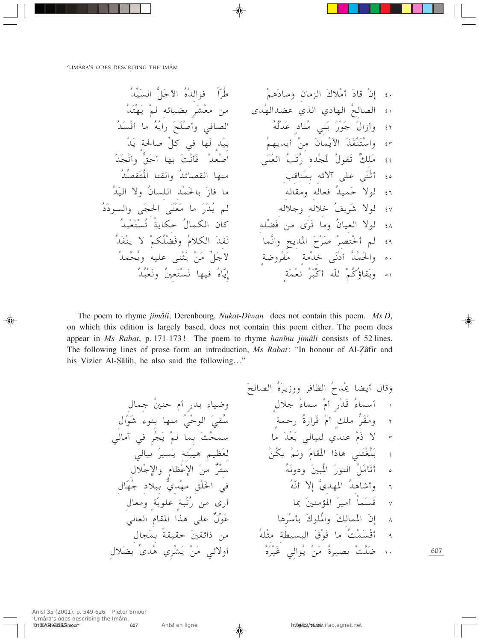The poem to rhyme jimâli, Derenbourg, Nukat-Diwan does not contain this poem. Ms D, on which this edition is largely based, does not contain this poem either. The poem does appear in Ms Rabat, p. 171-173! The poem to rhyme hanînu jimâli consists of 52 lines. The following lines of prose form an introduction, Ms Rabat: "In honour of Al-Zâfir and his Vizier Al-Sâlih, he also said the following..."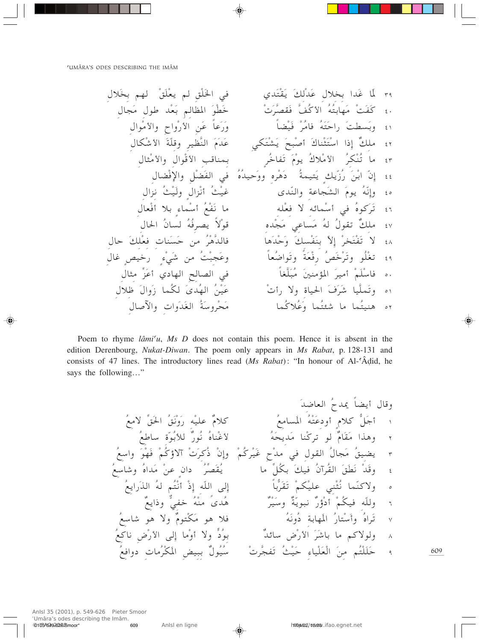‰öÓÐ rN ÚoÓKÚF¹ r oÚKÓ)« w ÍbÓ²ÚIÓ¹ ÓpÚbÓŽ ‰öÐ «bÓž UÒ\* ≥π ‰U−Ó ‰uÞ bÚFÓÐ rUE\*« ÓuÚDÓš Ú Ód]BIÓ ]nÔ\_« ÔtÔ²ÐUNÓ ÚXÓHÓ ¥∞ ‰«uÚ \_«Ë Õ«ËÚ—\_« sÓŽ ÎUŽÓ—ÓË ÎUCÚOÓ ÚdÔ U ÔtÓ²ÓŠ«— ÓXDÓÐË ¥± ‰UJÚý\_« ÓWÒK-Ë dOE]M« ÓÂÓbÓŽ wJÓ²ÚAÓ¹ Ó`³Ú
√ Ó"UMÚ¦Ó²ÚÝ« «–≈ ÏpK ¥≤ ‰U¦Ú \_«Ë ‰«uÚ-\_« V-UMLÐ ÌdÔšUHÓð ÓÂÚu¹ Ô"öÚ \_« ÔdJÚMÔð U ¥≥ ‰UCÚù«Ë qÚCÓH« w ÔÁÔbOŠÓËË ÁdÚ¼Óœ ÔWLO²Ó¹ Ìp¹Ò"Ô— ÓsÚЫ ÒÊ≈ ¥¥ ‰«e½ ÔYÚOÓË ̉«eÚ½√ ÔYÚOž ÈbÒM«Ë WŽU−ÓA« ÓÂu¹ ÔtÒ½≈Ë ¥µ ‰UFÚ√ öÐ Ì¡ULÚÝ√ ÔlÚHÓ½ U tKÚF ô tzULÚÝ√ w ÔÁuÓdÓð ¥∂ ‰U(« ÔÊU ÔtÔdB¹ ÎôÚu- ÁbÚ−Ó wŽUÓ Ôt Ô‰uIð ÏpK ¥∑ ‰UŠ ÓpKÚF UMÓÓŠ s ÔdÚ¼]bU U¼ÓbÚŠÓË ÓpÚHÓMÐ Òô≈ ÚdÓ²ÚHÓð ô ¥∏ ‰Už ÌhOš— Ì¡ÚwÓý s ÔXÚ³−ÓŽË ÎUFÔ{«uÓðË ÎWÓFÚ— ÔhÓšÚdÓðË uÔKÚGð ¥π ‰U¦ =eÓŽ√ ÍœUN« `UB« w ÎUG]KÓ³Ô Ó5M R\*« ÓdO √ ÚrÓKÚÝU µ∞ ‰öþ Ó‰«ËÓ" ULÔJ ÓÈbÔN« ÔsÚOÓŽ Ú √— ôË …UO(« Ó·ÓdÓý UO]KLÓðË µ± ‰U
ü«Ë «ËÓbÓG« ÔWÓÝËdÚ×Ó ULÔöÔŽÓË ULÔ²¾ý U ULÔ²OM¼ µ≤

Poem to rhyme *lâmi<sup>c</sup>u*, *Ms D* does not contain this poem. Hence it is absent in the edition Derenbourg, *Nukat-Diwan*. The poem only appears in *Ms Rabat*, p. 128-131 and consists of 47 lines. The introductory lines read (*Ms Rabat*): "In honour of Al-'Âḍid, he says the following…"

وقال أيضاً يداحُ العاضَدَ لُ المُبامعُ
$$
\frac{1}{2} + \frac{2}{3}
$$
 وهذا مَقَامُ لُور مَنَيُ أُخَالَ مَدِيَّ مَلَّهِ وَوَنَّ وَنَّوَّ اَخَقَّ لامعُ
$$
\frac{1}{2}
$$
 وهذا مَقَامُ لو تركُنا مَدِيَحَهُ الَسَّامعُ
$$
\frac{1}{2}
$$
 وقَدُ نَطَقَ مَجالُ القول في مُدَحِ كُمُ و{'يَاتُ مَدَّهُ وَسَيُرُ وَنَّهُ لَهُ وَشَاسَعُرُ وِنَدَ مَدَّهُ وَنَدُنَطَقَ رَانقَمِلَهُ الَدَرَارِعِمُ
$$
\frac{1}{2}
$$
 وقَدُنَطَقَرَ الَقُرِتَّرِنَهِرَّلَ وَنَدُنَطَقَرَ أَدَوُرَّ نَبِوِيَّةُ وسَيُرُ وَنَهُ هَوَ ولا هو شَاسعُرُوَتَرَلَهُ وَانَسَّوَ مَلَّوَمَّ ولا هو شَاسعُرُوَتَرَلَهُ وَنَّهُ وَنَّهُ وَدَّهِ وَنَهُرَ وَنَهُرَوَ وَنَدَّهِ وَدَنَّهِ وَدَنَّهِ وَدَنَّهَ وَدَنِنَهُ وَدَنَهُرَ وَنَهُرَ وَدَنَّهُ وَدَنَهُ وَدَنِنَّهَ وَدَنِنَّهُ وَدَنَهُ وَنَّهَ وَدَنَهُ وَنَدَ وَنَهُ وَنَّهَ وَدَنَهَ وَنَدَ مَلَّهُ وَمَوَرَ وَدَنَّهَ، وَدَانَهُ وَمَوَرَ وَلَهَ، وَدَانَهُ وَمَوَرَ وَلَهَ، وَنَهُوَرَ وَلَهَّهَ، وَنَهُ وَمَوَرَ وَلَهَ، وَ

609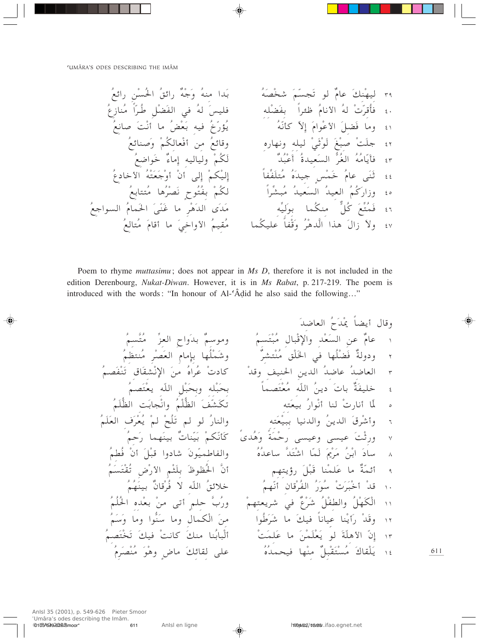Poem to rhyme muttasimu; does not appear in Ms D, therefore it is not included in the edition Derenbourg, Nukat-Diwan. However, it is in Ms Rabat, p. 217-219. The poem is introduced with the words: "In honour of Al-'Âdid he also said the following..."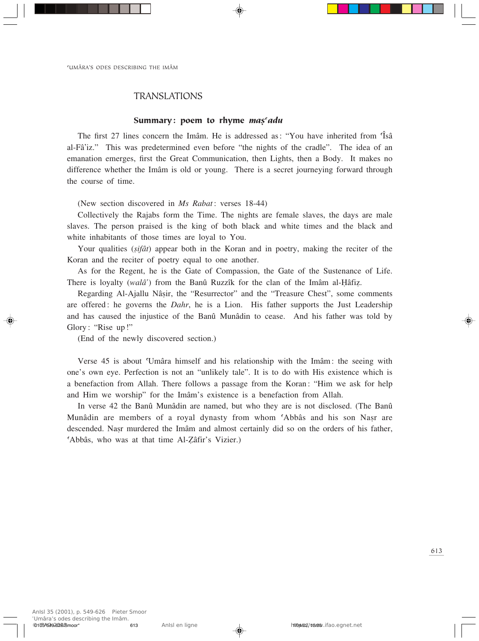## TRANSLATIONS

## Summary: poem to rhyme *ma*s *adu*

The first 27 lines concern the Imâm. He is addressed as: "You have inherited from 'Isâ al-Fâ'iz." This was predetermined even before "the nights of the cradle". The idea of an emanation emerges, first the Great Communication, then Lights, then a Body. It makes no difference whether the Imâm is old or young. There is a secret journeying forward through the course of time.

(New section discovered in *Ms Rabat*: verses 18-44)

Collectively the Rajabs form the Time. The nights are female slaves, the days are male slaves. The person praised is the king of both black and white times and the black and white inhabitants of those times are loyal to You.

Your qualities (*sifât*) appear both in the Koran and in poetry, making the reciter of the Koran and the reciter of poetry equal to one another.

As for the Regent, he is the Gate of Compassion, the Gate of the Sustenance of Life. There is loyalty (*walâ*') from the Banû Ruzzîk for the clan of the Imâm al-Hâfiz.

Regarding Al-Ajallu Nâșir, the "Resurrector" and the "Treasure Chest", some comments are offered: he governs the *Dahr*, he is a Lion. His father supports the Just Leadership and has caused the injustice of the Banû Munâdin to cease. And his father was told by Glory: "Rise up!"

(End of the newly discovered section.)

Verse 45 is about ©Umâra himself and his relationship with the Imâm: the seeing with one's own eye. Perfection is not an "unlikely tale". It is to do with His existence which is a benefaction from Allah. There follows a passage from the Koran: "Him we ask for help and Him we worship" for the Imâm's existence is a benefaction from Allah.

In verse 42 the Banû Munâdin are named, but who they are is not disclosed. (The Banû Munâdin are members of a royal dynasty from whom 'Abbâs and his son Nasr are descended. Nasr murdered the Imâm and almost certainly did so on the orders of his father, 'Abbâs, who was at that time Al-Zâfir's Vizier.)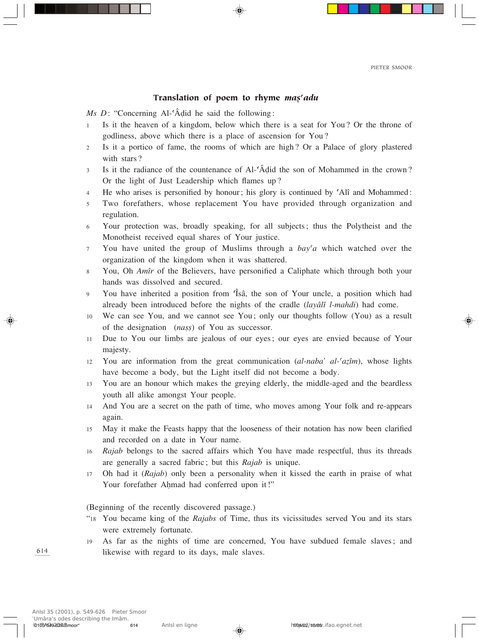## Translation of poem to rhyme *maș<sup>c</sup>adu*

*Ms D*: "Concerning Al-<sup> $\hat{A}$ </sup>did he said the following:

- 1 Is it the heaven of a kingdom, below which there is a seat for You? Or the throne of godliness, above which there is a place of ascension for You?
- 2 Is it a portico of fame, the rooms of which are high? Or a Palace of glory plastered with stars?
- <sup>3</sup> Is it the radiance of the countenance of Al-©Â∂id the son of Mohammed in the crown? Or the light of Just Leadership which flames up?
- 4 He who arises is personified by honour; his glory is continued by 'Alî and Mohammed:
- 5 Two forefathers, whose replacement You have provided through organization and regulation.
- 6 Your protection was, broadly speaking, for all subjects; thus the Polytheist and the Monotheist received equal shares of Your justice.
- <sup>7</sup> You have united the group of Muslims through a *bay©a* which watched over the organization of the kingdom when it was shattered.
- <sup>8</sup> You, Oh *Amîr* of the Believers, have personified a Caliphate which through both your hands was dissolved and secured.
- <sup>9</sup> You have inherited a position from ©Îsâ, the son of Your uncle, a position which had already been introduced before the nights of the cradle (*layâlî l-mahdi*) had come.
- <sup>10</sup> We can see You, and we cannot see You; only our thoughts follow (You) as a result of the designation (*nass*) of You as successor.
- <sup>11</sup> Due to You our limbs are jealous of our eyes; our eyes are envied because of Your majesty.
- 12 You are information from the great communication  $(al$ -*naba' al-* $'a\zeta(m)$ , whose lights have become a body, but the Light itself did not become a body.
- <sup>13</sup> You are an honour which makes the greying elderly, the middle-aged and the beardless youth all alike amongst Your people.
- <sup>14</sup> And You are a secret on the path of time, who moves among Your folk and re-appears again.
- <sup>15</sup> May it make the Feasts happy that the looseness of their notation has now been clarified and recorded on a date in Your name.
- <sup>16</sup> *Rajab* belongs to the sacred affairs which You have made respectful, thus its threads are generally a sacred fabric; but this *Rajab* is unique.
- <sup>17</sup> Oh had it (*Rajab*) only been a personality when it kissed the earth in praise of what Your forefather Ahmad had conferred upon it!"

(Beginning of the recently discovered passage.)

- "18 You became king of the *Rajabs* of Time, thus its vicissitudes served You and its stars were extremely fortunate.
- <sup>19</sup> As far as the nights of time are concerned, You have subdued female slaves; and likewise with regard to its days, male slaves.

614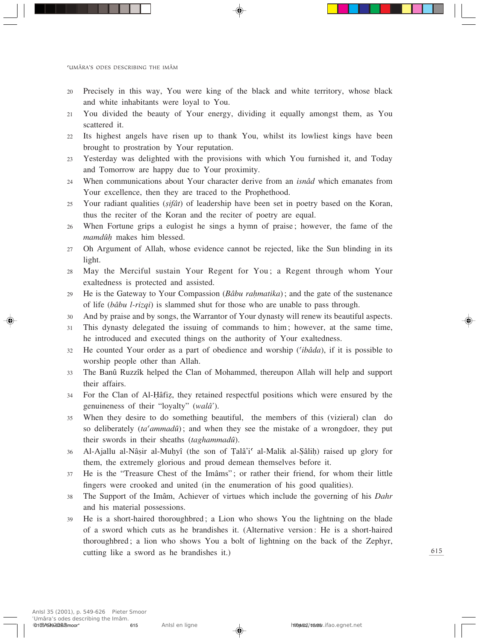- 20 Precisely in this way, You were king of the black and white territory, whose black and white inhabitants were loyal to You.
- 21 You divided the beauty of Your energy, dividing it equally amongst them, as You scattered it.
- 22 Its highest angels have risen up to thank You, whilst its lowliest kings have been brought to prostration by Your reputation.
- 23 Yesterday was delighted with the provisions with which You furnished it, and Today and Tomorrow are happy due to Your proximity.
- <sup>24</sup> When communications about Your character derive from an *isnâd* which emanates from Your excellence, then they are traced to the Prophethood.
- <sup>25</sup> Your radiant qualities (*Òifât*) of leadership have been set in poetry based on the Koran, thus the reciter of the Koran and the reciter of poetry are equal.
- 26 When Fortune grips a eulogist he sings a hymn of praise; however, the fame of the *mamdûÌ* makes him blessed.
- <sup>27</sup> Oh Argument of Allah, whose evidence cannot be rejected, like the Sun blinding in its light.
- <sup>28</sup> May the Merciful sustain Your Regent for You; a Regent through whom Your exaltedness is protected and assisted.
- <sup>29</sup> He is the Gateway to Your Compassion (*Bâbu raÌmatika*); and the gate of the sustenance of life (*bâbu l-rizqi*) is slammed shut for those who are unable to pass through.
- <sup>30</sup> And by praise and by songs, the Warrantor of Your dynasty will renew its beautiful aspects.
- <sup>31</sup> This dynasty delegated the issuing of commands to him; however, at the same time, he introduced and executed things on the authority of Your exaltedness.
- <sup>32</sup> He counted Your order as a part of obedience and worship (*©ibâda*), if it is possible to worship people other than Allah.
- <sup>33</sup> The Banû Ruzzîk helped the Clan of Mohammed, thereupon Allah will help and support their affairs.
- 34 For the Clan of Al-Hâfiz, they retained respectful positions which were ensured by the genuineness of their "loyalty" (*walâ'*).
- <sup>35</sup> When they desire to do something beautiful, the members of this (vizieral) clan do so deliberately (*ta*<sup>*cammada*<sup> $i$ </sup>); and when they see the mistake of a wrongdoer, they put</sup> their swords in their sheaths (*taghammadû*).
- 36 Al-Ajallu al-Nâșir al-Muhyî (the son of Talâ'i<sup>c</sup> al-Malik al-Şâlih) raised up glory for them, the extremely glorious and proud demean themselves before it.
- <sup>37</sup> He is the "Treasure Chest of the Imâms"; or rather their friend, for whom their little fingers were crooked and united (in the enumeration of his good qualities).
- <sup>38</sup> The Support of the Imâm, Achiever of virtues which include the governing of his *Dahr* and his material possessions.
- 39 He is a short-haired thoroughbred; a Lion who shows You the lightning on the blade of a sword which cuts as he brandishes it. (Alternative version: He is a short-haired thoroughbred; a lion who shows You a bolt of lightning on the back of the Zephyr, cutting like a sword as he brandishes it.)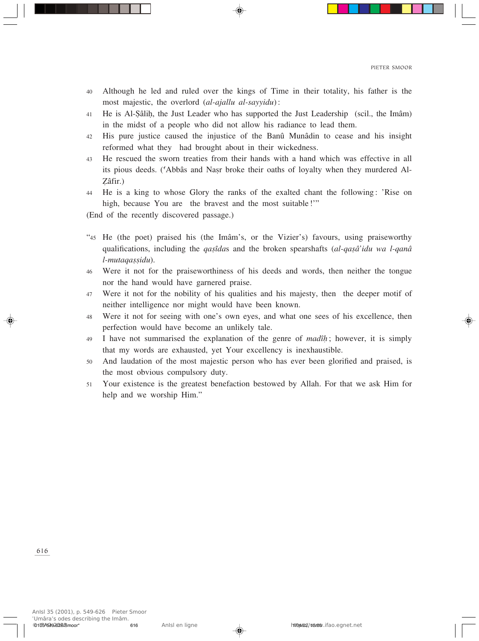- 40 Although he led and ruled over the kings of Time in their totality, his father is the most majestic, the overlord (*al-ajallu al-sayyidu*):
- <sup>41</sup> He is Al-∑âliÌ, the Just Leader who has supported the Just Leadership (scil., the Imâm) in the midst of a people who did not allow his radiance to lead them.
- <sup>42</sup> His pure justice caused the injustice of the Banû Munâdin to cease and his insight reformed what they had brought about in their wickedness.
- 43 He rescued the sworn treaties from their hands with a hand which was effective in all its pious deeds. ('Abbâs and Nasr broke their oaths of loyalty when they murdered Al-Åâfir.)
- 44 He is a king to whose Glory the ranks of the exalted chant the following: 'Rise on high, because You are the bravest and the most suitable!"
- (End of the recently discovered passage.)
- "45 He (the poet) praised his (the Imâm's, or the Vizier's) favours, using praiseworthy qualifications, including the *qasîdas* and the broken spearshafts (*al-qasâ'idu wa l-qanâ l-mutaqaÒÒidu*).
- <sup>46</sup> Were it not for the praiseworthiness of his deeds and words, then neither the tongue nor the hand would have garnered praise.
- <sup>47</sup> Were it not for the nobility of his qualities and his majesty, then the deeper motif of neither intelligence nor might would have been known.
- <sup>48</sup> Were it not for seeing with one's own eyes, and what one sees of his excellence, then perfection would have become an unlikely tale.
- <sup>49</sup> I have not summarised the explanation of the genre of *madîÌ*; however, it is simply that my words are exhausted, yet Your excellency is inexhaustible.
- <sup>50</sup> And laudation of the most majestic person who has ever been glorified and praised, is the most obvious compulsory duty.
- <sup>51</sup> Your existence is the greatest benefaction bestowed by Allah. For that we ask Him for help and we worship Him."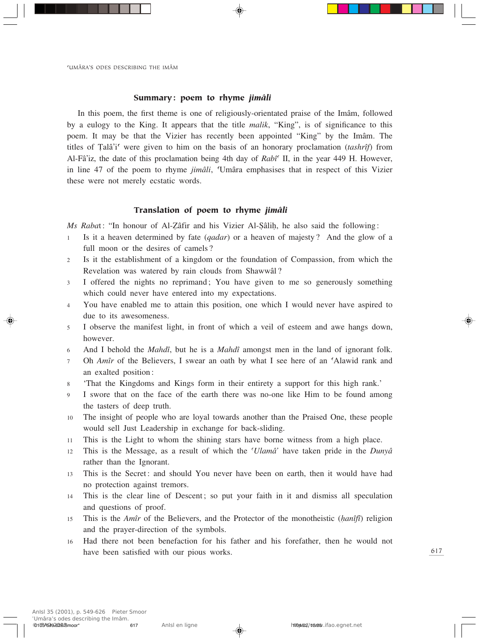## Summary: poem to rhyme *jimâli*

In this poem, the first theme is one of religiously-orientated praise of the Imâm, followed by a eulogy to the King. It appears that the title *malik*, "King", is of significance to this poem. It may be that the Vizier has recently been appointed "King" by the Imâm. The titles of Talâ'i<sup>c</sup> were given to him on the basis of an honorary proclamation (*tashrîf*) from Al-Fâ'iz, the date of this proclamation being 4th day of *Rabî©* II, in the year 449 H. However, in line 47 of the poem to rhyme *jimâli*, ©Umâra emphasises that in respect of this Vizier these were not merely ecstatic words.

## Translation of poem to rhyme *jimâli*

*Ms Rabat*: "In honour of Al-Zâfir and his Vizier Al-Şâlih, he also said the following:

- <sup>1</sup> Is it a heaven determined by fate (*qadar*) or a heaven of majesty? And the glow of a full moon or the desires of camels?
- <sup>2</sup> Is it the establishment of a kingdom or the foundation of Compassion, from which the Revelation was watered by rain clouds from Shawwâl?
- <sup>3</sup> I offered the nights no reprimand; You have given to me so generously something which could never have entered into my expectations.
- <sup>4</sup> You have enabled me to attain this position, one which I would never have aspired to due to its awesomeness.
- <sup>5</sup> I observe the manifest light, in front of which a veil of esteem and awe hangs down, however.
- <sup>6</sup> And I behold the *Mahdî*, but he is a *Mahdî* amongst men in the land of ignorant folk.
- 7 Oh *Amîr* of the Believers, I swear an oath by what I see here of an 'Alawid rank and an exalted position:
- <sup>8</sup> 'That the Kingdoms and Kings form in their entirety a support for this high rank.'
- <sup>9</sup> I swore that on the face of the earth there was no-one like Him to be found among the tasters of deep truth.
- <sup>10</sup> The insight of people who are loyal towards another than the Praised One, these people would sell Just Leadership in exchange for back-sliding.
- <sup>11</sup> This is the Light to whom the shining stars have borne witness from a high place.
- <sup>12</sup> This is the Message, as a result of which the *©Ulamâ'* have taken pride in the *Dunyâ* rather than the Ignorant.
- 13 This is the Secret: and should You never have been on earth, then it would have had no protection against tremors.
- 14 This is the clear line of Descent; so put your faith in it and dismiss all speculation and questions of proof.
- <sup>15</sup> This is the *Amîr* of the Believers, and the Protector of the monotheistic (*Ìanîfî*) religion and the prayer-direction of the symbols.
- <sup>16</sup> Had there not been benefaction for his father and his forefather, then he would not have been satisfied with our pious works.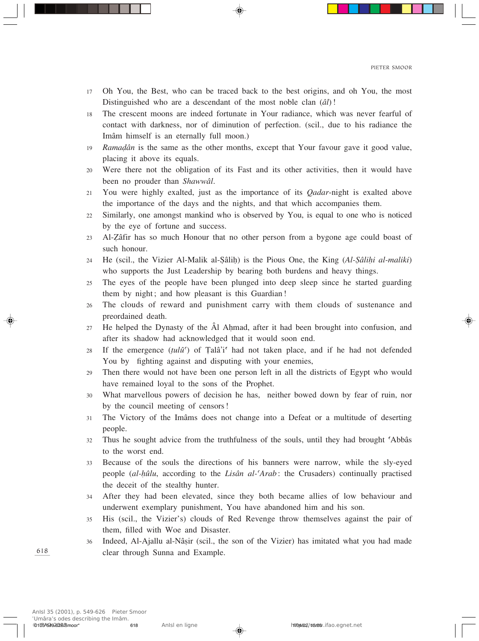- 17 Oh You, the Best, who can be traced back to the best origins, and oh You, the most Distinguished who are a descendant of the most noble clan (*âl*)!
- 18 The crescent moons are indeed fortunate in Your radiance, which was never fearful of contact with darkness, nor of diminution of perfection. (scil., due to his radiance the Imâm himself is an eternally full moon.)
- 19 *Ramadân* is the same as the other months, except that Your favour gave it good value, placing it above its equals.
- 20 Were there not the obligation of its Fast and its other activities, then it would have been no prouder than *Shawwâl*.
- <sup>21</sup> You were highly exalted, just as the importance of its *Qadar*-night is exalted above the importance of the days and the nights, and that which accompanies them.
- 22 Similarly, one amongst mankind who is observed by You, is equal to one who is noticed by the eye of fortune and success.
- <sup>23</sup> Al-Åâfir has so much Honour that no other person from a bygone age could boast of such honour.
- <sup>24</sup> He (scil., the Vizier Al-Malik al-∑âliÌ) is the Pious One, the King (*Al-∑âliÌi al-maliki*) who supports the Just Leadership by bearing both burdens and heavy things.
- <sup>25</sup> The eyes of the people have been plunged into deep sleep since he started guarding them by night; and how pleasant is this Guardian!
- <sup>26</sup> The clouds of reward and punishment carry with them clouds of sustenance and preordained death.
- 27 He helped the Dynasty of the  $\hat{A}$ l Ahmad, after it had been brought into confusion, and after its shadow had acknowledged that it would soon end.
- 28 If the emergence  $(tul\hat{u}^{\prime})$  of Talâ'i<sup>c</sup> had not taken place, and if he had not defended You by fighting against and disputing with your enemies,
- <sup>29</sup> Then there would not have been one person left in all the districts of Egypt who would have remained loyal to the sons of the Prophet.
- <sup>30</sup> What marvellous powers of decision he has, neither bowed down by fear of ruin, nor by the council meeting of censors!
- <sup>31</sup> The Victory of the Imâms does not change into a Defeat or a multitude of deserting people.
- <sup>32</sup> Thus he sought advice from the truthfulness of the souls, until they had brought ©Abbâs to the worst end.
- 33 Because of the souls the directions of his banners were narrow, while the sly-eyed people (*al-Ìûlu*, according to the *Lisân al-©Arab*: the Crusaders) continually practised the deceit of the stealthy hunter.
- 34 After they had been elevated, since they both became allies of low behaviour and underwent exemplary punishment, You have abandoned him and his son.
- 35 His (scil., the Vizier's) clouds of Red Revenge throw themselves against the pair of them, filled with Woe and Disaster.
- 36 Indeed, Al-Ajallu al-Nâșir (scil., the son of the Vizier) has imitated what you had made clear through Sunna and Example.

618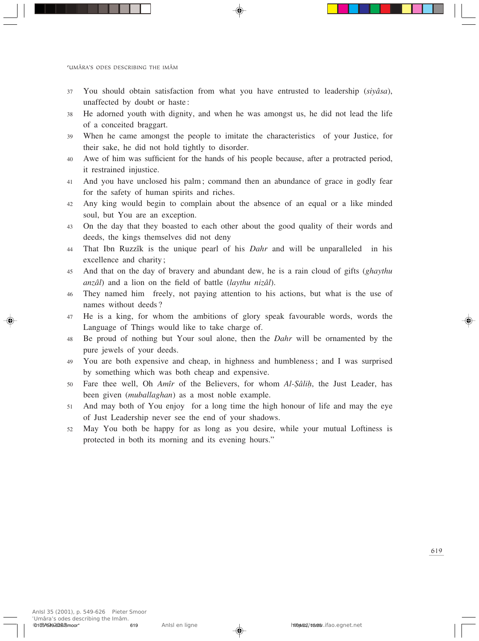- <sup>37</sup> You should obtain satisfaction from what you have entrusted to leadership (*siyâsa*), unaffected by doubt or haste:
- 38 He adorned youth with dignity, and when he was amongst us, he did not lead the life of a conceited braggart.
- 39 When he came amongst the people to imitate the characteristics of your Justice, for their sake, he did not hold tightly to disorder.
- 40 Awe of him was sufficient for the hands of his people because, after a protracted period, it restrained injustice.
- 41 And you have unclosed his palm; command then an abundance of grace in godly fear for the safety of human spirits and riches.
- 42 Any king would begin to complain about the absence of an equal or a like minded soul, but You are an exception.
- 43 On the day that they boasted to each other about the good quality of their words and deeds, the kings themselves did not deny
- <sup>44</sup> That Ibn Ruzzîk is the unique pearl of his *Dahr* and will be unparalleled in his excellence and charity;
- <sup>45</sup> And that on the day of bravery and abundant dew, he is a rain cloud of gifts (*ghaythu anzâl*) and a lion on the field of battle (*laythu nizâl*).
- <sup>46</sup> They named him freely, not paying attention to his actions, but what is the use of names without deeds?
- <sup>47</sup> He is a king, for whom the ambitions of glory speak favourable words, words the Language of Things would like to take charge of.
- <sup>48</sup> Be proud of nothing but Your soul alone, then the *Dahr* will be ornamented by the pure jewels of your deeds.
- <sup>49</sup> You are both expensive and cheap, in highness and humbleness; and I was surprised by something which was both cheap and expensive.
- <sup>50</sup> Fare thee well, Oh *Amîr* of the Believers, for whom *Al-∑âliÌ*, the Just Leader, has been given (*muballaghan*) as a most noble example.
- <sup>51</sup> And may both of You enjoy for a long time the high honour of life and may the eye of Just Leadership never see the end of your shadows.
- <sup>52</sup> May You both be happy for as long as you desire, while your mutual Loftiness is protected in both its morning and its evening hours."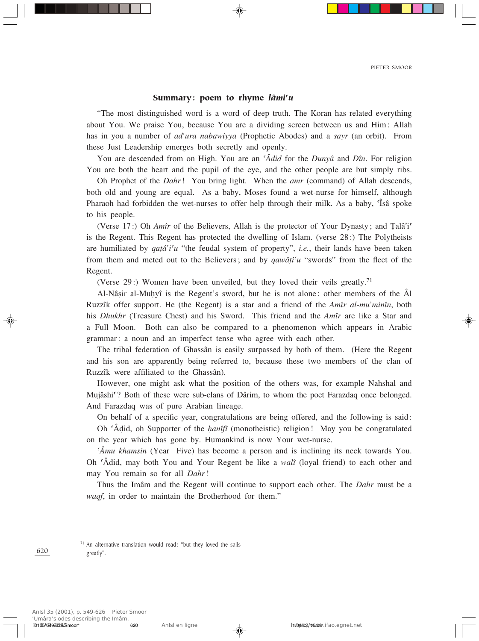## Summary: poem to rhyme *lâmi<sup>c</sup>u*

"The most distinguished word is a word of deep truth. The Koran has related everything about You. We praise You, because You are a dividing screen between us and Him: Allah has in you a number of *ad'ura nabawiyya* (Prophetic Abodes) and a *sayr* (an orbit). From these Just Leadership emerges both secretly and openly.

You are descended from on High. You are an *©Â∂id* for the *Dunyâ* and *Dîn*. For religion You are both the heart and the pupil of the eye, and the other people are but simply ribs.

Oh Prophet of the *Dahr*! You bring light. When the *amr* (command) of Allah descends, both old and young are equal. As a baby, Moses found a wet-nurse for himself, although Pharaoh had forbidden the wet-nurses to offer help through their milk. As a baby, Isâ spoke to his people.

(Verse 17:) Oh  $Am\hat{i}$  of the Believers, Allah is the protector of Your Dynasty; and Talâ'i<sup>o</sup> is the Regent. This Regent has protected the dwelling of Islam. (verse 28:) The Polytheists are humiliated by  $qafa'i'u$  "the feudal system of property", *i.e.*, their lands have been taken from them and meted out to the Believers; and by *qawâti<sup>c</sup>u* "swords" from the fleet of the Regent.

(Verse 29:) Women have been unveiled, but they loved their veils greatly.71

Al-Nâsir al-Muhyî is the Regent's sword, but he is not alone: other members of the  $\hat{A}$ l Ruzzîk offer support. He (the Regent) is a star and a friend of the *Amîr al-mu'minîn*, both his *Dhukhr* (Treasure Chest) and his Sword. This friend and the *Amîr* are like a Star and a Full Moon. Both can also be compared to a phenomenon which appears in Arabic grammar: a noun and an imperfect tense who agree with each other.

The tribal federation of Ghassân is easily surpassed by both of them. (Here the Regent and his son are apparently being referred to, because these two members of the clan of Ruzzîk were affiliated to the Ghassân).

However, one might ask what the position of the others was, for example Nahshal and Mujâshi<sup>c</sup>? Both of these were sub-clans of Dârim, to whom the poet Farazdaq once belonged. And Farazdaq was of pure Arabian lineage.

On behalf of a specific year, congratulations are being offered, and the following is said:

Oh ©Â∂id, oh Supporter of the *Ìanîfî* (monotheistic) religion! May you be congratulated on the year which has gone by. Humankind is now Your wet-nurse.

*©Âmu khamsin* (Year Five) has become a person and is inclining its neck towards You. Oh ©Â∂id, may both You and Your Regent be like a *walî* (loyal friend) to each other and may You remain so for all *Dahr*!

Thus the Imâm and the Regent will continue to support each other. The *Dahr* must be a *waqf*, in order to maintain the Brotherhood for them."

 $71$  An alternative translation would read: "but they loved the sails greatly".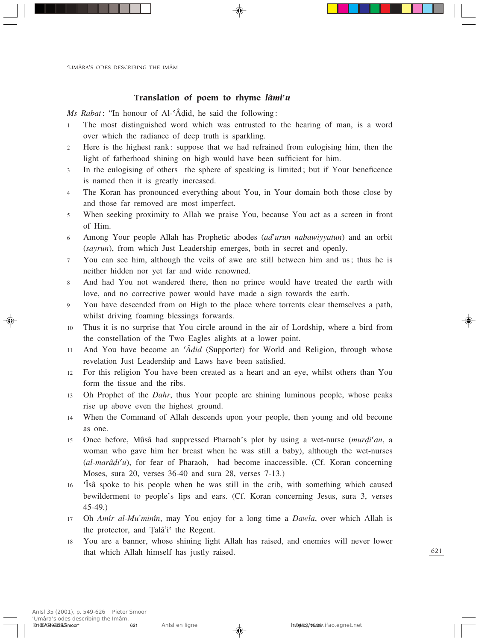## Translation of poem to rhyme *lâmi<sup>c</sup>u*

*Ms Rabat*: "In honour of Al-<sup>c</sup>Âdid, he said the following:

- 1 The most distinguished word which was entrusted to the hearing of man, is a word over which the radiance of deep truth is sparkling.
- 2 Here is the highest rank: suppose that we had refrained from eulogising him, then the light of fatherhood shining on high would have been sufficient for him.
- 3 In the eulogising of others the sphere of speaking is limited; but if Your beneficence is named then it is greatly increased.
- 4 The Koran has pronounced everything about You, in Your domain both those close by and those far removed are most imperfect.
- 5 When seeking proximity to Allah we praise You, because You act as a screen in front of Him.
- <sup>6</sup> Among Your people Allah has Prophetic abodes (*ad'urun nabawiyyatun*) and an orbit (*sayrun*), from which Just Leadership emerges, both in secret and openly.
- <sup>7</sup> You can see him, although the veils of awe are still between him and us; thus he is neither hidden nor yet far and wide renowned.
- <sup>8</sup> And had You not wandered there, then no prince would have treated the earth with love, and no corrective power would have made a sign towards the earth.
- <sup>9</sup> You have descended from on High to the place where torrents clear themselves a path, whilst driving foaming blessings forwards.
- <sup>10</sup> Thus it is no surprise that You circle around in the air of Lordship, where a bird from the constellation of the Two Eagles alights at a lower point.
- <sup>11</sup> And You have become an *©Â∂id* (Supporter) for World and Religion, through whose revelation Just Leadership and Laws have been satisfied.
- <sup>12</sup> For this religion You have been created as a heart and an eye, whilst others than You form the tissue and the ribs.
- <sup>13</sup> Oh Prophet of the *Dahr*, thus Your people are shining luminous people, whose peaks rise up above even the highest ground.
- <sup>14</sup> When the Command of Allah descends upon your people, then young and old become as one.
- <sup>15</sup> Once before, Mûsâ had suppressed Pharaoh's plot by using a wet-nurse (*mur∂i©an*, a woman who gave him her breast when he was still a baby), although the wet-nurses (*al-marâ∂i©u*), for fear of Pharaoh, had become inaccessible. (Cf. Koran concerning Moses, sura 20, verses 36-40 and sura 28, verses 7-13.)
- <sup>16</sup> ©Îsâ spoke to his people when he was still in the crib, with something which caused bewilderment to people's lips and ears. (Cf. Koran concerning Jesus, sura 3, verses 45-49.)
- <sup>17</sup> Oh *Amîr al-Mu'minîn*, may You enjoy for a long time a *Dawla*, over which Allah is the protector, and Talâ'i<sup>c</sup> the Regent.
- <sup>18</sup> You are a banner, whose shining light Allah has raised, and enemies will never lower that which Allah himself has justly raised.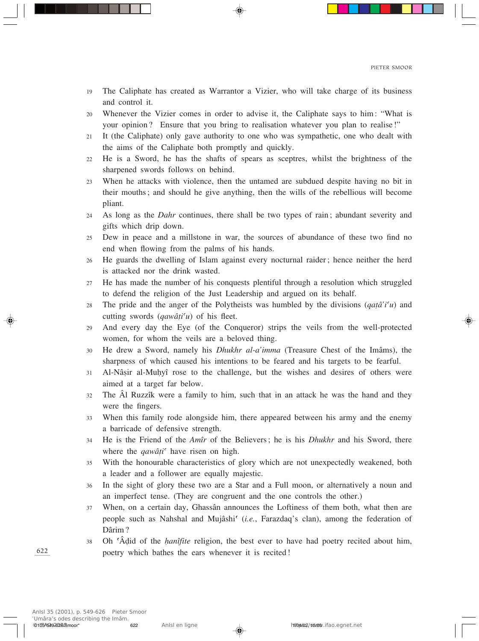- 19 The Caliphate has created as Warrantor a Vizier, who will take charge of its business and control it.
- 20 Whenever the Vizier comes in order to advise it, the Caliphate says to him: "What is your opinion? Ensure that you bring to realisation whatever you plan to realise!"
- 21 It (the Caliphate) only gave authority to one who was sympathetic, one who dealt with the aims of the Caliphate both promptly and quickly.
- 22 He is a Sword, he has the shafts of spears as sceptres, whilst the brightness of the sharpened swords follows on behind.
- 23 When he attacks with violence, then the untamed are subdued despite having no bit in their mouths; and should he give anything, then the wills of the rebellious will become pliant.
- <sup>24</sup> As long as the *Dahr* continues, there shall be two types of rain; abundant severity and gifts which drip down.
- 25 Dew in peace and a millstone in war, the sources of abundance of these two find no end when flowing from the palms of his hands.
- <sup>26</sup> He guards the dwelling of Islam against every nocturnal raider; hence neither the herd is attacked nor the drink wasted.
- <sup>27</sup> He has made the number of his conquests plentiful through a resolution which struggled to defend the religion of the Just Leadership and argued on its behalf.
- 28 The pride and the anger of the Polytheists was humbled by the divisions  $(qa\hat{a}^i)$  and cutting swords (*qawâti<sup>c</sup>u*) of his fleet.
- <sup>29</sup> And every day the Eye (of the Conqueror) strips the veils from the well-protected women, for whom the veils are a beloved thing.
- <sup>30</sup> He drew a Sword, namely his *Dhukhr al-a'imma* (Treasure Chest of the Imâms), the sharpness of which caused his intentions to be feared and his targets to be fearful.
- 31 Al-Nâsir al-Muhyî rose to the challenge, but the wishes and desires of others were aimed at a target far below.
- <sup>32</sup> The Âl Ruzzîk were a family to him, such that in an attack he was the hand and they were the fingers.
- <sup>33</sup> When this family rode alongside him, there appeared between his army and the enemy a barricade of defensive strength.
- <sup>34</sup> He is the Friend of the *Amîr* of the Believers; he is his *Dhukhr* and his Sword, there where the *qawâți*<sup> $\prime$ </sup> have risen on high.
- 35 With the honourable characteristics of glory which are not unexpectedly weakened, both a leader and a follower are equally majestic.
- 36 In the sight of glory these two are a Star and a Full moon, or alternatively a noun and an imperfect tense. (They are congruent and the one controls the other.)
- <sup>37</sup> When, on a certain day, Ghassân announces the Loftiness of them both, what then are people such as Nahshal and Mujâshi© (*i.e.*, Farazdaq's clan), among the federation of Dârim?
- <sup>38</sup> Oh ©Â∂id of the *Ìanîfite* religion, the best ever to have had poetry recited about him, poetry which bathes the ears whenever it is recited!

622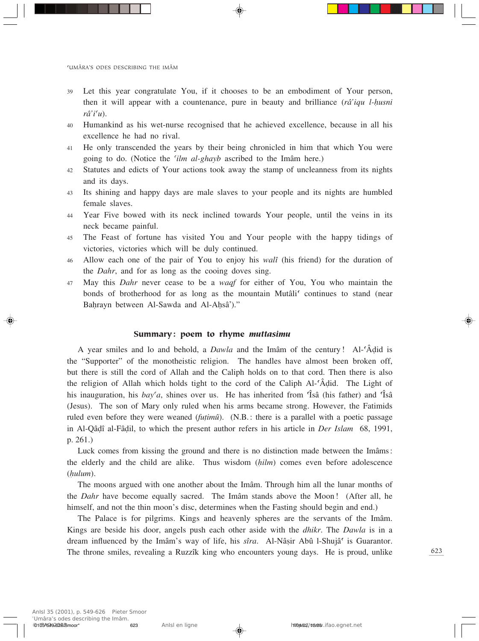- 39 Let this year congratulate You, if it chooses to be an embodiment of Your person, then it will appear with a countenance, pure in beauty and brilliance (*râ'iqu l-husni*) *râ'i©u*).
- 40 Humankind as his wet-nurse recognised that he achieved excellence, because in all his excellence he had no rival.
- 41 He only transcended the years by their being chronicled in him that which You were going to do. (Notice the *©ilm al-ghayb* ascribed to the Imâm here.)
- 42 Statutes and edicts of Your actions took away the stamp of uncleanness from its nights and its days.
- 43 Its shining and happy days are male slaves to your people and its nights are humbled female slaves.
- 44 Year Five bowed with its neck inclined towards Your people, until the veins in its neck became painful.
- 45 The Feast of fortune has visited You and Your people with the happy tidings of victories, victories which will be duly continued.
- <sup>46</sup> Allow each one of the pair of You to enjoy his *walî* (his friend) for the duration of the *Dahr*, and for as long as the cooing doves sing.
- <sup>47</sup> May this *Dahr* never cease to be a *waqf* for either of You, You who maintain the bonds of brotherhood for as long as the mountain Mutâli<sup>c</sup> continues to stand (near Bahrayn between Al-Sawda and Al-Ahsâ')."

## Summary: poem to rhyme *muttasimu*

A year smiles and lo and behold, a *Dawla* and the Imâm of the century! Al-©Â∂id is the "Supporter" of the monotheistic religion. The handles have almost been broken off, but there is still the cord of Allah and the Caliph holds on to that cord. Then there is also the religion of Allah which holds tight to the cord of the Caliph Al-©Â∂id. The Light of his inauguration, his *bay'a*, shines over us. He has inherited from 'Isâ (his father) and 'Isâ (Jesus). The son of Mary only ruled when his arms became strong. However, the Fatimids ruled even before they were weaned *(futimû)*. (N.B.: there is a parallel with a poetic passage in Al-Qâ∂î al-Fâ∂il, to which the present author refers in his article in *Der Islam* 68, 1991, p. 261.)

Luck comes from kissing the ground and there is no distinction made between the Imâms: the elderly and the child are alike. Thus wisdom (*hilm*) comes even before adolescence (*Ìulum*).

The moons argued with one another about the Imâm. Through him all the lunar months of the *Dahr* have become equally sacred. The Imâm stands above the Moon! (After all, he himself, and not the thin moon's disc, determines when the Fasting should begin and end.)

The Palace is for pilgrims. Kings and heavenly spheres are the servants of the Imâm. Kings are beside his door, angels push each other aside with the *dhikr*. The *Dawla* is in a dream influenced by the Imâm's way of life, his *sîra*. Al-Nâsir Abû l-Shujâ<sup>c</sup> is Guarantor. The throne smiles, revealing a Ruzzîk king who encounters young days. He is proud, unlike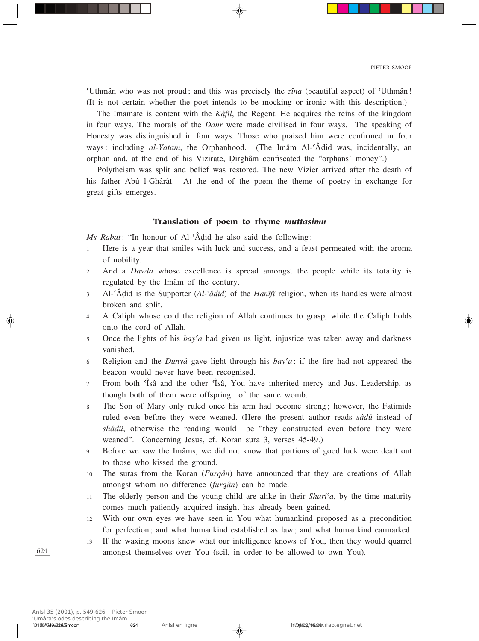©Uthmân who was not proud; and this was precisely the *zîna* (beautiful aspect) of ©Uthmân! (It is not certain whether the poet intends to be mocking or ironic with this description.)

The Imamate is content with the *Kâfil*, the Regent. He acquires the reins of the kingdom in four ways. The morals of the *Dahr* were made civilised in four ways. The speaking of Honesty was distinguished in four ways. Those who praised him were confirmed in four ways: including *al-Yatam*, the Orphanhood. (The Imâm Al-`Âdid was, incidentally, an orphan and, at the end of his Vizirate, Dirghâm confiscated the "orphans' money".)

Polytheism was split and belief was restored. The new Vizier arrived after the death of his father Abû l-Ghârât. At the end of the poem the theme of poetry in exchange for great gifts emerges.

## Translation of poem to rhyme *muttasimu*

*Ms Rabat*: "In honour of Al-'Âḍid he also said the following:

- <sup>1</sup> Here is a year that smiles with luck and success, and a feast permeated with the aroma of nobility.
- <sup>2</sup> And a *Dawla* whose excellence is spread amongst the people while its totality is regulated by the Imâm of the century.
- <sup>3</sup> Al-©Â∂id is the Supporter (*Al-©â∂id*) of the *Îanîfî* religion, when its handles were almost broken and split.
- <sup>4</sup> A Caliph whose cord the religion of Allah continues to grasp, while the Caliph holds onto the cord of Allah.
- 5 Once the lights of his *bay'a* had given us light, injustice was taken away and darkness vanished.
- <sup>6</sup> Religion and the *Dunyâ* gave light through his *bay©a*: if the fire had not appeared the beacon would never have been recognised.
- <sup>7</sup> From both ©Îsâ and the other ©Îsâ, You have inherited mercy and Just Leadership, as though both of them were offspring of the same womb.
- <sup>8</sup> The Son of Mary only ruled once his arm had become strong; however, the Fatimids ruled even before they were weaned. (Here the present author reads *sâdû* instead of *shâdû*, otherwise the reading would be "they constructed even before they were weaned". Concerning Jesus, cf. Koran sura 3, verses 45-49.)
- <sup>9</sup> Before we saw the Imâms, we did not know that portions of good luck were dealt out to those who kissed the ground.
- <sup>10</sup> The suras from the Koran (*Furqân*) have announced that they are creations of Allah amongst whom no difference (*furqân*) can be made.
- 11 The elderly person and the young child are alike in their *Sharî<sup>c</sup>a*, by the time maturity comes much patiently acquired insight has already been gained.
- 12 With our own eyes we have seen in You what humankind proposed as a precondition for perfection; and what humankind established as law; and what humankind earmarked.
- <sup>13</sup> If the waxing moons knew what our intelligence knows of You, then they would quarrel amongst themselves over You (scil, in order to be allowed to own You).

624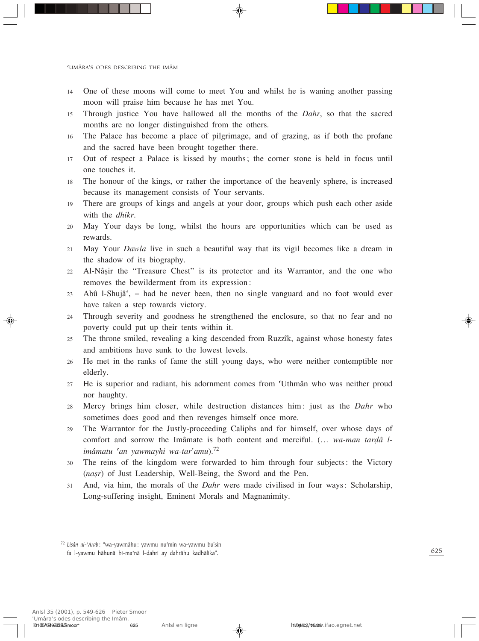- 14 One of these moons will come to meet You and whilst he is waning another passing moon will praise him because he has met You.
- <sup>15</sup> Through justice You have hallowed all the months of the *Dahr*, so that the sacred months are no longer distinguished from the others.
- 16 The Palace has become a place of pilgrimage, and of grazing, as if both the profane and the sacred have been brought together there.
- 17 Out of respect a Palace is kissed by mouths; the corner stone is held in focus until one touches it.
- 18 The honour of the kings, or rather the importance of the heavenly sphere, is increased because its management consists of Your servants.
- 19 There are groups of kings and angels at your door, groups which push each other aside with the *dhikr*.
- 20 May Your days be long, whilst the hours are opportunities which can be used as rewards.
- <sup>21</sup> May Your *Dawla* live in such a beautiful way that its vigil becomes like a dream in the shadow of its biography.
- 22 Al-Nâsir the "Treasure Chest" is its protector and its Warrantor, and the one who removes the bewilderment from its expression:
- $23$  Abû l-Shujâ<sup> $\zeta$ </sup> had he never been, then no single vanguard and no foot would ever have taken a step towards victory.
- <sup>24</sup> Through severity and goodness he strengthened the enclosure, so that no fear and no poverty could put up their tents within it.
- <sup>25</sup> The throne smiled, revealing a king descended from Ruzzîk, against whose honesty fates and ambitions have sunk to the lowest levels.
- <sup>26</sup> He met in the ranks of fame the still young days, who were neither contemptible nor elderly.
- <sup>27</sup> He is superior and radiant, his adornment comes from ©Uthmân who was neither proud nor haughty.
- <sup>28</sup> Mercy brings him closer, while destruction distances him: just as the *Dahr* who sometimes does good and then revenges himself once more.
- <sup>29</sup> The Warrantor for the Justly-proceeding Caliphs and for himself, over whose days of comfort and sorrow the Imâmate is both content and merciful. (... *wa-man tardâ limâmatu ©an yawmayhi wa-tar'amu*).<sup>72</sup>
- 30 The reins of the kingdom were forwarded to him through four subjects: the Victory (*nasr*) of Just Leadership, Well-Being, the Sword and the Pen.
- <sup>31</sup> And, via him, the morals of the *Dahr* were made civilised in four ways: Scholarship, Long-suffering insight, Eminent Morals and Magnanimity.

<sup>&</sup>lt;sup>72</sup> Lisân al-'Arab: "wa-yawmâhu: yawmu nu'min wa-yawmu bu'sin fa l-yawmu hâhunâ bi-ma©nâ l-dahri ay dahrâhu kadhâlika".